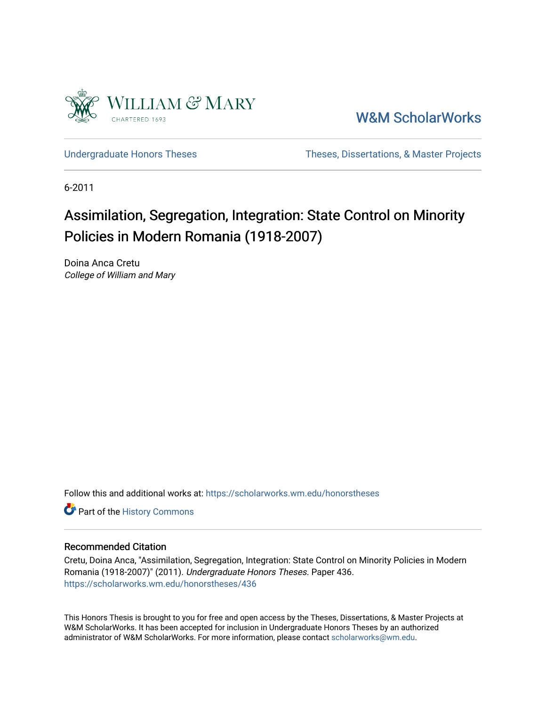

[W&M ScholarWorks](https://scholarworks.wm.edu/) 

[Undergraduate Honors Theses](https://scholarworks.wm.edu/honorstheses) Theses Theses, Dissertations, & Master Projects

6-2011

# Assimilation, Segregation, Integration: State Control on Minority Policies in Modern Romania (1918-2007)

Doina Anca Cretu College of William and Mary

Follow this and additional works at: [https://scholarworks.wm.edu/honorstheses](https://scholarworks.wm.edu/honorstheses?utm_source=scholarworks.wm.edu%2Fhonorstheses%2F436&utm_medium=PDF&utm_campaign=PDFCoverPages) 

Part of the [History Commons](http://network.bepress.com/hgg/discipline/489?utm_source=scholarworks.wm.edu%2Fhonorstheses%2F436&utm_medium=PDF&utm_campaign=PDFCoverPages) 

### Recommended Citation

Cretu, Doina Anca, "Assimilation, Segregation, Integration: State Control on Minority Policies in Modern Romania (1918-2007)" (2011). Undergraduate Honors Theses. Paper 436. [https://scholarworks.wm.edu/honorstheses/436](https://scholarworks.wm.edu/honorstheses/436?utm_source=scholarworks.wm.edu%2Fhonorstheses%2F436&utm_medium=PDF&utm_campaign=PDFCoverPages) 

This Honors Thesis is brought to you for free and open access by the Theses, Dissertations, & Master Projects at W&M ScholarWorks. It has been accepted for inclusion in Undergraduate Honors Theses by an authorized administrator of W&M ScholarWorks. For more information, please contact [scholarworks@wm.edu.](mailto:scholarworks@wm.edu)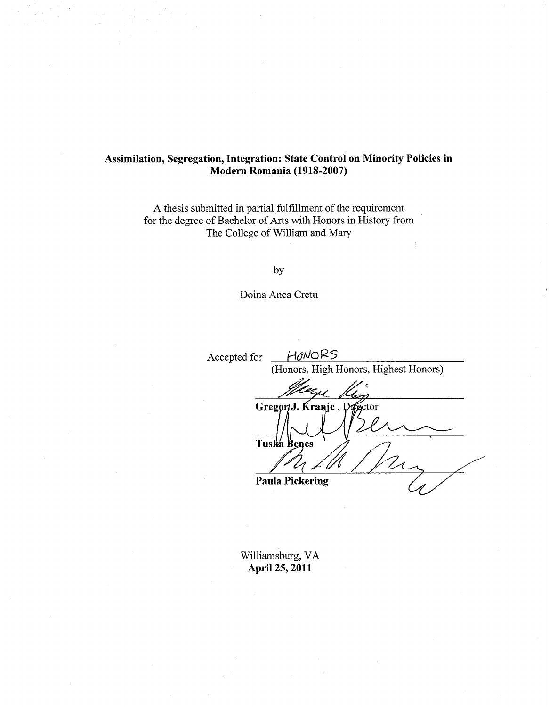## Assimilation, Segregation, Integration: State Control on Minority Policies in Modern Romania (1918-2007)

A thesis submitted in partial fulfillment of the requirement for the degree of Bachelor of Arts with Honors in History from The College of William and Mary

by

Doina Anca Cretu

HONORS Accepted for (Honors, High Honors, Highest Honors) Gregor J. Kranje, Disector Tuska Benes **Paula Pickering** 

Williamsburg, VA April 25, 2011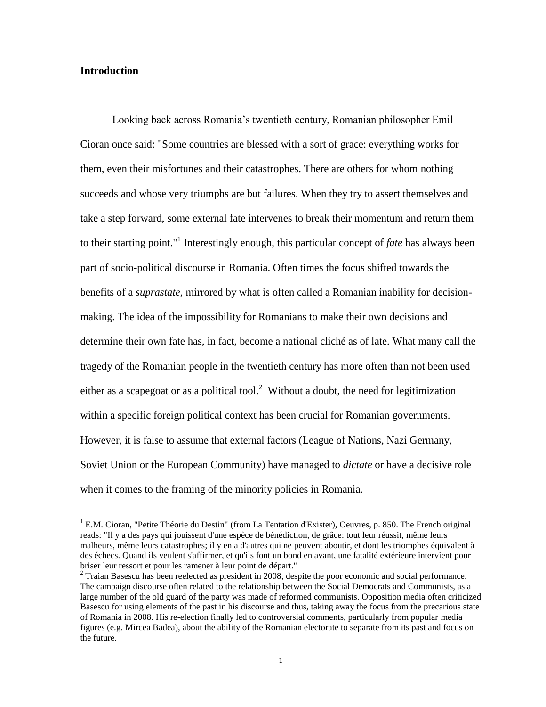#### **Introduction**

 $\overline{a}$ 

Looking back across Romania"s twentieth century, Romanian philosopher Emil Cioran once said: "Some countries are blessed with a sort of grace: everything works for them, even their misfortunes and their catastrophes. There are others for whom nothing succeeds and whose very triumphs are but failures. When they try to assert themselves and take a step forward, some external fate intervenes to break their momentum and return them to their starting point."<sup>1</sup> Interestingly enough, this particular concept of *fate* has always been part of socio-political discourse in Romania. Often times the focus shifted towards the benefits of a *suprastate*, mirrored by what is often called a Romanian inability for decisionmaking. The idea of the impossibility for Romanians to make their own decisions and determine their own fate has, in fact, become a national cliché as of late. What many call the tragedy of the Romanian people in the twentieth century has more often than not been used either as a scapegoat or as a political tool.<sup>2</sup> Without a doubt, the need for legitimization within a specific foreign political context has been crucial for Romanian governments. However, it is false to assume that external factors (League of Nations, Nazi Germany, Soviet Union or the European Community) have managed to *dictate* or have a decisive role when it comes to the framing of the minority policies in Romania.

 $1$  E.M. Cioran, "Petite Théorie du Destin" (from La Tentation d'Exister), Oeuvres, p. 850. The French original reads: "Il y a des pays qui jouissent d'une espèce de bénédiction, de grâce: tout leur réussit, même leurs malheurs, même leurs catastrophes; il y en a d'autres qui ne peuvent aboutir, et dont les triomphes équivalent à des échecs. Quand ils veulent s'affirmer, et qu'ils font un bond en avant, une fatalité extérieure intervient pour briser leur ressort et pour les ramener à leur point de départ."

 $2$  Traian Basescu has been reelected as president in 2008, despite the poor economic and social performance. The campaign discourse often related to the relationship between the Social Democrats and Communists, as a large number of the old guard of the party was made of reformed communists. Opposition media often criticized Basescu for using elements of the past in his discourse and thus, taking away the focus from the precarious state of Romania in 2008. His re-election finally led to controversial comments, particularly from popular media figures (e.g. Mircea Badea), about the ability of the Romanian electorate to separate from its past and focus on the future.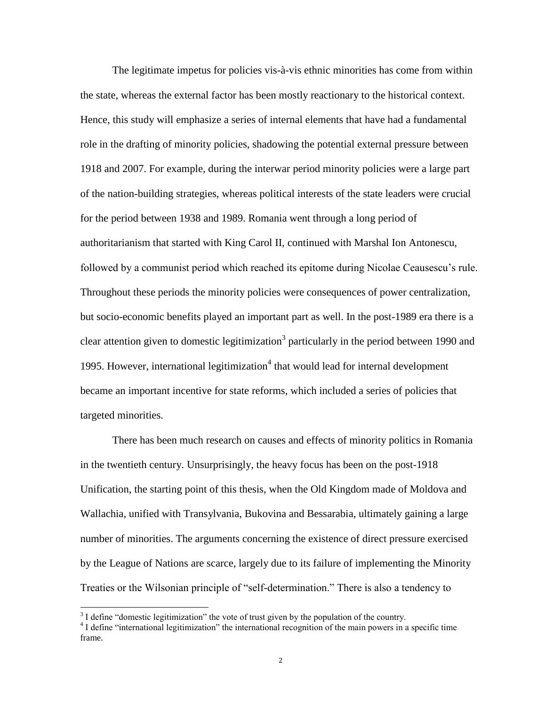The legitimate impetus for policies vis-à-vis ethnic minorities has come from within the state, whereas the external factor has been mostly reactionary to the historical context. Hence, this study will emphasize a series of internal elements that have had a fundamental role in the drafting of minority policies, shadowing the potential external pressure between 1918 and 2007. For example, during the interwar period minority policies were a large part of the nation-building strategies, whereas political interests of the state leaders were crucial for the period between 1938 and 1989. Romania went through a long period of authoritarianism that started with King Carol II, continued with Marshal Ion Antonescu, followed by a communist period which reached its epitome during Nicolae Ceausescu"s rule. Throughout these periods the minority policies were consequences of power centralization, but socio-economic benefits played an important part as well. In the post-1989 era there is a clear attention given to domestic legitimization<sup>3</sup> particularly in the period between 1990 and 1995. However, international legitimization $4$  that would lead for internal development became an important incentive for state reforms, which included a series of policies that targeted minorities.

There has been much research on causes and effects of minority politics in Romania in the twentieth century. Unsurprisingly, the heavy focus has been on the post-1918 Unification, the starting point of this thesis, when the Old Kingdom made of Moldova and Wallachia, unified with Transylvania, Bukovina and Bessarabia, ultimately gaining a large number of minorities. The arguments concerning the existence of direct pressure exercised by the League of Nations are scarce, largely due to its failure of implementing the Minority Treaties or the Wilsonian principle of "self-determination." There is also a tendency to

 $3<sup>3</sup>$  I define "domestic legitimization" the vote of trust given by the population of the country.

<sup>&</sup>lt;sup>4</sup> I define "international legitimization" the international recognition of the main powers in a specific time frame.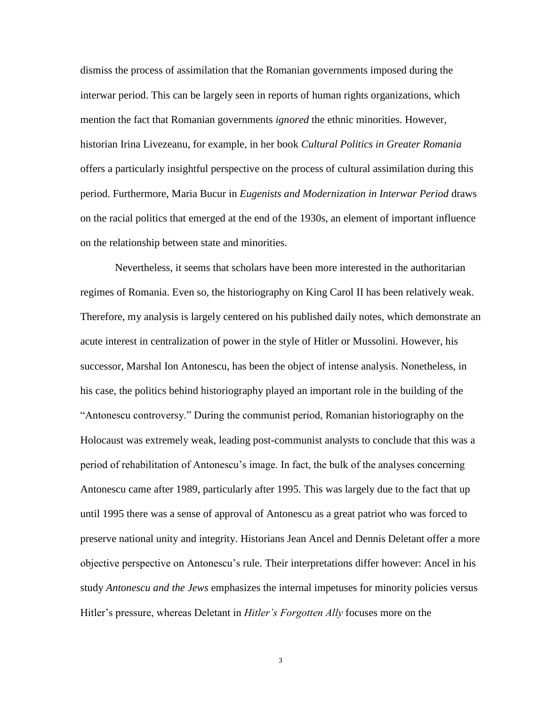dismiss the process of assimilation that the Romanian governments imposed during the interwar period. This can be largely seen in reports of human rights organizations, which mention the fact that Romanian governments *ignored* the ethnic minorities. However, historian Irina Livezeanu, for example, in her book *Cultural Politics in Greater Romania* offers a particularly insightful perspective on the process of cultural assimilation during this period. Furthermore, Maria Bucur in *Eugenists and Modernization in Interwar Period* draws on the racial politics that emerged at the end of the 1930s, an element of important influence on the relationship between state and minorities.

Nevertheless, it seems that scholars have been more interested in the authoritarian regimes of Romania. Even so, the historiography on King Carol II has been relatively weak. Therefore, my analysis is largely centered on his published daily notes, which demonstrate an acute interest in centralization of power in the style of Hitler or Mussolini. However, his successor, Marshal Ion Antonescu, has been the object of intense analysis. Nonetheless, in his case, the politics behind historiography played an important role in the building of the "Antonescu controversy." During the communist period, Romanian historiography on the Holocaust was extremely weak, leading post-communist analysts to conclude that this was a period of rehabilitation of Antonescu"s image. In fact, the bulk of the analyses concerning Antonescu came after 1989, particularly after 1995. This was largely due to the fact that up until 1995 there was a sense of approval of Antonescu as a great patriot who was forced to preserve national unity and integrity. Historians Jean Ancel and Dennis Deletant offer a more objective perspective on Antonescu"s rule. Their interpretations differ however: Ancel in his study *Antonescu and the Jews* emphasizes the internal impetuses for minority policies versus Hitler"s pressure, whereas Deletant in *Hitler's Forgotten Ally* focuses more on the

3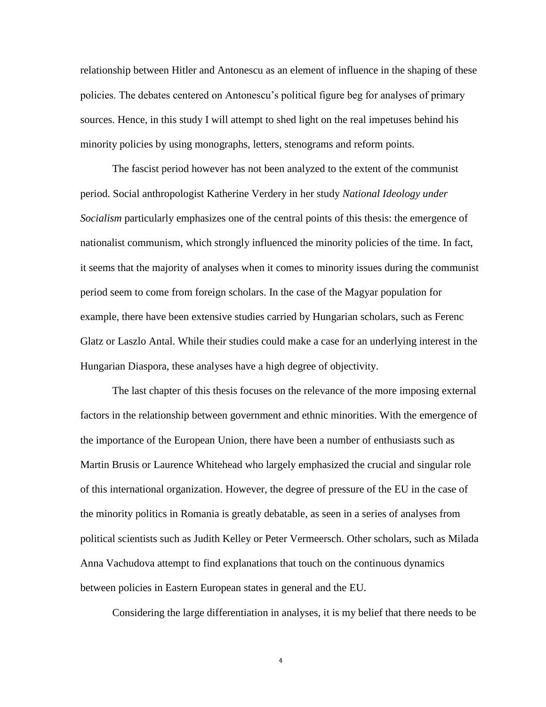relationship between Hitler and Antonescu as an element of influence in the shaping of these policies. The debates centered on Antonescu"s political figure beg for analyses of primary sources. Hence, in this study I will attempt to shed light on the real impetuses behind his minority policies by using monographs, letters, stenograms and reform points.

The fascist period however has not been analyzed to the extent of the communist period. Social anthropologist Katherine Verdery in her study *National Ideology under Socialism* particularly emphasizes one of the central points of this thesis: the emergence of nationalist communism, which strongly influenced the minority policies of the time. In fact, it seems that the majority of analyses when it comes to minority issues during the communist period seem to come from foreign scholars. In the case of the Magyar population for example, there have been extensive studies carried by Hungarian scholars, such as Ferenc Glatz or Laszlo Antal. While their studies could make a case for an underlying interest in the Hungarian Diaspora, these analyses have a high degree of objectivity.

The last chapter of this thesis focuses on the relevance of the more imposing external factors in the relationship between government and ethnic minorities. With the emergence of the importance of the European Union, there have been a number of enthusiasts such as Martin Brusis or Laurence Whitehead who largely emphasized the crucial and singular role of this international organization. However, the degree of pressure of the EU in the case of the minority politics in Romania is greatly debatable, as seen in a series of analyses from political scientists such as Judith Kelley or Peter Vermeersch. Other scholars, such as Milada Anna Vachudova attempt to find explanations that touch on the continuous dynamics between policies in Eastern European states in general and the EU.

Considering the large differentiation in analyses, it is my belief that there needs to be

4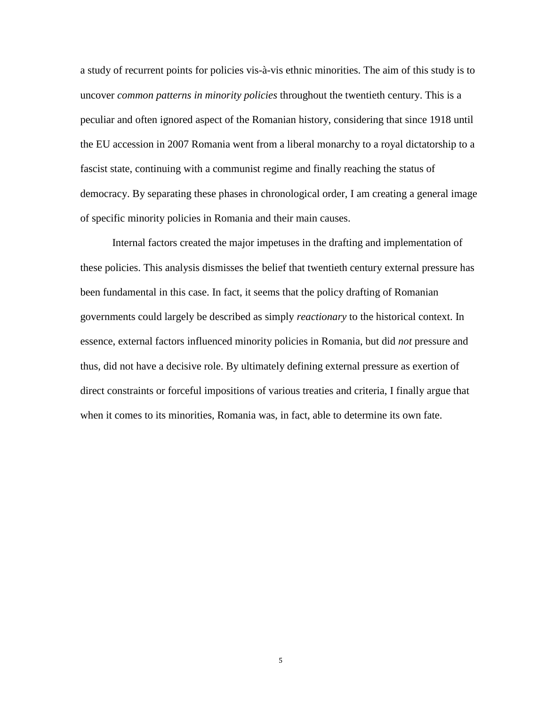a study of recurrent points for policies vis-à-vis ethnic minorities. The aim of this study is to uncover *common patterns in minority policies* throughout the twentieth century. This is a peculiar and often ignored aspect of the Romanian history, considering that since 1918 until the EU accession in 2007 Romania went from a liberal monarchy to a royal dictatorship to a fascist state, continuing with a communist regime and finally reaching the status of democracy. By separating these phases in chronological order, I am creating a general image of specific minority policies in Romania and their main causes.

Internal factors created the major impetuses in the drafting and implementation of these policies. This analysis dismisses the belief that twentieth century external pressure has been fundamental in this case. In fact, it seems that the policy drafting of Romanian governments could largely be described as simply *reactionary* to the historical context. In essence, external factors influenced minority policies in Romania, but did *not* pressure and thus, did not have a decisive role. By ultimately defining external pressure as exertion of direct constraints or forceful impositions of various treaties and criteria, I finally argue that when it comes to its minorities, Romania was, in fact, able to determine its own fate.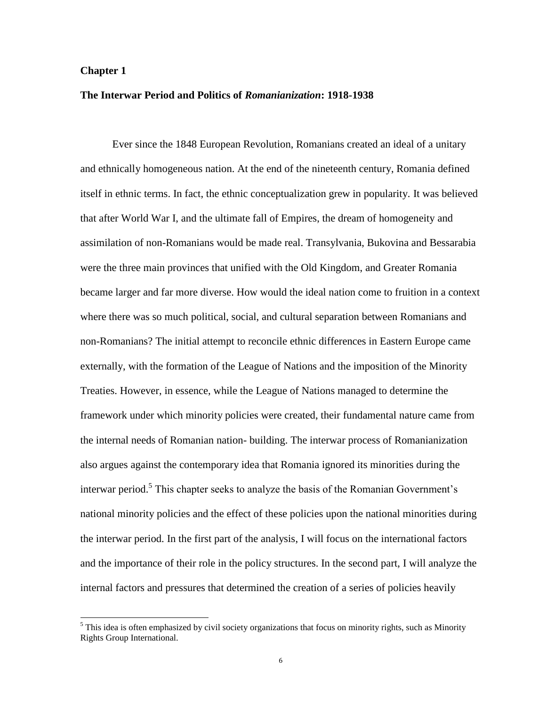## **Chapter 1**

l

## **The Interwar Period and Politics of** *Romanianization***: 1918-1938**

Ever since the 1848 European Revolution, Romanians created an ideal of a unitary and ethnically homogeneous nation. At the end of the nineteenth century, Romania defined itself in ethnic terms. In fact, the ethnic conceptualization grew in popularity. It was believed that after World War I, and the ultimate fall of Empires, the dream of homogeneity and assimilation of non-Romanians would be made real. Transylvania, Bukovina and Bessarabia were the three main provinces that unified with the Old Kingdom, and Greater Romania became larger and far more diverse. How would the ideal nation come to fruition in a context where there was so much political, social, and cultural separation between Romanians and non-Romanians? The initial attempt to reconcile ethnic differences in Eastern Europe came externally, with the formation of the League of Nations and the imposition of the Minority Treaties. However, in essence, while the League of Nations managed to determine the framework under which minority policies were created, their fundamental nature came from the internal needs of Romanian nation- building. The interwar process of Romanianization also argues against the contemporary idea that Romania ignored its minorities during the interwar period.<sup>5</sup> This chapter seeks to analyze the basis of the Romanian Government's national minority policies and the effect of these policies upon the national minorities during the interwar period. In the first part of the analysis, I will focus on the international factors and the importance of their role in the policy structures. In the second part, I will analyze the internal factors and pressures that determined the creation of a series of policies heavily

 $<sup>5</sup>$  This idea is often emphasized by civil society organizations that focus on minority rights, such as Minority</sup> Rights Group International.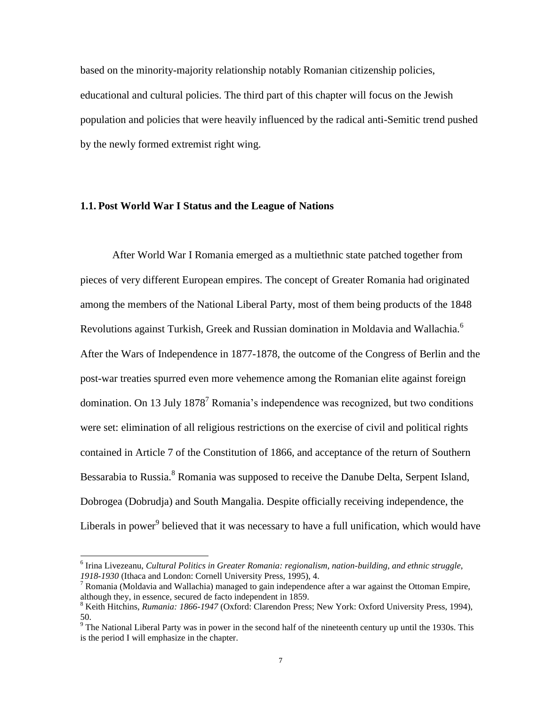based on the minority-majority relationship notably Romanian citizenship policies, educational and cultural policies. The third part of this chapter will focus on the Jewish population and policies that were heavily influenced by the radical anti-Semitic trend pushed by the newly formed extremist right wing.

# **1.1. Post World War I Status and the League of Nations**

After World War I Romania emerged as a multiethnic state patched together from pieces of very different European empires. The concept of Greater Romania had originated among the members of the National Liberal Party, most of them being products of the 1848 Revolutions against Turkish, Greek and Russian domination in Moldavia and Wallachia.<sup>6</sup> After the Wars of Independence in 1877-1878, the outcome of the Congress of Berlin and the post-war treaties spurred even more vehemence among the Romanian elite against foreign domination. On 13 July  $1878<sup>7</sup>$  Romania's independence was recognized, but two conditions were set: elimination of all religious restrictions on the exercise of civil and political rights contained in Article 7 of the Constitution of 1866, and acceptance of the return of Southern Bessarabia to Russia.<sup>8</sup> Romania was supposed to receive the Danube Delta, Serpent Island, Dobrogea (Dobrudja) and South Mangalia. Despite officially receiving independence, the Liberals in power<sup>9</sup> believed that it was necessary to have a full unification, which would have

l

<sup>6</sup> Irina Livezeanu, *Cultural Politics in Greater Romania: regionalism, nation-building, and ethnic struggle, 1918-1930* (Ithaca and London: Cornell University Press, 1995), 4.

<sup>&</sup>lt;sup>7</sup> Romania (Moldavia and Wallachia) managed to gain independence after a war against the Ottoman Empire, although they, in essence, secured de facto independent in 1859.

<sup>8</sup> Keith Hitchins, *Rumania: 1866-1947* (Oxford: Clarendon Press; New York: Oxford University Press, 1994), 50.

 $9^9$  The National Liberal Party was in power in the second half of the nineteenth century up until the 1930s. This is the period I will emphasize in the chapter.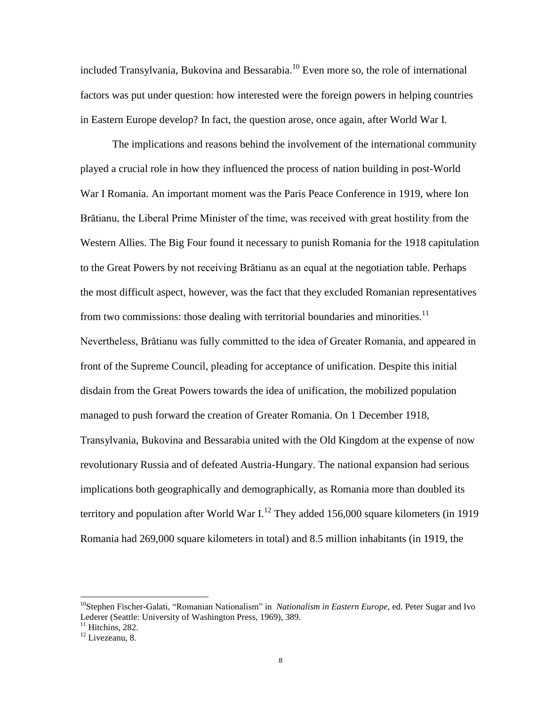included Transylvania, Bukovina and Bessarabia.<sup>10</sup> Even more so, the role of international factors was put under question: how interested were the foreign powers in helping countries in Eastern Europe develop? In fact, the question arose, once again, after World War I.

The implications and reasons behind the involvement of the international community played a crucial role in how they influenced the process of nation building in post-World War I Romania. An important moment was the Paris Peace Conference in 1919, where Ion Brătianu, the Liberal Prime Minister of the time, was received with great hostility from the Western Allies. The Big Four found it necessary to punish Romania for the 1918 capitulation to the Great Powers by not receiving Brătianu as an equal at the negotiation table. Perhaps the most difficult aspect, however, was the fact that they excluded Romanian representatives from two commissions: those dealing with territorial boundaries and minorities.<sup>11</sup> Nevertheless, Brătianu was fully committed to the idea of Greater Romania, and appeared in front of the Supreme Council, pleading for acceptance of unification. Despite this initial disdain from the Great Powers towards the idea of unification, the mobilized population managed to push forward the creation of Greater Romania. On 1 December 1918, Transylvania, Bukovina and Bessarabia united with the Old Kingdom at the expense of now revolutionary Russia and of defeated Austria-Hungary. The national expansion had serious implications both geographically and demographically, as Romania more than doubled its territory and population after World War I.<sup>12</sup> They added 156,000 square kilometers (in 1919) Romania had 269,000 square kilometers in total) and 8.5 million inhabitants (in 1919, the

<sup>10</sup>Stephen Fischer-Galati, "Romanian Nationalism" in *Nationalism in Eastern Europe*, ed. Peter Sugar and Ivo Lederer (Seattle: University of Washington Press, 1969), 389.

 $11$  Hitchins, 282.

<sup>&</sup>lt;sup>12</sup> Livezeanu, 8.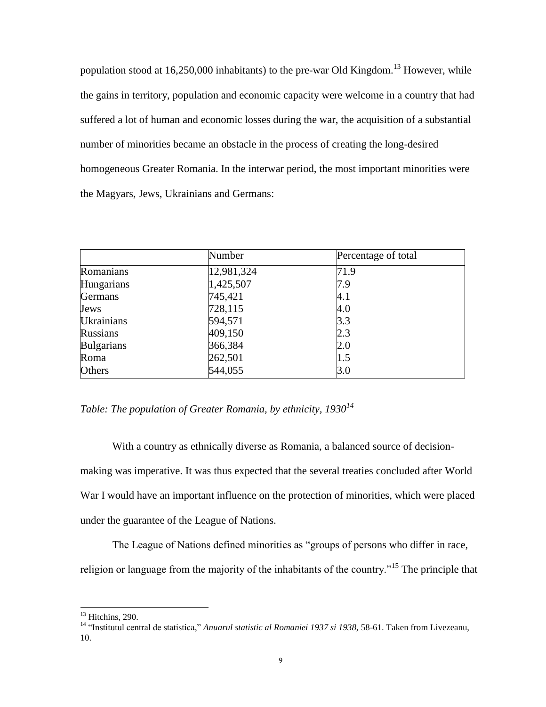population stood at  $16,250,000$  inhabitants) to the pre-war Old Kingdom.<sup>13</sup> However, while the gains in territory, population and economic capacity were welcome in a country that had suffered a lot of human and economic losses during the war, the acquisition of a substantial number of minorities became an obstacle in the process of creating the long-desired homogeneous Greater Romania. In the interwar period, the most important minorities were the Magyars, Jews, Ukrainians and Germans:

|                   | Number     | Percentage of total |
|-------------------|------------|---------------------|
| Romanians         | 12,981,324 | 71.9                |
| Hungarians        | 1,425,507  | 7.9                 |
| <b>Germans</b>    | 745,421    | 4.1                 |
| Jews              | 728,115    | 4.0                 |
| <b>Ukrainians</b> | 594,571    | 3.3                 |
| <b>Russians</b>   | 409,150    | 2.3                 |
| <b>Bulgarians</b> | 366,384    | 2.0                 |
| Roma              | 262,501    | 1.5                 |
| Others            | 544,055    | 3.0                 |

*Table: The population of Greater Romania, by ethnicity, 1930<sup>14</sup>*

With a country as ethnically diverse as Romania, a balanced source of decisionmaking was imperative. It was thus expected that the several treaties concluded after World War I would have an important influence on the protection of minorities, which were placed under the guarantee of the League of Nations.

The League of Nations defined minorities as "groups of persons who differ in race,

religion or language from the majority of the inhabitants of the country.<sup>"15</sup> The principle that

 $13$  Hitchins, 290.

<sup>14</sup> "Institutul central de statistica," *Anuarul statistic al Romaniei 1937 si 1938,* 58-61. Taken from Livezeanu, 10.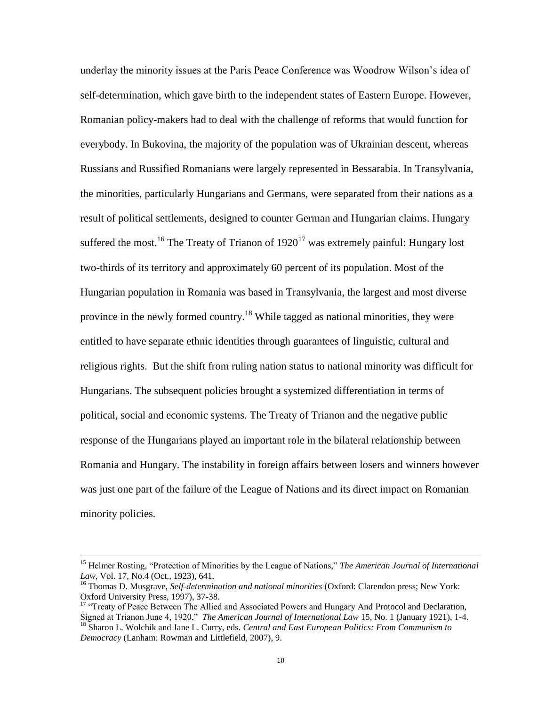underlay the minority issues at the Paris Peace Conference was Woodrow Wilson"s idea of self-determination, which gave birth to the independent states of Eastern Europe. However, Romanian policy-makers had to deal with the challenge of reforms that would function for everybody. In Bukovina, the majority of the population was of Ukrainian descent, whereas Russians and Russified Romanians were largely represented in Bessarabia. In Transylvania, the minorities, particularly Hungarians and Germans, were separated from their nations as a result of political settlements, designed to counter German and Hungarian claims. Hungary suffered the most.<sup>16</sup> The Treaty of Trianon of  $1920^{17}$  was extremely painful: Hungary lost two-thirds of its territory and approximately 60 percent of its population. Most of the Hungarian population in Romania was based in Transylvania, the largest and most diverse province in the newly formed country.<sup>18</sup> While tagged as national minorities, they were entitled to have separate ethnic identities through guarantees of linguistic, cultural and religious rights. But the shift from ruling nation status to national minority was difficult for Hungarians. The subsequent policies brought a systemized differentiation in terms of political, social and economic systems. The Treaty of Trianon and the negative public response of the Hungarians played an important role in the bilateral relationship between Romania and Hungary. The instability in foreign affairs between losers and winners however was just one part of the failure of the League of Nations and its direct impact on Romanian minority policies.

l

<sup>&</sup>lt;sup>15</sup> Helmer Rosting, "Protection of Minorities by the League of Nations," *The American Journal of International Law*, Vol. 17, No.4 (Oct., 1923), 641.

<sup>16</sup> Thomas D. Musgrave, *Self-determination and national minorities* (Oxford: Clarendon press; New York: Oxford University Press, 1997), 37-38.

<sup>&</sup>lt;sup>17</sup> "Treaty of Peace Between The Allied and Associated Powers and Hungary And Protocol and Declaration, Signed at Trianon June 4, 1920," *The American Journal of International Law* 15, No. 1 (January 1921), 1-4. <sup>18</sup> Sharon L. Wolchik and Jane L. Curry, eds. *Central and East European Politics: From Communism to* 

*Democracy* (Lanham: Rowman and Littlefield, 2007), 9.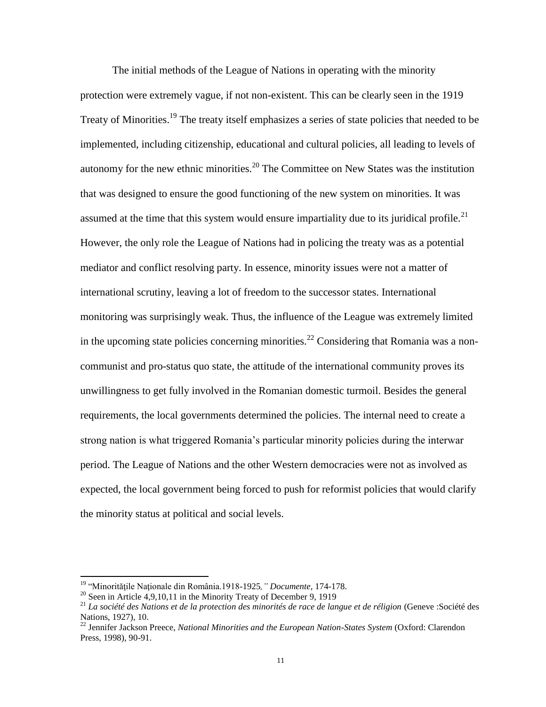The initial methods of the League of Nations in operating with the minority protection were extremely vague, if not non-existent. This can be clearly seen in the 1919 Treaty of Minorities.<sup>19</sup> The treaty itself emphasizes a series of state policies that needed to be implemented, including citizenship, educational and cultural policies, all leading to levels of autonomy for the new ethnic minorities.<sup>20</sup> The Committee on New States was the institution that was designed to ensure the good functioning of the new system on minorities. It was assumed at the time that this system would ensure impartiality due to its juridical profile.<sup>21</sup> However, the only role the League of Nations had in policing the treaty was as a potential mediator and conflict resolving party. In essence, minority issues were not a matter of international scrutiny, leaving a lot of freedom to the successor states. International monitoring was surprisingly weak. Thus, the influence of the League was extremely limited in the upcoming state policies concerning minorities.<sup>22</sup> Considering that Romania was a noncommunist and pro-status quo state, the attitude of the international community proves its unwillingness to get fully involved in the Romanian domestic turmoil. Besides the general requirements, the local governments determined the policies. The internal need to create a strong nation is what triggered Romania"s particular minority policies during the interwar period. The League of Nations and the other Western democracies were not as involved as expected, the local government being forced to push for reformist policies that would clarify the minority status at political and social levels.

<sup>19</sup> "Minorităţile Naţionale din România.1918-1925*," Documente,* 174-178.

<sup>&</sup>lt;sup>20</sup> Seen in Article 4,9,10,11 in the Minority Treaty of December 9, 1919

<sup>&</sup>lt;sup>21</sup> La société des Nations et de la protection des minorités de race de langue et de réligion (Geneve :Société des Nations, 1927), 10.

<sup>22</sup> Jennifer Jackson Preece, *National Minorities and the European Nation-States System* (Oxford: Clarendon Press, 1998), 90-91.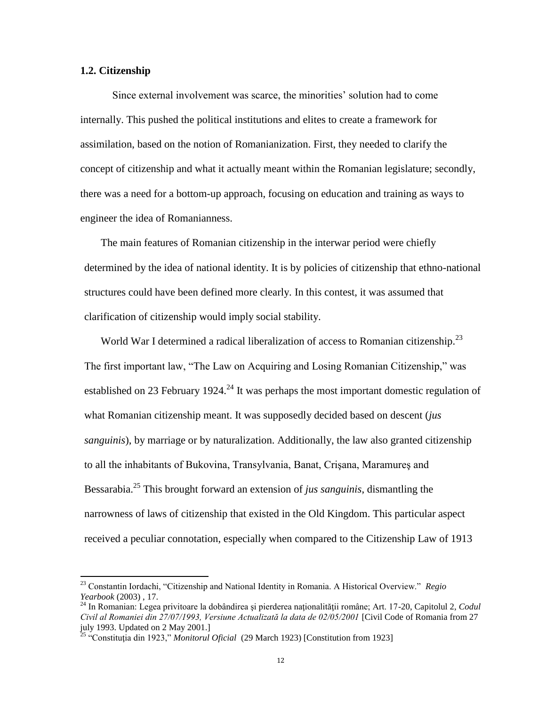#### **1.2. Citizenship**

 $\overline{a}$ 

Since external involvement was scarce, the minorities' solution had to come internally. This pushed the political institutions and elites to create a framework for assimilation, based on the notion of Romanianization. First, they needed to clarify the concept of citizenship and what it actually meant within the Romanian legislature; secondly, there was a need for a bottom-up approach, focusing on education and training as ways to engineer the idea of Romanianness.

The main features of Romanian citizenship in the interwar period were chiefly determined by the idea of national identity. It is by policies of citizenship that ethno-national structures could have been defined more clearly. In this contest, it was assumed that clarification of citizenship would imply social stability.

World War I determined a radical liberalization of access to Romanian citizenship.<sup>23</sup> The first important law, "The Law on Acquiring and Losing Romanian Citizenship," was established on 23 February 1924.<sup>24</sup> It was perhaps the most important domestic regulation of what Romanian citizenship meant. It was supposedly decided based on descent (*jus sanguinis*), by marriage or by naturalization. Additionally, the law also granted citizenship to all the inhabitants of Bukovina, Transylvania, Banat, Crişana, Maramureş and Bessarabia.<sup>25</sup> This brought forward an extension of *jus sanguinis*, dismantling the narrowness of laws of citizenship that existed in the Old Kingdom. This particular aspect received a peculiar connotation, especially when compared to the Citizenship Law of 1913

<sup>23</sup> Constantin Iordachi, "Citizenship and National Identity in Romania. A Historical Overview." *Regio Yearbook* (2003) , 17.

<sup>24</sup> In Romanian: Legea privitoare la dobândirea şi pierderea naţionalităţii române; Art. 17-20, Capitolul 2, *Codul Civil al Romaniei din 27/07/1993, Versiune Actualizată la data de 02/05/2001* [Civil Code of Romania from 27 july 1993. Updated on 2 May 2001.]

<sup>25</sup> "Constituţia din 1923," *Monitorul Oficial* (29 March 1923) [Constitution from 1923]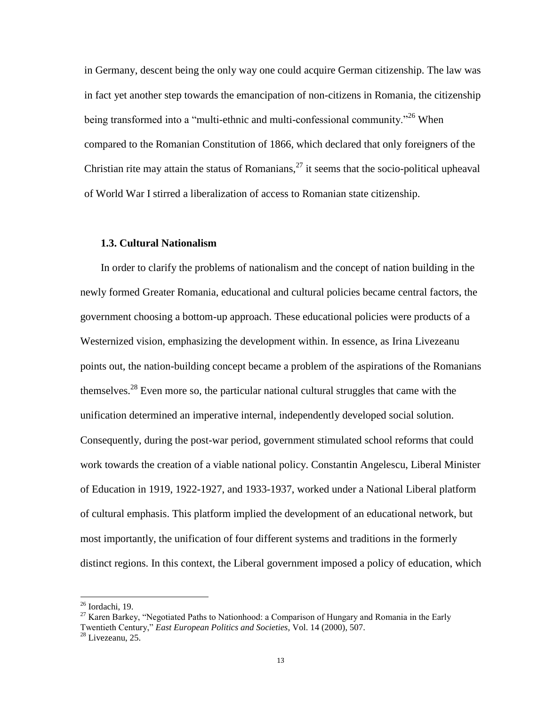in Germany, descent being the only way one could acquire German citizenship. The law was in fact yet another step towards the emancipation of non-citizens in Romania, the citizenship being transformed into a "multi-ethnic and multi-confessional community."<sup>26</sup> When compared to the Romanian Constitution of 1866, which declared that only foreigners of the Christian rite may attain the status of Romanians,  $27$  it seems that the socio-political upheaval of World War I stirred a liberalization of access to Romanian state citizenship.

### **1.3. Cultural Nationalism**

In order to clarify the problems of nationalism and the concept of nation building in the newly formed Greater Romania, educational and cultural policies became central factors, the government choosing a bottom-up approach. These educational policies were products of a Westernized vision, emphasizing the development within. In essence, as Irina Livezeanu points out, the nation-building concept became a problem of the aspirations of the Romanians themselves.<sup>28</sup> Even more so, the particular national cultural struggles that came with the unification determined an imperative internal, independently developed social solution. Consequently, during the post-war period, government stimulated school reforms that could work towards the creation of a viable national policy. Constantin Angelescu, Liberal Minister of Education in 1919, 1922-1927, and 1933-1937, worked under a National Liberal platform of cultural emphasis. This platform implied the development of an educational network, but most importantly, the unification of four different systems and traditions in the formerly distinct regions. In this context, the Liberal government imposed a policy of education, which

 $26$  Iordachi, 19.

 $27$  Karen Barkey, "Negotiated Paths to Nationhood: a Comparison of Hungary and Romania in the Early Twentieth Century," *East European Politics and Societies,* Vol. 14 (2000), 507.

<sup>28</sup> Livezeanu, 25.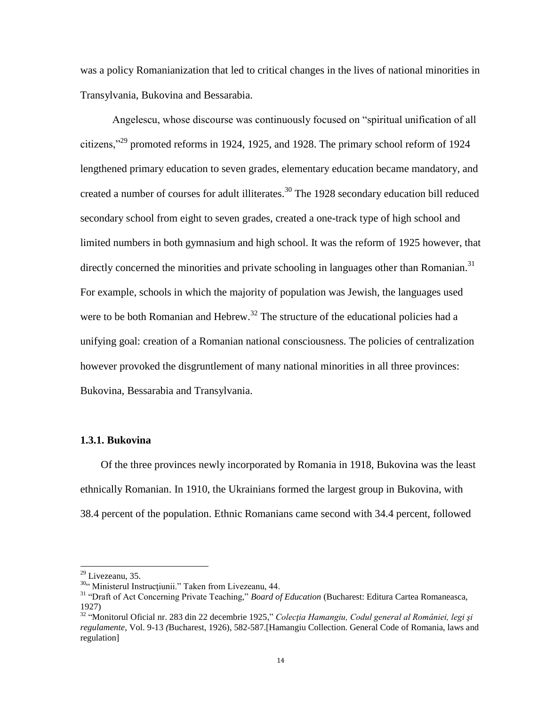was a policy Romanianization that led to critical changes in the lives of national minorities in Transylvania, Bukovina and Bessarabia.

Angelescu, whose discourse was continuously focused on "spiritual unification of all citizens,"<sup>29</sup> promoted reforms in 1924, 1925, and 1928. The primary school reform of 1924 lengthened primary education to seven grades, elementary education became mandatory, and created a number of courses for adult illiterates.<sup>30</sup> The 1928 secondary education bill reduced secondary school from eight to seven grades, created a one-track type of high school and limited numbers in both gymnasium and high school. It was the reform of 1925 however, that directly concerned the minorities and private schooling in languages other than Romanian.<sup>31</sup> For example, schools in which the majority of population was Jewish, the languages used were to be both Romanian and Hebrew.<sup>32</sup> The structure of the educational policies had a unifying goal: creation of a Romanian national consciousness. The policies of centralization however provoked the disgruntlement of many national minorities in all three provinces: Bukovina, Bessarabia and Transylvania.

#### **1.3.1. Bukovina**

Of the three provinces newly incorporated by Romania in 1918, Bukovina was the least ethnically Romanian. In 1910, the Ukrainians formed the largest group in Bukovina, with 38.4 percent of the population. Ethnic Romanians came second with 34.4 percent, followed

 $29$  Livezeanu, 35.

<sup>&</sup>lt;sup>30</sup>" Ministerul Instrucțiunii." Taken from Livezeanu, 44.

<sup>31</sup> "Draft of Act Concerning Private Teaching," *Board of Education* (Bucharest: Editura Cartea Romaneasca, 1927)

<sup>32</sup> "Monitorul Oficial nr. 283 din 22 decembrie 1925," *Colecţia Hamangiu, Codul general al României, legi şi regulamente*, Vol. 9-13 *(*Bucharest, 1926), 582-587.[Hamangiu Collection. General Code of Romania, laws and regulation]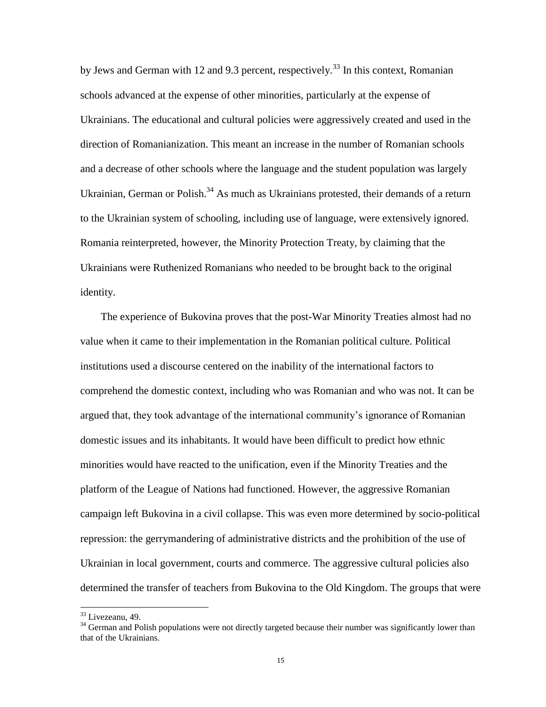by Jews and German with 12 and 9.3 percent, respectively.<sup>33</sup> In this context, Romanian schools advanced at the expense of other minorities, particularly at the expense of Ukrainians. The educational and cultural policies were aggressively created and used in the direction of Romanianization. This meant an increase in the number of Romanian schools and a decrease of other schools where the language and the student population was largely Ukrainian, German or Polish.<sup>34</sup> As much as Ukrainians protested, their demands of a return to the Ukrainian system of schooling, including use of language, were extensively ignored. Romania reinterpreted, however, the Minority Protection Treaty, by claiming that the Ukrainians were Ruthenized Romanians who needed to be brought back to the original identity.

The experience of Bukovina proves that the post-War Minority Treaties almost had no value when it came to their implementation in the Romanian political culture. Political institutions used a discourse centered on the inability of the international factors to comprehend the domestic context, including who was Romanian and who was not. It can be argued that, they took advantage of the international community's ignorance of Romanian domestic issues and its inhabitants. It would have been difficult to predict how ethnic minorities would have reacted to the unification, even if the Minority Treaties and the platform of the League of Nations had functioned. However, the aggressive Romanian campaign left Bukovina in a civil collapse. This was even more determined by socio-political repression: the gerrymandering of administrative districts and the prohibition of the use of Ukrainian in local government, courts and commerce. The aggressive cultural policies also determined the transfer of teachers from Bukovina to the Old Kingdom. The groups that were

<sup>33</sup> Livezeanu, 49.

<sup>&</sup>lt;sup>34</sup> German and Polish populations were not directly targeted because their number was significantly lower than that of the Ukrainians.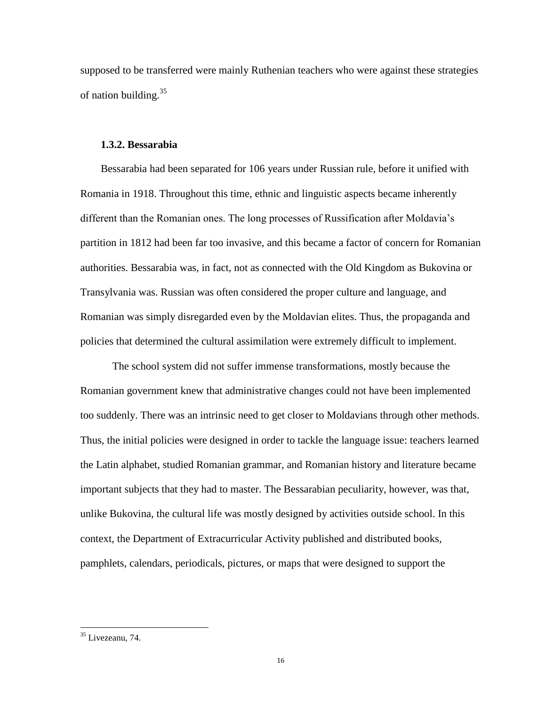supposed to be transferred were mainly Ruthenian teachers who were against these strategies of nation building. $35$ 

#### **1.3.2. Bessarabia**

Bessarabia had been separated for 106 years under Russian rule, before it unified with Romania in 1918. Throughout this time, ethnic and linguistic aspects became inherently different than the Romanian ones. The long processes of Russification after Moldavia"s partition in 1812 had been far too invasive, and this became a factor of concern for Romanian authorities. Bessarabia was, in fact, not as connected with the Old Kingdom as Bukovina or Transylvania was. Russian was often considered the proper culture and language, and Romanian was simply disregarded even by the Moldavian elites. Thus, the propaganda and policies that determined the cultural assimilation were extremely difficult to implement.

The school system did not suffer immense transformations, mostly because the Romanian government knew that administrative changes could not have been implemented too suddenly. There was an intrinsic need to get closer to Moldavians through other methods. Thus, the initial policies were designed in order to tackle the language issue: teachers learned the Latin alphabet, studied Romanian grammar, and Romanian history and literature became important subjects that they had to master. The Bessarabian peculiarity, however, was that, unlike Bukovina, the cultural life was mostly designed by activities outside school. In this context, the Department of Extracurricular Activity published and distributed books, pamphlets, calendars, periodicals, pictures, or maps that were designed to support the

<sup>&</sup>lt;sup>35</sup> Livezeanu, 74.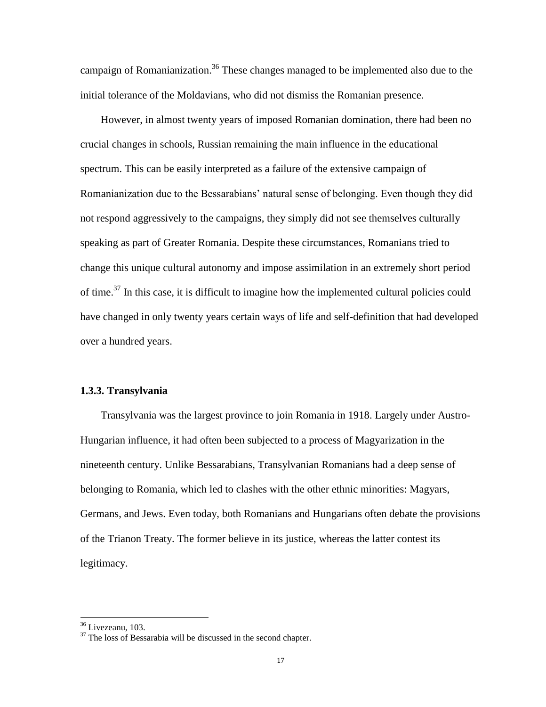campaign of Romanianization.<sup>36</sup> These changes managed to be implemented also due to the initial tolerance of the Moldavians, who did not dismiss the Romanian presence.

However, in almost twenty years of imposed Romanian domination, there had been no crucial changes in schools, Russian remaining the main influence in the educational spectrum. This can be easily interpreted as a failure of the extensive campaign of Romanianization due to the Bessarabians' natural sense of belonging. Even though they did not respond aggressively to the campaigns, they simply did not see themselves culturally speaking as part of Greater Romania. Despite these circumstances, Romanians tried to change this unique cultural autonomy and impose assimilation in an extremely short period of time.<sup>37</sup> In this case, it is difficult to imagine how the implemented cultural policies could have changed in only twenty years certain ways of life and self-definition that had developed over a hundred years.

# **1.3.3. Transylvania**

Transylvania was the largest province to join Romania in 1918. Largely under Austro-Hungarian influence, it had often been subjected to a process of Magyarization in the nineteenth century. Unlike Bessarabians, Transylvanian Romanians had a deep sense of belonging to Romania, which led to clashes with the other ethnic minorities: Magyars, Germans, and Jews. Even today, both Romanians and Hungarians often debate the provisions of the Trianon Treaty. The former believe in its justice, whereas the latter contest its legitimacy.

l

<sup>&</sup>lt;sup>36</sup> Livezeanu, 103.

<sup>&</sup>lt;sup>37</sup> The loss of Bessarabia will be discussed in the second chapter.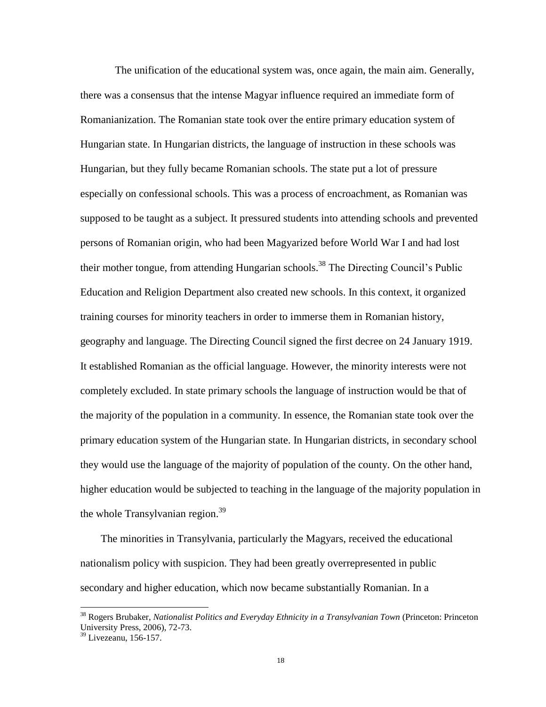The unification of the educational system was, once again, the main aim. Generally, there was a consensus that the intense Magyar influence required an immediate form of Romanianization. The Romanian state took over the entire primary education system of Hungarian state. In Hungarian districts, the language of instruction in these schools was Hungarian, but they fully became Romanian schools. The state put a lot of pressure especially on confessional schools. This was a process of encroachment, as Romanian was supposed to be taught as a subject. It pressured students into attending schools and prevented persons of Romanian origin, who had been Magyarized before World War I and had lost their mother tongue, from attending Hungarian schools.<sup>38</sup> The Directing Council's Public Education and Religion Department also created new schools. In this context, it organized training courses for minority teachers in order to immerse them in Romanian history, geography and language. The Directing Council signed the first decree on 24 January 1919. It established Romanian as the official language. However, the minority interests were not completely excluded. In state primary schools the language of instruction would be that of the majority of the population in a community. In essence, the Romanian state took over the primary education system of the Hungarian state. In Hungarian districts, in secondary school they would use the language of the majority of population of the county. On the other hand, higher education would be subjected to teaching in the language of the majority population in the whole Transylvanian region.<sup>39</sup>

The minorities in Transylvania, particularly the Magyars, received the educational nationalism policy with suspicion. They had been greatly overrepresented in public secondary and higher education, which now became substantially Romanian. In a

<sup>38</sup> Rogers Brubaker, *Nationalist Politics and Everyday Ethnicity in a Transylvanian Town* (Princeton: Princeton University Press, 2006), 72-73.

 $39$  Livezeanu, 156-157.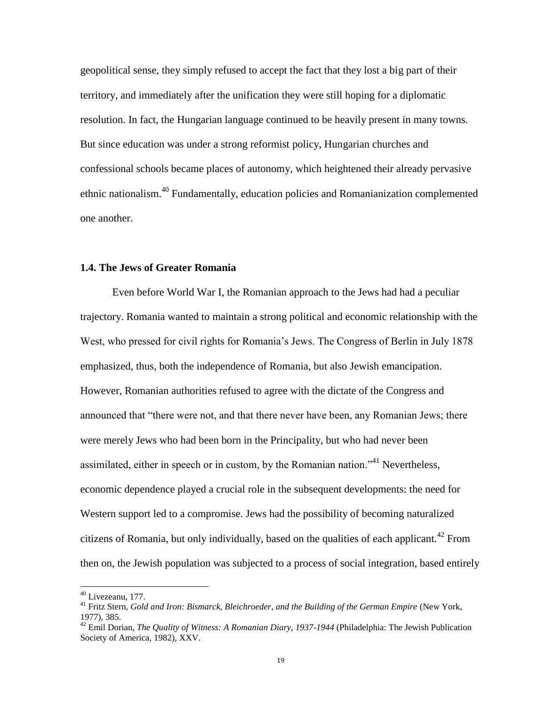geopolitical sense, they simply refused to accept the fact that they lost a big part of their territory, and immediately after the unification they were still hoping for a diplomatic resolution. In fact, the Hungarian language continued to be heavily present in many towns. But since education was under a strong reformist policy, Hungarian churches and confessional schools became places of autonomy, which heightened their already pervasive ethnic nationalism.<sup>40</sup> Fundamentally, education policies and Romanianization complemented one another.

## **1.4. The Jews of Greater Romania**

Even before World War I, the Romanian approach to the Jews had had a peculiar trajectory. Romania wanted to maintain a strong political and economic relationship with the West, who pressed for civil rights for Romania"s Jews. The Congress of Berlin in July 1878 emphasized, thus, both the independence of Romania, but also Jewish emancipation. However, Romanian authorities refused to agree with the dictate of the Congress and announced that "there were not, and that there never have been, any Romanian Jews; there were merely Jews who had been born in the Principality, but who had never been assimilated, either in speech or in custom, by the Romanian nation.<sup> $1/41$ </sup> Nevertheless, economic dependence played a crucial role in the subsequent developments: the need for Western support led to a compromise. Jews had the possibility of becoming naturalized citizens of Romania, but only individually, based on the qualities of each applicant.<sup>42</sup> From then on, the Jewish population was subjected to a process of social integration, based entirely

 $40$  Livezeanu, 177.

<sup>41</sup> Fritz Stern, *Gold and Iron: Bismarck, Bleichroeder, and the Building of the German Empire* (New York, 1977), 385.

<sup>42</sup> Emil Dorian, *The Quality of Witness: A Romanian Diary, 1937-1944* (Philadelphia: The Jewish Publication Society of America, 1982), XXV.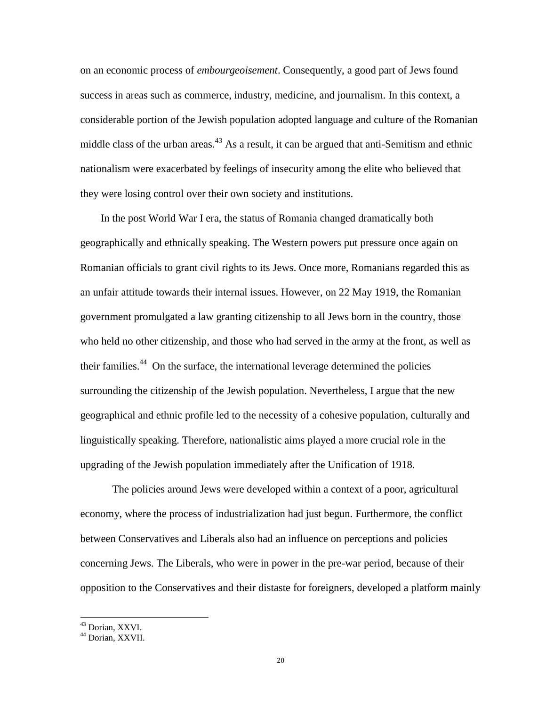on an economic process of *embourgeoisement*. Consequently, a good part of Jews found success in areas such as commerce, industry, medicine, and journalism. In this context, a considerable portion of the Jewish population adopted language and culture of the Romanian middle class of the urban areas.<sup>43</sup> As a result, it can be argued that anti-Semitism and ethnic nationalism were exacerbated by feelings of insecurity among the elite who believed that they were losing control over their own society and institutions.

In the post World War I era, the status of Romania changed dramatically both geographically and ethnically speaking. The Western powers put pressure once again on Romanian officials to grant civil rights to its Jews. Once more, Romanians regarded this as an unfair attitude towards their internal issues. However, on 22 May 1919, the Romanian government promulgated a law granting citizenship to all Jews born in the country, those who held no other citizenship, and those who had served in the army at the front, as well as their families.<sup>44</sup> On the surface, the international leverage determined the policies surrounding the citizenship of the Jewish population. Nevertheless, I argue that the new geographical and ethnic profile led to the necessity of a cohesive population, culturally and linguistically speaking. Therefore, nationalistic aims played a more crucial role in the upgrading of the Jewish population immediately after the Unification of 1918.

The policies around Jews were developed within a context of a poor, agricultural economy, where the process of industrialization had just begun. Furthermore, the conflict between Conservatives and Liberals also had an influence on perceptions and policies concerning Jews. The Liberals, who were in power in the pre-war period, because of their opposition to the Conservatives and their distaste for foreigners, developed a platform mainly

l

<sup>43</sup> Dorian, XXVI.

<sup>&</sup>lt;sup>44</sup> Dorian, XXVII.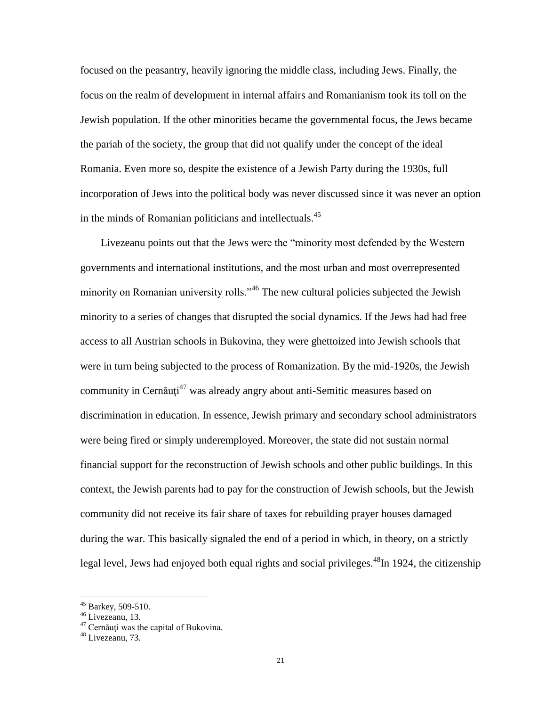focused on the peasantry, heavily ignoring the middle class, including Jews. Finally, the focus on the realm of development in internal affairs and Romanianism took its toll on the Jewish population. If the other minorities became the governmental focus, the Jews became the pariah of the society, the group that did not qualify under the concept of the ideal Romania. Even more so, despite the existence of a Jewish Party during the 1930s, full incorporation of Jews into the political body was never discussed since it was never an option in the minds of Romanian politicians and intellectuals.<sup>45</sup>

Livezeanu points out that the Jews were the "minority most defended by the Western governments and international institutions, and the most urban and most overrepresented minority on Romanian university rolls."<sup>46</sup> The new cultural policies subjected the Jewish minority to a series of changes that disrupted the social dynamics. If the Jews had had free access to all Austrian schools in Bukovina, they were ghettoized into Jewish schools that were in turn being subjected to the process of Romanization. By the mid-1920s, the Jewish community in Cernăuți<sup>47</sup> was already angry about anti-Semitic measures based on discrimination in education. In essence, Jewish primary and secondary school administrators were being fired or simply underemployed. Moreover, the state did not sustain normal financial support for the reconstruction of Jewish schools and other public buildings. In this context, the Jewish parents had to pay for the construction of Jewish schools, but the Jewish community did not receive its fair share of taxes for rebuilding prayer houses damaged during the war. This basically signaled the end of a period in which, in theory, on a strictly legal level, Jews had enjoyed both equal rights and social privileges.  $^{48}$ In 1924, the citizenship

 $45$  Barkey, 509-510.

 $^{46}$  Livezeanu, 13.

 $47$  Cernăuti was the capital of Bukovina.

 $48$  Livezeanu, 73.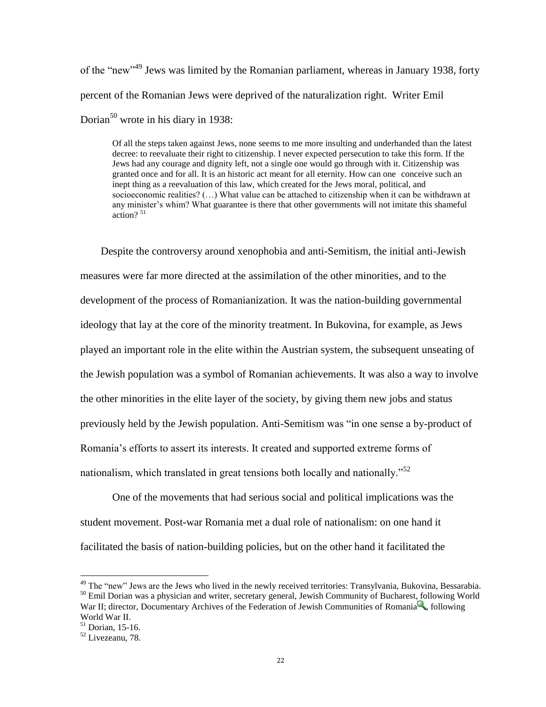of the "new"<sup>49</sup> Jews was limited by the Romanian parliament, whereas in January 1938, forty percent of the Romanian Jews were deprived of the naturalization right. Writer Emil Dorian<sup>50</sup> wrote in his diary in 1938:

Of all the steps taken against Jews, none seems to me more insulting and underhanded than the latest decree: to reevaluate their right to citizenship. I never expected persecution to take this form. If the Jews had any courage and dignity left, not a single one would go through with it. Citizenship was granted once and for all. It is an historic act meant for all eternity. How can one conceive such an inept thing as a reevaluation of this law, which created for the Jews moral, political, and socioeconomic realities? (…) What value can be attached to citizenship when it can be withdrawn at any minister"s whim? What guarantee is there that other governments will not imitate this shameful action? $51$ 

Despite the controversy around xenophobia and anti-Semitism, the initial anti-Jewish measures were far more directed at the assimilation of the other minorities, and to the development of the process of Romanianization. It was the nation-building governmental ideology that lay at the core of the minority treatment. In Bukovina, for example, as Jews played an important role in the elite within the Austrian system, the subsequent unseating of the Jewish population was a symbol of Romanian achievements. It was also a way to involve the other minorities in the elite layer of the society, by giving them new jobs and status previously held by the Jewish population. Anti-Semitism was "in one sense a by-product of Romania"s efforts to assert its interests. It created and supported extreme forms of nationalism, which translated in great tensions both locally and nationally.<sup>552</sup>

One of the movements that had serious social and political implications was the student movement. Post-war Romania met a dual role of nationalism: on one hand it facilitated the basis of nation-building policies, but on the other hand it facilitated the

<sup>&</sup>lt;sup>49</sup> The "new" Jews are the Jews who lived in the newly received territories: Transylvania, Bukovina, Bessarabia. <sup>50</sup> Emil Dorian was a physician and writer, secretary general, Jewish Community of Bucharest, following World War II; director[, Documentary](http://www.novelguide.com/a/discover/rghl_01/rghl_01_00059.html) Archives of the Federation of Jewish Communities of [Romania](http://www.novelguide.com/a/discover/rghl_01/rghl_01_00059.html)  $\mathbb{R}$ , following World War II.

<sup>51</sup> Dorian, 15-16.

 $52$  Livezeanu, 78.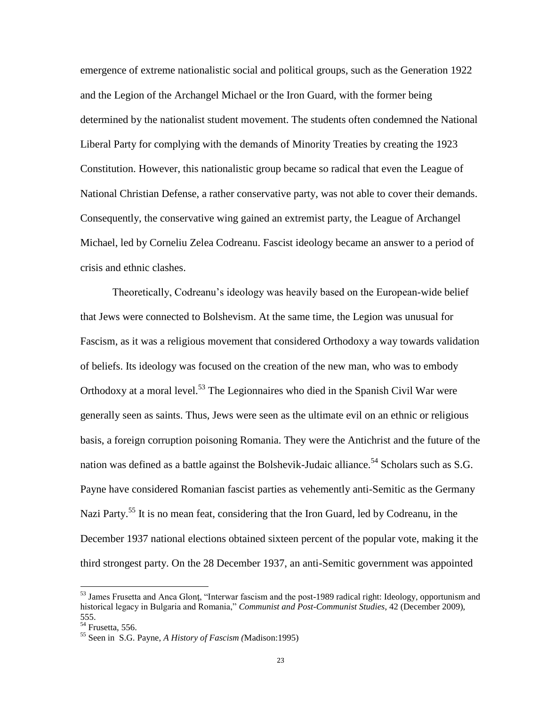emergence of extreme nationalistic social and political groups, such as the Generation 1922 and the Legion of the Archangel Michael or the Iron Guard, with the former being determined by the nationalist student movement. The students often condemned the National Liberal Party for complying with the demands of Minority Treaties by creating the 1923 Constitution. However, this nationalistic group became so radical that even the League of National Christian Defense, a rather conservative party, was not able to cover their demands. Consequently, the conservative wing gained an extremist party, the League of Archangel Michael, led by Corneliu Zelea Codreanu. Fascist ideology became an answer to a period of crisis and ethnic clashes.

Theoretically, Codreanu"s ideology was heavily based on the European-wide belief that Jews were connected to Bolshevism. At the same time, the Legion was unusual for Fascism, as it was a religious movement that considered Orthodoxy a way towards validation of beliefs. Its ideology was focused on the creation of the new man, who was to embody Orthodoxy at a moral level.<sup>53</sup> The Legionnaires who died in the Spanish Civil War were generally seen as saints. Thus, Jews were seen as the ultimate evil on an ethnic or religious basis, a foreign corruption poisoning Romania. They were the Antichrist and the future of the nation was defined as a battle against the Bolshevik-Judaic alliance.<sup>54</sup> Scholars such as S.G. Payne have considered Romanian fascist parties as vehemently anti-Semitic as the Germany Nazi Party.<sup>55</sup> It is no mean feat, considering that the Iron Guard, led by Codreanu, in the December 1937 national elections obtained sixteen percent of the popular vote, making it the third strongest party. On the 28 December 1937, an anti-Semitic government was appointed

<sup>&</sup>lt;sup>53</sup> James Frusetta and Anca Glont, "Interwar fascism and the post-1989 radical right: Ideology, opportunism and historical legacy in Bulgaria and Romania," *Communist and Post-Communist Studies*, 42 (December 2009), 555.

 $54$  Frusetta, 556.

<sup>55</sup> Seen in S.G. Payne, *A History of Fascism (*Madison:1995)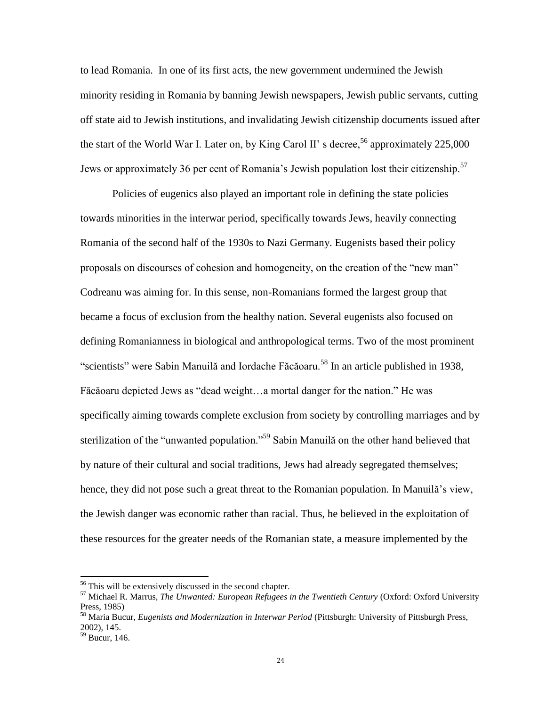to lead Romania. In one of its first acts, the new government undermined the Jewish minority residing in Romania by banning Jewish newspapers, Jewish public servants, cutting off state aid to Jewish institutions, and invalidating Jewish citizenship documents issued after the start of the World War I. Later on, by King Carol II' s decree,  $56$  approximately 225,000 Jews or approximately 36 per cent of Romania's Jewish population lost their citizenship.<sup>57</sup>

Policies of eugenics also played an important role in defining the state policies towards minorities in the interwar period, specifically towards Jews, heavily connecting Romania of the second half of the 1930s to Nazi Germany. Eugenists based their policy proposals on discourses of cohesion and homogeneity, on the creation of the "new man" Codreanu was aiming for. In this sense, non-Romanians formed the largest group that became a focus of exclusion from the healthy nation. Several eugenists also focused on defining Romanianness in biological and anthropological terms. Two of the most prominent "scientists" were Sabin Manuilă and Iordache Făcăoaru.<sup>58</sup> In an article published in 1938, Făcăoaru depicted Jews as "dead weight…a mortal danger for the nation." He was specifically aiming towards complete exclusion from society by controlling marriages and by sterilization of the "unwanted population."<sup>59</sup> Sabin Manuilă on the other hand believed that by nature of their cultural and social traditions, Jews had already segregated themselves; hence, they did not pose such a great threat to the Romanian population. In Manuilă's view, the Jewish danger was economic rather than racial. Thus, he believed in the exploitation of these resources for the greater needs of the Romanian state, a measure implemented by the

<sup>&</sup>lt;sup>56</sup> This will be extensively discussed in the second chapter.

<sup>57</sup> Michael R. Marrus, *The Unwanted: European Refugees in the Twentieth Century* (Oxford: Oxford University Press, 1985)

<sup>58</sup> Maria Bucur, *Eugenists and Modernization in Interwar Period* (Pittsburgh: University of Pittsburgh Press, 2002), 145.

<sup>59</sup> Bucur, 146.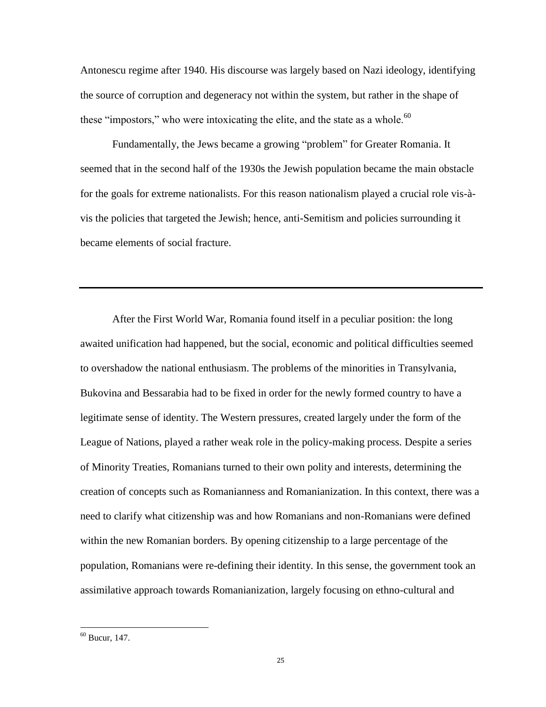Antonescu regime after 1940. His discourse was largely based on Nazi ideology, identifying the source of corruption and degeneracy not within the system, but rather in the shape of these "impostors," who were intoxicating the elite, and the state as a whole.<sup>60</sup>

Fundamentally, the Jews became a growing "problem" for Greater Romania. It seemed that in the second half of the 1930s the Jewish population became the main obstacle for the goals for extreme nationalists. For this reason nationalism played a crucial role vis-àvis the policies that targeted the Jewish; hence, anti-Semitism and policies surrounding it became elements of social fracture.

After the First World War, Romania found itself in a peculiar position: the long awaited unification had happened, but the social, economic and political difficulties seemed to overshadow the national enthusiasm. The problems of the minorities in Transylvania, Bukovina and Bessarabia had to be fixed in order for the newly formed country to have a legitimate sense of identity. The Western pressures, created largely under the form of the League of Nations, played a rather weak role in the policy-making process. Despite a series of Minority Treaties, Romanians turned to their own polity and interests, determining the creation of concepts such as Romanianness and Romanianization. In this context, there was a need to clarify what citizenship was and how Romanians and non-Romanians were defined within the new Romanian borders. By opening citizenship to a large percentage of the population, Romanians were re-defining their identity. In this sense, the government took an assimilative approach towards Romanianization, largely focusing on ethno-cultural and

 $60$  Bucur, 147.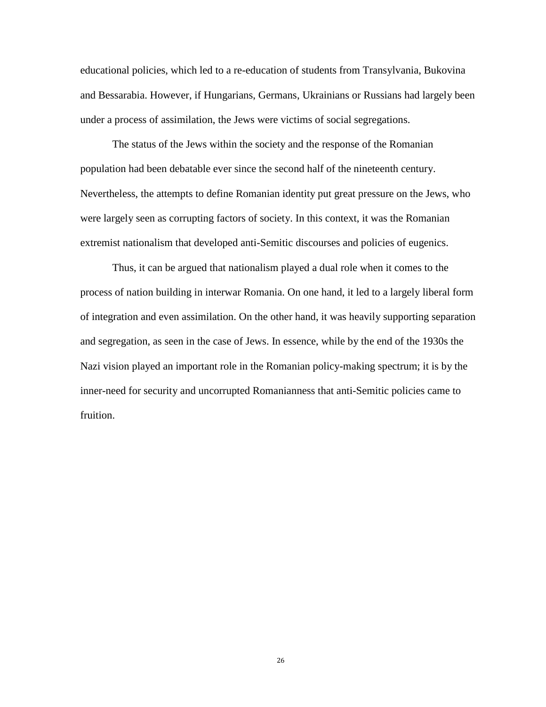educational policies, which led to a re-education of students from Transylvania, Bukovina and Bessarabia. However, if Hungarians, Germans, Ukrainians or Russians had largely been under a process of assimilation, the Jews were victims of social segregations.

The status of the Jews within the society and the response of the Romanian population had been debatable ever since the second half of the nineteenth century. Nevertheless, the attempts to define Romanian identity put great pressure on the Jews, who were largely seen as corrupting factors of society. In this context, it was the Romanian extremist nationalism that developed anti-Semitic discourses and policies of eugenics.

Thus, it can be argued that nationalism played a dual role when it comes to the process of nation building in interwar Romania. On one hand, it led to a largely liberal form of integration and even assimilation. On the other hand, it was heavily supporting separation and segregation, as seen in the case of Jews. In essence, while by the end of the 1930s the Nazi vision played an important role in the Romanian policy-making spectrum; it is by the inner-need for security and uncorrupted Romanianness that anti-Semitic policies came to fruition.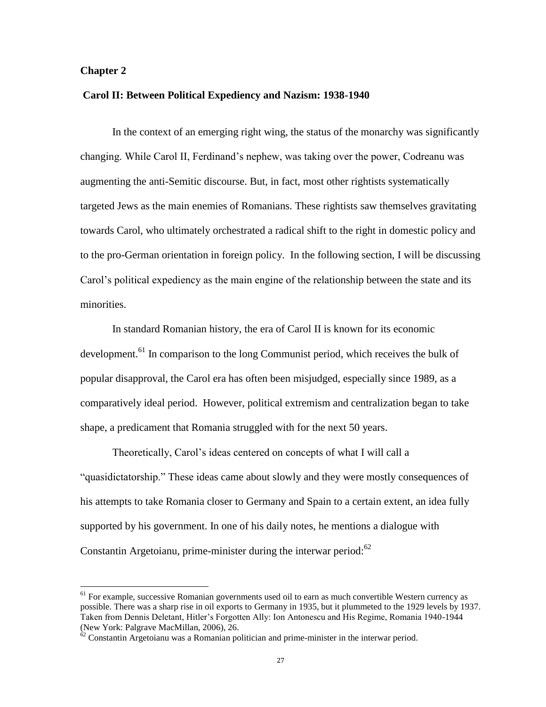## **Chapter 2**

 $\overline{a}$ 

#### **Carol II: Between Political Expediency and Nazism: 1938-1940**

In the context of an emerging right wing, the status of the monarchy was significantly changing. While Carol II, Ferdinand"s nephew, was taking over the power, Codreanu was augmenting the anti-Semitic discourse. But, in fact, most other rightists systematically targeted Jews as the main enemies of Romanians. These rightists saw themselves gravitating towards Carol, who ultimately orchestrated a radical shift to the right in domestic policy and to the pro-German orientation in foreign policy. In the following section, I will be discussing Carol"s political expediency as the main engine of the relationship between the state and its minorities.

In standard Romanian history, the era of Carol II is known for its economic development.<sup>61</sup> In comparison to the long Communist period, which receives the bulk of popular disapproval, the Carol era has often been misjudged, especially since 1989, as a comparatively ideal period. However, political extremism and centralization began to take shape, a predicament that Romania struggled with for the next 50 years.

Theoretically, Carol"s ideas centered on concepts of what I will call a "quasidictatorship." These ideas came about slowly and they were mostly consequences of his attempts to take Romania closer to Germany and Spain to a certain extent, an idea fully supported by his government. In one of his daily notes, he mentions a dialogue with Constantin Argetoianu, prime-minister during the interwar period: $62$ 

<sup>&</sup>lt;sup>61</sup> For example, successive Romanian governments used oil to earn as much convertible Western currency as possible. There was a sharp rise in oil exports to Germany in 1935, but it plummeted to the 1929 levels by 1937. Taken from Dennis Deletant, Hitler"s Forgotten Ally: Ion Antonescu and His Regime, Romania 1940-1944 (New York: Palgrave MacMillan, 2006), 26.

 $62$  Constantin Argetoianu was a Romanian politician and prime-minister in the interwar period.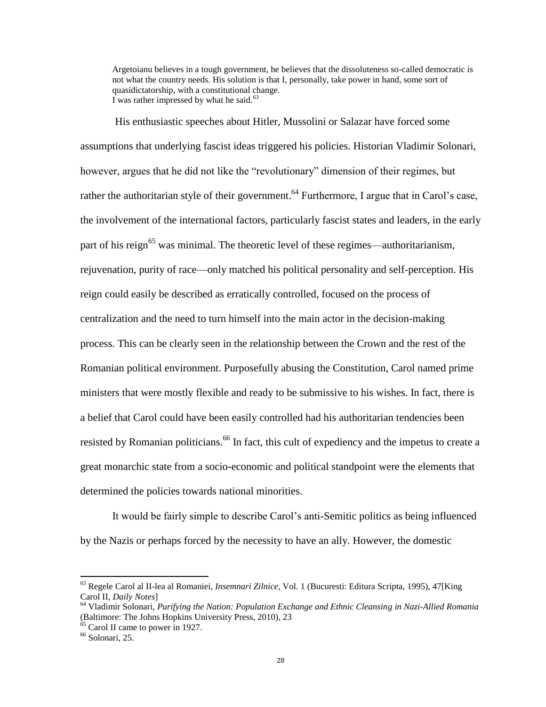Argetoianu believes in a tough government, he believes that the dissoluteness so-called democratic is not what the country needs. His solution is that I, personally, take power in hand, some sort of quasidictatorship, with a constitutional change. I was rather impressed by what he said. $63$ 

His enthusiastic speeches about Hitler, Mussolini or Salazar have forced some assumptions that underlying fascist ideas triggered his policies. Historian Vladimir Solonari, however, argues that he did not like the "revolutionary" dimension of their regimes, but rather the authoritarian style of their government.<sup>64</sup> Furthermore, I argue that in Carol's case, the involvement of the international factors, particularly fascist states and leaders, in the early part of his reign<sup>65</sup> was minimal. The theoretic level of these regimes—authoritarianism, rejuvenation, purity of race—only matched his political personality and self-perception. His reign could easily be described as erratically controlled, focused on the process of centralization and the need to turn himself into the main actor in the decision-making process. This can be clearly seen in the relationship between the Crown and the rest of the Romanian political environment. Purposefully abusing the Constitution, Carol named prime ministers that were mostly flexible and ready to be submissive to his wishes. In fact, there is a belief that Carol could have been easily controlled had his authoritarian tendencies been resisted by Romanian politicians.<sup>66</sup> In fact, this cult of expediency and the impetus to create a great monarchic state from a socio-economic and political standpoint were the elements that determined the policies towards national minorities.

It would be fairly simple to describe Carol"s anti-Semitic politics as being influenced by the Nazis or perhaps forced by the necessity to have an ally. However, the domestic

<sup>63</sup> Regele Carol al II-lea al Romaniei, *Insemnari Zilnice*, Vol. 1 (Bucuresti: Editura Scripta, 1995), 47[King Carol II, *Daily Notes*]

<sup>64</sup> Vladimir Solonari, *Purifying the Nation: Population Exchange and Ethnic Cleansing in Nazi-Allied Romania* (Baltimore: The Johns Hopkins University Press, 2010), 23

 $65$  Carol II came to power in 1927.

 $66$  Solonari, 25.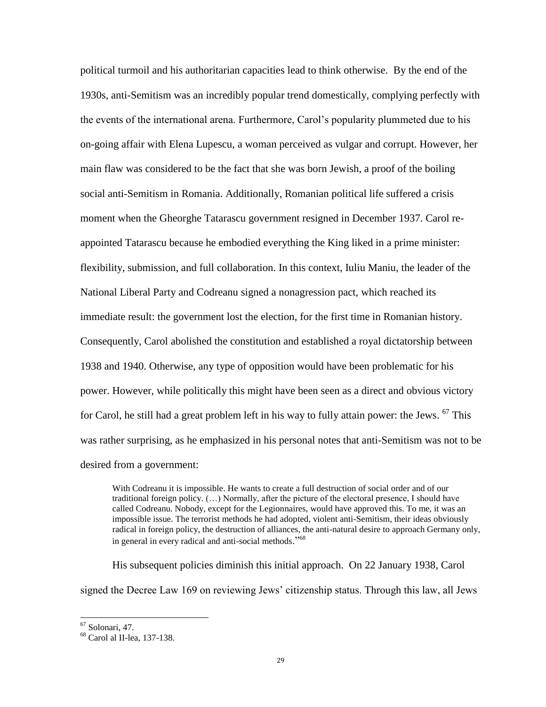political turmoil and his authoritarian capacities lead to think otherwise. By the end of the 1930s, anti-Semitism was an incredibly popular trend domestically, complying perfectly with the events of the international arena. Furthermore, Carol"s popularity plummeted due to his on-going affair with Elena Lupescu, a woman perceived as vulgar and corrupt. However, her main flaw was considered to be the fact that she was born Jewish, a proof of the boiling social anti-Semitism in Romania. Additionally, Romanian political life suffered a crisis moment when the Gheorghe Tatarascu government resigned in December 1937. Carol reappointed Tatarascu because he embodied everything the King liked in a prime minister: flexibility, submission, and full collaboration. In this context, Iuliu Maniu, the leader of the National Liberal Party and Codreanu signed a nonagression pact, which reached its immediate result: the government lost the election, for the first time in Romanian history. Consequently, Carol abolished the constitution and established a royal dictatorship between 1938 and 1940. Otherwise, any type of opposition would have been problematic for his power. However, while politically this might have been seen as a direct and obvious victory for Carol, he still had a great problem left in his way to fully attain power: the Jews. <sup>67</sup> This was rather surprising, as he emphasized in his personal notes that anti-Semitism was not to be desired from a government:

With Codreanu it is impossible. He wants to create a full destruction of social order and of our traditional foreign policy. (…) Normally, after the picture of the electoral presence, I should have called Codreanu. Nobody, except for the Legionnaires, would have approved this. To me, it was an impossible issue. The terrorist methods he had adopted, violent anti-Semitism, their ideas obviously radical in foreign policy, the destruction of alliances, the anti-natural desire to approach Germany only, in general in every radical and anti-social methods."<sup>68</sup>

His subsequent policies diminish this initial approach. On 22 January 1938, Carol signed the Decree Law 169 on reviewing Jews" citizenship status. Through this law, all Jews

l

<sup>67</sup> Solonari, 47.

<sup>68</sup> Carol al II-lea, 137-138.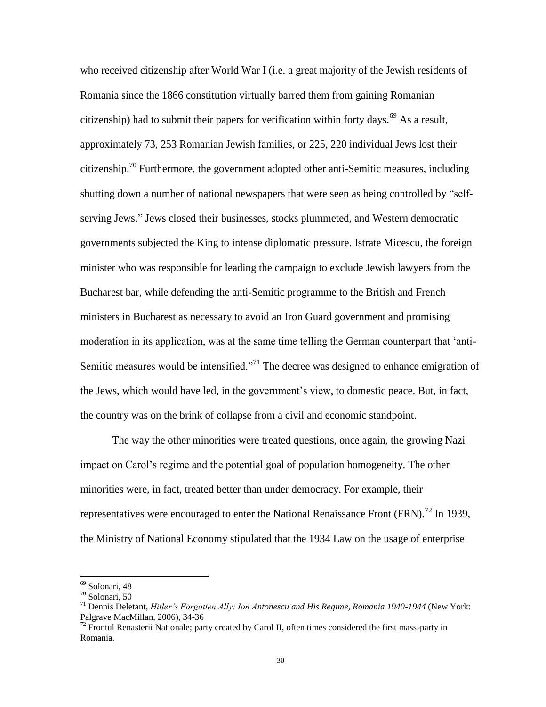who received citizenship after World War I (i.e. a great majority of the Jewish residents of Romania since the 1866 constitution virtually barred them from gaining Romanian citizenship) had to submit their papers for verification within forty days.<sup>69</sup> As a result, approximately 73, 253 Romanian Jewish families, or 225, 220 individual Jews lost their citizenship.<sup>70</sup> Furthermore, the government adopted other anti-Semitic measures, including shutting down a number of national newspapers that were seen as being controlled by "selfserving Jews." Jews closed their businesses, stocks plummeted, and Western democratic governments subjected the King to intense diplomatic pressure. Istrate Micescu, the foreign minister who was responsible for leading the campaign to exclude Jewish lawyers from the Bucharest bar, while defending the anti-Semitic programme to the British and French ministers in Bucharest as necessary to avoid an Iron Guard government and promising moderation in its application, was at the same time telling the German counterpart that "anti-Semitic measures would be intensified."<sup>71</sup> The decree was designed to enhance emigration of the Jews, which would have led, in the government"s view, to domestic peace. But, in fact, the country was on the brink of collapse from a civil and economic standpoint.

The way the other minorities were treated questions, once again, the growing Nazi impact on Carol"s regime and the potential goal of population homogeneity. The other minorities were, in fact, treated better than under democracy. For example, their representatives were encouraged to enter the National Renaissance Front (FRN).<sup>72</sup> In 1939, the Ministry of National Economy stipulated that the 1934 Law on the usage of enterprise

<sup>69</sup> Solonari, 48

<sup>70</sup> Solonari, 50

<sup>71</sup> Dennis Deletant, *Hitler's Forgotten Ally: Ion Antonescu and His Regime, Romania 1940-1944* (New York: Palgrave MacMillan, 2006), 34-36

 $72$  Frontul Renasterii Nationale; party created by Carol II, often times considered the first mass-party in Romania.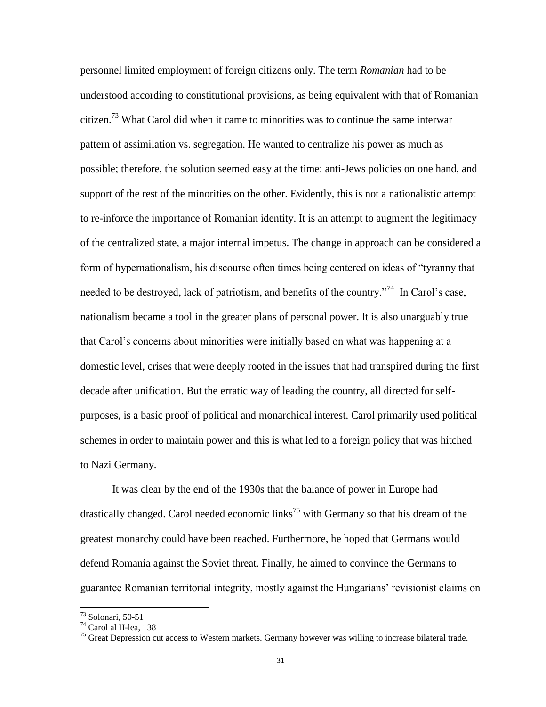personnel limited employment of foreign citizens only. The term *Romanian* had to be understood according to constitutional provisions, as being equivalent with that of Romanian citizen.<sup>73</sup> What Carol did when it came to minorities was to continue the same interwar pattern of assimilation vs. segregation. He wanted to centralize his power as much as possible; therefore, the solution seemed easy at the time: anti-Jews policies on one hand, and support of the rest of the minorities on the other. Evidently, this is not a nationalistic attempt to re-inforce the importance of Romanian identity. It is an attempt to augment the legitimacy of the centralized state, a major internal impetus. The change in approach can be considered a form of hypernationalism, his discourse often times being centered on ideas of "tyranny that needed to be destroyed, lack of patriotism, and benefits of the country."<sup>74</sup> In Carol's case, nationalism became a tool in the greater plans of personal power. It is also unarguably true that Carol"s concerns about minorities were initially based on what was happening at a domestic level, crises that were deeply rooted in the issues that had transpired during the first decade after unification. But the erratic way of leading the country, all directed for selfpurposes, is a basic proof of political and monarchical interest. Carol primarily used political schemes in order to maintain power and this is what led to a foreign policy that was hitched to Nazi Germany.

It was clear by the end of the 1930s that the balance of power in Europe had drastically changed. Carol needed economic links<sup>75</sup> with Germany so that his dream of the greatest monarchy could have been reached. Furthermore, he hoped that Germans would defend Romania against the Soviet threat. Finally, he aimed to convince the Germans to guarantee Romanian territorial integrity, mostly against the Hungarians" revisionist claims on

<sup>73</sup> Solonari, 50-51

<sup>74</sup> Carol al II-lea, 138

<sup>&</sup>lt;sup>75</sup> Great Depression cut access to Western markets. Germany however was willing to increase bilateral trade.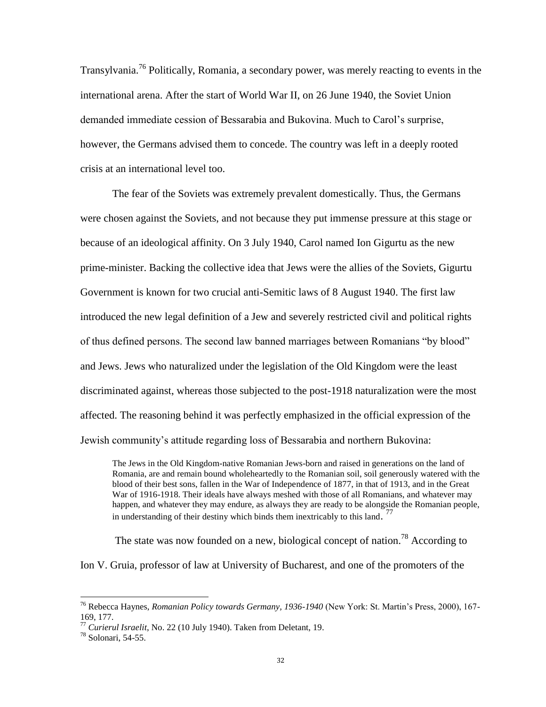Transylvania.<sup>76</sup> Politically, Romania, a secondary power, was merely reacting to events in the international arena. After the start of World War II, on 26 June 1940, the Soviet Union demanded immediate cession of Bessarabia and Bukovina. Much to Carol"s surprise, however, the Germans advised them to concede. The country was left in a deeply rooted crisis at an international level too.

The fear of the Soviets was extremely prevalent domestically. Thus, the Germans were chosen against the Soviets, and not because they put immense pressure at this stage or because of an ideological affinity. On 3 July 1940, Carol named Ion Gigurtu as the new prime-minister. Backing the collective idea that Jews were the allies of the Soviets, Gigurtu Government is known for two crucial anti-Semitic laws of 8 August 1940. The first law introduced the new legal definition of a Jew and severely restricted civil and political rights of thus defined persons. The second law banned marriages between Romanians "by blood" and Jews. Jews who naturalized under the legislation of the Old Kingdom were the least discriminated against, whereas those subjected to the post-1918 naturalization were the most affected. The reasoning behind it was perfectly emphasized in the official expression of the Jewish community"s attitude regarding loss of Bessarabia and northern Bukovina:

The Jews in the Old Kingdom-native Romanian Jews-born and raised in generations on the land of Romania, are and remain bound wholeheartedly to the Romanian soil, soil generously watered with the blood of their best sons, fallen in the War of Independence of 1877, in that of 1913, and in the Great War of 1916-1918. Their ideals have always meshed with those of all Romanians, and whatever may happen, and whatever they may endure, as always they are ready to be alongside the Romanian people, in understanding of their destiny which binds them inextricably to this land.<sup>77</sup>

The state was now founded on a new, biological concept of nation.<sup>78</sup> According to

Ion V. Gruia, professor of law at University of Bucharest, and one of the promoters of the

<sup>76</sup> Rebecca Haynes, *Romanian Policy towards Germany, 1936-1940* (New York: St. Martin"s Press, 2000), 167- 169, 177.

<sup>77</sup> *Curierul Israelit*, No. 22 (10 July 1940). Taken from Deletant, 19.

 $^{78}$  Solonari, 54-55.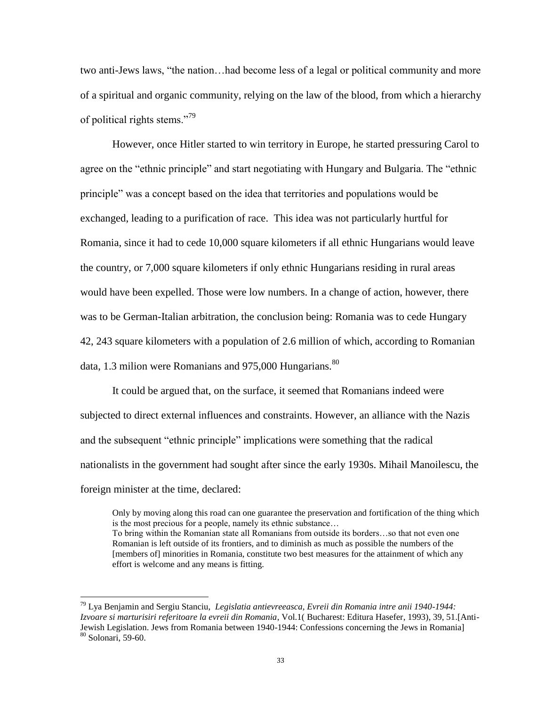two anti-Jews laws, "the nation…had become less of a legal or political community and more of a spiritual and organic community, relying on the law of the blood, from which a hierarchy of political rights stems."<sup>79</sup>

However, once Hitler started to win territory in Europe, he started pressuring Carol to agree on the "ethnic principle" and start negotiating with Hungary and Bulgaria. The "ethnic principle" was a concept based on the idea that territories and populations would be exchanged, leading to a purification of race. This idea was not particularly hurtful for Romania, since it had to cede 10,000 square kilometers if all ethnic Hungarians would leave the country, or 7,000 square kilometers if only ethnic Hungarians residing in rural areas would have been expelled. Those were low numbers. In a change of action, however, there was to be German-Italian arbitration, the conclusion being: Romania was to cede Hungary 42, 243 square kilometers with a population of 2.6 million of which, according to Romanian data, 1.3 milion were Romanians and 975,000 Hungarians. $^{80}$ 

It could be argued that, on the surface, it seemed that Romanians indeed were subjected to direct external influences and constraints. However, an alliance with the Nazis and the subsequent "ethnic principle" implications were something that the radical nationalists in the government had sought after since the early 1930s. Mihail Manoilescu, the foreign minister at the time, declared:

Only by moving along this road can one guarantee the preservation and fortification of the thing which is the most precious for a people, namely its ethnic substance… To bring within the Romanian state all Romanians from outside its borders…so that not even one Romanian is left outside of its frontiers, and to diminish as much as possible the numbers of the [members of] minorities in Romania, constitute two best measures for the attainment of which any effort is welcome and any means is fitting.

<sup>79</sup> Lya Benjamin and Sergiu Stanciu, *Legislatia antievreeasca, Evreii din Romania intre anii 1940-1944: Izvoare si marturisiri referitoare la evreii din Romania*, Vol.1( Bucharest: Editura Hasefer, 1993), 39, 51.[Anti-Jewish Legislation. Jews from Romania between 1940-1944: Confessions concerning the Jews in Romania] <sup>80</sup> Solonari, 59-60.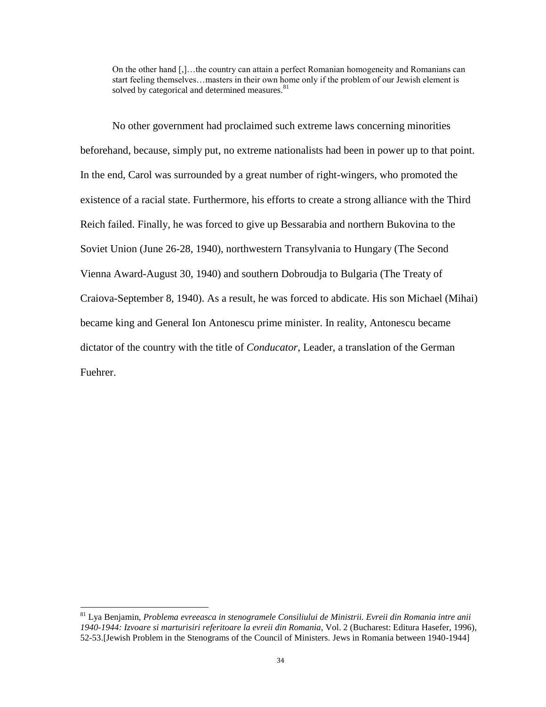On the other hand [,]…the country can attain a perfect Romanian homogeneity and Romanians can start feeling themselves…masters in their own home only if the problem of our Jewish element is solved by categorical and determined measures.<sup>81</sup>

No other government had proclaimed such extreme laws concerning minorities beforehand, because, simply put, no extreme nationalists had been in power up to that point. In the end, Carol was surrounded by a great number of right-wingers, who promoted the existence of a racial state. Furthermore, his efforts to create a strong alliance with the Third Reich failed. Finally, he was forced to give up Bessarabia and northern Bukovina to the Soviet Union (June 26-28, 1940), northwestern Transylvania to Hungary (The Second Vienna Award-August 30, 1940) and southern Dobroudja to Bulgaria (The Treaty of Craiova-September 8, 1940). As a result, he was forced to abdicate. His son Michael (Mihai) became king and General Ion Antonescu prime minister. In reality, Antonescu became dictator of the country with the title of *Conducator*, Leader, a translation of the German Fuehrer.

<sup>81</sup> Lya Benjamin, *Problema evreeasca in stenogramele Consiliului de Ministrii. Evreii din Romania intre anii 1940-1944: Izvoare si marturisiri referitoare la evreii din Romania*, Vol. 2 (Bucharest: Editura Hasefer, 1996), 52-53.[Jewish Problem in the Stenograms of the Council of Ministers. Jews in Romania between 1940-1944]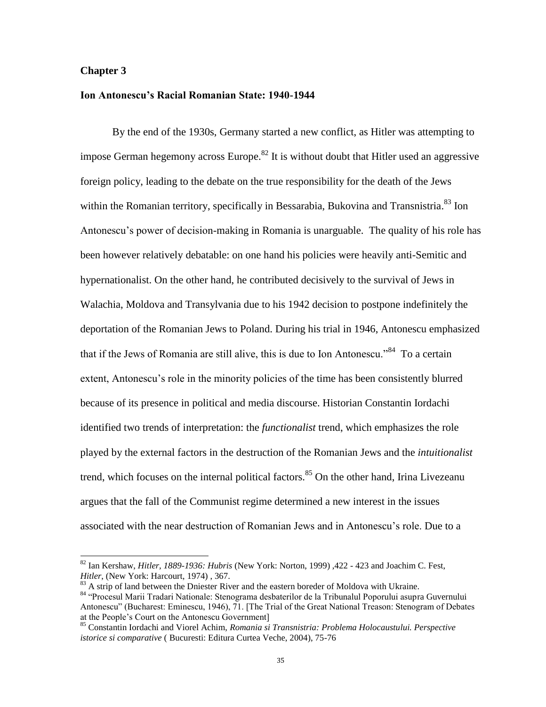## **Chapter 3**

l

# **Ion Antonescu's Racial Romanian State: 1940-1944**

By the end of the 1930s, Germany started a new conflict, as Hitler was attempting to impose German hegemony across Europe.<sup>82</sup> It is without doubt that Hitler used an aggressive foreign policy, leading to the debate on the true responsibility for the death of the Jews within the Romanian territory, specifically in Bessarabia, Bukovina and Transnistria.<sup>83</sup> Ion Antonescu"s power of decision-making in Romania is unarguable. The quality of his role has been however relatively debatable: on one hand his policies were heavily anti-Semitic and hypernationalist. On the other hand, he contributed decisively to the survival of Jews in Walachia, Moldova and Transylvania due to his 1942 decision to postpone indefinitely the deportation of the Romanian Jews to Poland. During his trial in 1946, Antonescu emphasized that if the Jews of Romania are still alive, this is due to Ion Antonescu."<sup>84</sup> To a certain extent, Antonescu's role in the minority policies of the time has been consistently blurred because of its presence in political and media discourse. Historian Constantin Iordachi identified two trends of interpretation: the *functionalist* trend, which emphasizes the role played by the external factors in the destruction of the Romanian Jews and the *intuitionalist* trend, which focuses on the internal political factors.<sup>85</sup> On the other hand, Irina Livezeanu argues that the fall of the Communist regime determined a new interest in the issues associated with the near destruction of Romanian Jews and in Antonescu"s role. Due to a

<sup>82</sup> Ian Kershaw, *Hitler, 1889-1936: Hubris* (New York: Norton, 1999) ,422 - 423 and Joachim C. Fest, *Hitler*, (New York: Harcourt, 1974) , 367.

 $83$  A strip of land between the Dniester River and the eastern boreder of Moldova with Ukraine.

<sup>84 &</sup>quot;Procesul Marii Tradari Nationale: Stenograma desbaterilor de la Tribunalul Poporului asupra Guvernului Antonescu" (Bucharest: Eminescu, 1946), 71. [The Trial of the Great National Treason: Stenogram of Debates at the People"s Court on the Antonescu Government]

<sup>85</sup> Constantin Iordachi and Viorel Achim, *Romania si Transnistria: Problema Holocaustului. Perspective istorice si comparative* ( Bucuresti: Editura Curtea Veche, 2004), 75-76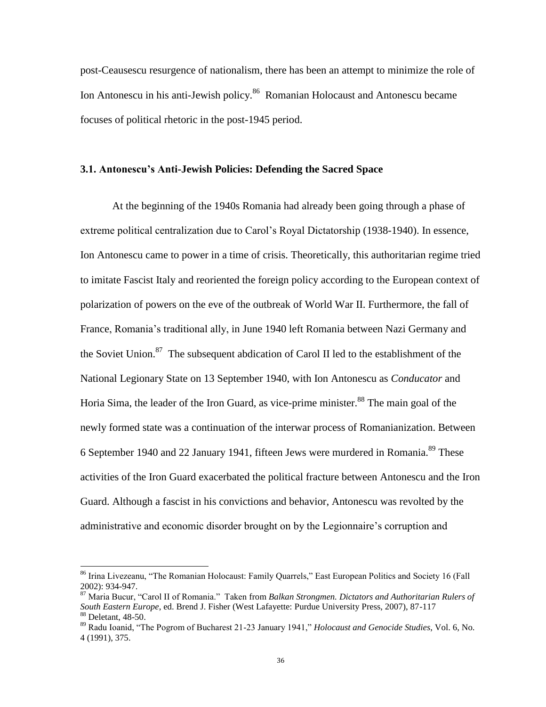post-Ceausescu resurgence of nationalism, there has been an attempt to minimize the role of Ion Antonescu in his anti-Jewish policy.<sup>86</sup> Romanian Holocaust and Antonescu became focuses of political rhetoric in the post-1945 period.

### **3.1. Antonescu's Anti-Jewish Policies: Defending the Sacred Space**

At the beginning of the 1940s Romania had already been going through a phase of extreme political centralization due to Carol"s Royal Dictatorship (1938-1940). In essence, Ion Antonescu came to power in a time of crisis. Theoretically, this authoritarian regime tried to imitate Fascist Italy and reoriented the foreign policy according to the European context of polarization of powers on the eve of the outbreak of World War II. Furthermore, the fall of France, Romania"s traditional ally, in June 1940 left Romania between Nazi Germany and the Soviet Union.<sup>87</sup> The subsequent abdication of Carol II led to the establishment of the National Legionary State on 13 September 1940, with Ion Antonescu as *Conducator* and Horia Sima, the leader of the Iron Guard, as vice-prime minister.<sup>88</sup> The main goal of the newly formed state was a continuation of the interwar process of Romanianization. Between 6 September 1940 and 22 January 1941, fifteen Jews were murdered in Romania.<sup>89</sup> These activities of the Iron Guard exacerbated the political fracture between Antonescu and the Iron Guard. Although a fascist in his convictions and behavior, Antonescu was revolted by the administrative and economic disorder brought on by the Legionnaire"s corruption and

<sup>&</sup>lt;sup>86</sup> Irina Livezeanu, "The Romanian Holocaust: Family Quarrels," East European Politics and Society 16 (Fall 2002): 934-947.

<sup>87</sup> Maria Bucur, "Carol II of Romania." Taken from *Balkan Strongmen. Dictators and Authoritarian Rulers of South Eastern Europe*, ed. Brend J. Fisher (West Lafayette: Purdue University Press, 2007), 87-117 <sup>88</sup> Deletant, 48-50.

<sup>89</sup> Radu Ioanid, "The Pogrom of Bucharest 21-23 January 1941," *Holocaust and Genocide Studies*, Vol. 6, No. 4 (1991), 375.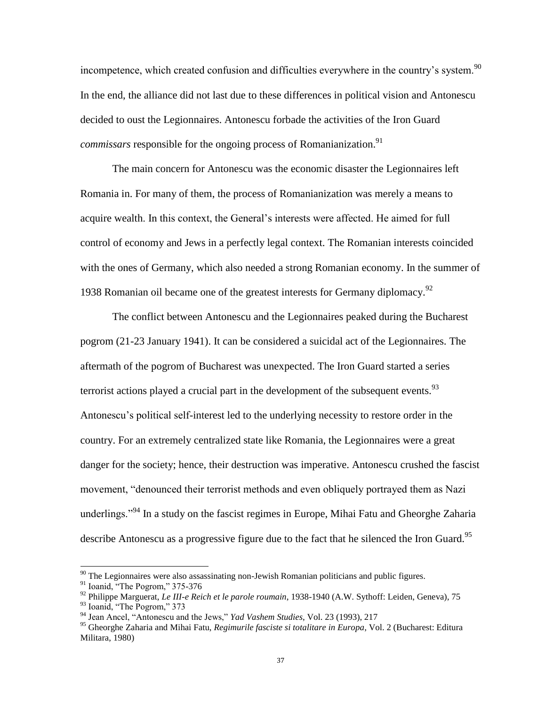incompetence, which created confusion and difficulties everywhere in the country's system.<sup>90</sup> In the end, the alliance did not last due to these differences in political vision and Antonescu decided to oust the Legionnaires. Antonescu forbade the activities of the Iron Guard *commissars* responsible for the ongoing process of Romanianization.<sup>91</sup>

The main concern for Antonescu was the economic disaster the Legionnaires left Romania in. For many of them, the process of Romanianization was merely a means to acquire wealth. In this context, the General"s interests were affected. He aimed for full control of economy and Jews in a perfectly legal context. The Romanian interests coincided with the ones of Germany, which also needed a strong Romanian economy. In the summer of 1938 Romanian oil became one of the greatest interests for Germany diplomacy.<sup>92</sup>

The conflict between Antonescu and the Legionnaires peaked during the Bucharest pogrom (21-23 January 1941). It can be considered a suicidal act of the Legionnaires. The aftermath of the pogrom of Bucharest was unexpected. The Iron Guard started a series terrorist actions played a crucial part in the development of the subsequent events.  $93$ Antonescu"s political self-interest led to the underlying necessity to restore order in the country. For an extremely centralized state like Romania, the Legionnaires were a great danger for the society; hence, their destruction was imperative. Antonescu crushed the fascist movement, "denounced their terrorist methods and even obliquely portrayed them as Nazi underlings."<sup>94</sup> In a study on the fascist regimes in Europe, Mihai Fatu and Gheorghe Zaharia describe Antonescu as a progressive figure due to the fact that he silenced the Iron Guard.<sup>95</sup>

 $90$  The Legionnaires were also assassinating non-Jewish Romanian politicians and public figures.

<sup>&</sup>lt;sup>91</sup> Ioanid, "The Pogrom," 375-376

<sup>92</sup> Philippe Marguerat, *Le III-e Reich et le parole roumain*, 1938-1940 (A.W. Sythoff: Leiden, Geneva), 75

<sup>93</sup> Ioanid, "The Pogrom," 373

<sup>94</sup> Jean Ancel, "Antonescu and the Jews," *Yad Vashem Studies*, Vol. 23 (1993), 217

<sup>95</sup> Gheorghe Zaharia and Mihai Fatu, *Regimurile fasciste si totalitare in Europa*, Vol. 2 (Bucharest: Editura Militara, 1980)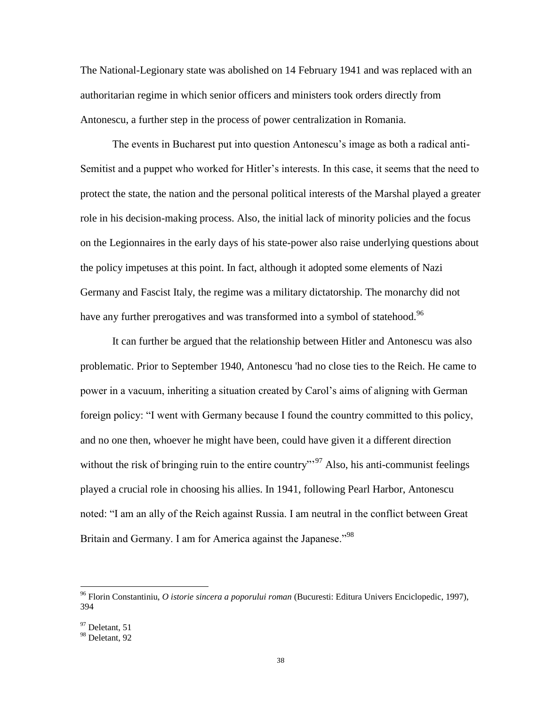The National-Legionary state was abolished on 14 February 1941 and was replaced with an authoritarian regime in which senior officers and ministers took orders directly from Antonescu, a further step in the process of power centralization in Romania.

The events in Bucharest put into question Antonescu"s image as both a radical anti-Semitist and a puppet who worked for Hitler"s interests. In this case, it seems that the need to protect the state, the nation and the personal political interests of the Marshal played a greater role in his decision-making process. Also, the initial lack of minority policies and the focus on the Legionnaires in the early days of his state-power also raise underlying questions about the policy impetuses at this point. In fact, although it adopted some elements of Nazi Germany and Fascist Italy, the regime was a military dictatorship. The monarchy did not have any further prerogatives and was transformed into a symbol of statehood.<sup>96</sup>

It can further be argued that the relationship between Hitler and Antonescu was also problematic. Prior to September 1940, Antonescu 'had no close ties to the Reich. He came to power in a vacuum, inheriting a situation created by Carol"s aims of aligning with German foreign policy: "I went with Germany because I found the country committed to this policy, and no one then, whoever he might have been, could have given it a different direction without the risk of bringing ruin to the entire country"<sup>97</sup> Also, his anti-communist feelings played a crucial role in choosing his allies. In 1941, following Pearl Harbor, Antonescu noted: "I am an ally of the Reich against Russia. I am neutral in the conflict between Great Britain and Germany. I am for America against the Japanese."<sup>98</sup>

<sup>96</sup> Florin Constantiniu, *O istorie sincera a poporului roman* (Bucuresti: Editura Univers Enciclopedic, 1997), 394

 $97$  Deletant, 51

<sup>98</sup> Deletant, 92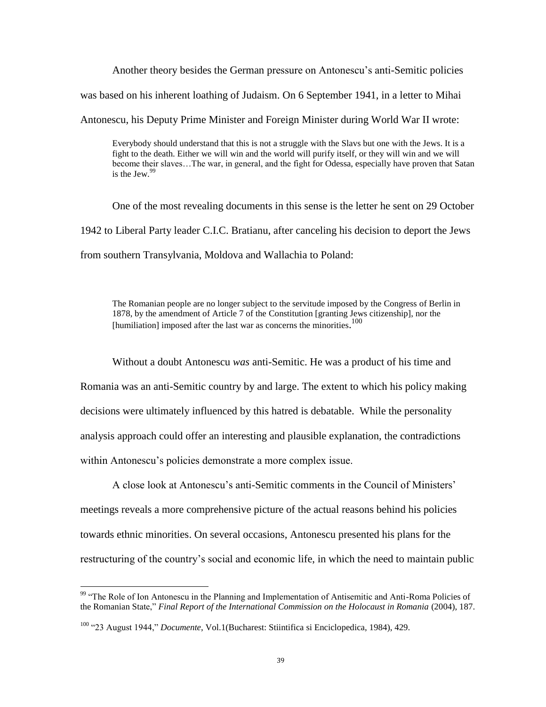Another theory besides the German pressure on Antonescu"s anti-Semitic policies was based on his inherent loathing of Judaism. On 6 September 1941, in a letter to Mihai Antonescu, his Deputy Prime Minister and Foreign Minister during World War II wrote:

Everybody should understand that this is not a struggle with the Slavs but one with the Jews. It is a fight to the death. Either we will win and the world will purify itself, or they will win and we will become their slaves…The war, in general, and the fight for Odessa, especially have proven that Satan is the Jew. $99$ 

One of the most revealing documents in this sense is the letter he sent on 29 October 1942 to Liberal Party leader C.I.C. Bratianu, after canceling his decision to deport the Jews from southern Transylvania, Moldova and Wallachia to Poland:

The Romanian people are no longer subject to the servitude imposed by the Congress of Berlin in 1878, by the amendment of Article 7 of the Constitution [granting Jews citizenship], nor the [humiliation] imposed after the last war as concerns the minorities.<sup>100</sup>

Without a doubt Antonescu *was* anti-Semitic. He was a product of his time and Romania was an anti-Semitic country by and large. The extent to which his policy making decisions were ultimately influenced by this hatred is debatable. While the personality analysis approach could offer an interesting and plausible explanation, the contradictions within Antonescu's policies demonstrate a more complex issue.

A close look at Antonescu"s anti-Semitic comments in the Council of Ministers" meetings reveals a more comprehensive picture of the actual reasons behind his policies towards ethnic minorities. On several occasions, Antonescu presented his plans for the restructuring of the country's social and economic life, in which the need to maintain public

<sup>&</sup>lt;sup>99</sup> "The Role of Ion Antonescu in the Planning and Implementation of Antisemitic and Anti-Roma Policies of the Romanian State," *Final Report of the International Commission on the Holocaust in Romania* (2004), 187.

<sup>100</sup> "23 August 1944," *Documente*, Vol.1(Bucharest: Stiintifica si Enciclopedica, 1984), 429.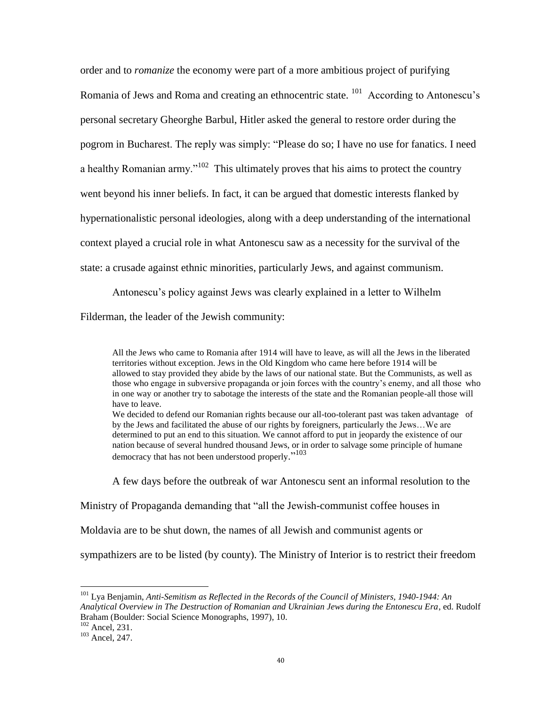order and to *romanize* the economy were part of a more ambitious project of purifying Romania of Jews and Roma and creating an ethnocentric state. <sup>101</sup> According to Antonescu's personal secretary Gheorghe Barbul, Hitler asked the general to restore order during the pogrom in Bucharest. The reply was simply: "Please do so; I have no use for fanatics. I need a healthy Romanian army."<sup>102</sup> This ultimately proves that his aims to protect the country went beyond his inner beliefs. In fact, it can be argued that domestic interests flanked by hypernationalistic personal ideologies, along with a deep understanding of the international context played a crucial role in what Antonescu saw as a necessity for the survival of the state: a crusade against ethnic minorities, particularly Jews, and against communism.

Antonescu"s policy against Jews was clearly explained in a letter to Wilhelm Filderman, the leader of the Jewish community:

All the Jews who came to Romania after 1914 will have to leave, as will all the Jews in the liberated territories without exception. Jews in the Old Kingdom who came here before 1914 will be allowed to stay provided they abide by the laws of our national state. But the Communists, as well as those who engage in subversive propaganda or join forces with the country"s enemy, and all those who in one way or another try to sabotage the interests of the state and the Romanian people-all those will have to leave.

We decided to defend our Romanian rights because our all-too-tolerant past was taken advantage of by the Jews and facilitated the abuse of our rights by foreigners, particularly the Jews…We are determined to put an end to this situation. We cannot afford to put in jeopardy the existence of our nation because of several hundred thousand Jews, or in order to salvage some principle of humane democracy that has not been understood properly."<sup>103</sup>

A few days before the outbreak of war Antonescu sent an informal resolution to the

Ministry of Propaganda demanding that "all the Jewish-communist coffee houses in

Moldavia are to be shut down, the names of all Jewish and communist agents or

sympathizers are to be listed (by county). The Ministry of Interior is to restrict their freedom

<sup>101</sup> Lya Benjamin, *Anti-Semitism as Reflected in the Records of the Council of Ministers, 1940-1944: An Analytical Overview in The Destruction of Romanian and Ukrainian Jews during the Entonescu Era*, ed. Rudolf Braham (Boulder: Social Science Monographs, 1997), 10.

<sup>102</sup> Ancel, 231.

<sup>&</sup>lt;sup>103</sup> Ancel, 247.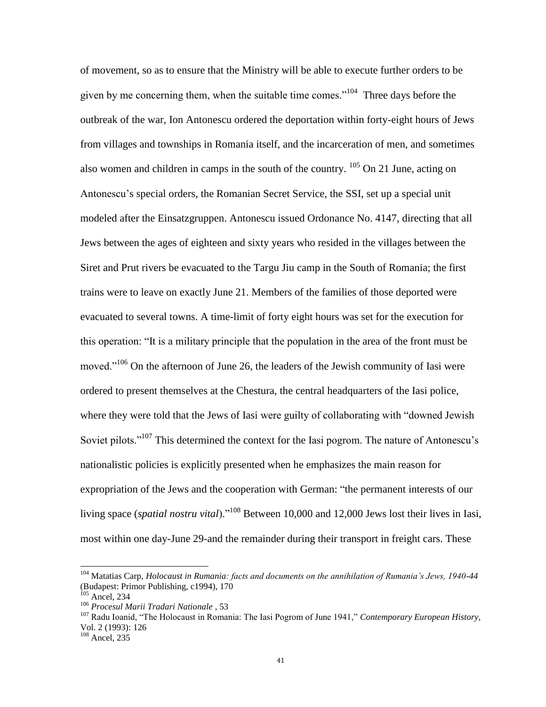of movement, so as to ensure that the Ministry will be able to execute further orders to be given by me concerning them, when the suitable time comes."<sup>104</sup> Three days before the outbreak of the war, Ion Antonescu ordered the deportation within forty-eight hours of Jews from villages and townships in Romania itself, and the incarceration of men, and sometimes also women and children in camps in the south of the country.  $^{105}$  On 21 June, acting on Antonescu"s special orders, the Romanian Secret Service, the SSI, set up a special unit modeled after the Einsatzgruppen. Antonescu issued Ordonance No. 4147, directing that all Jews between the ages of eighteen and sixty years who resided in the villages between the Siret and Prut rivers be evacuated to the Targu Jiu camp in the South of Romania; the first trains were to leave on exactly June 21. Members of the families of those deported were evacuated to several towns. A time-limit of forty eight hours was set for the execution for this operation: "It is a military principle that the population in the area of the front must be moved."<sup>106</sup> On the afternoon of June 26, the leaders of the Jewish community of Iasi were ordered to present themselves at the Chestura, the central headquarters of the Iasi police, where they were told that the Jews of Iasi were guilty of collaborating with "downed Jewish Soviet pilots."<sup>107</sup> This determined the context for the Iasi pogrom. The nature of Antonescu's nationalistic policies is explicitly presented when he emphasizes the main reason for expropriation of the Jews and the cooperation with German: "the permanent interests of our living space (*spatial nostru vital*)."<sup>108</sup> Between 10,000 and 12,000 Jews lost their lives in Iasi, most within one day-June 29-and the remainder during their transport in freight cars. These

 $\overline{a}$ 

<sup>107</sup> Radu Ioanid, "The Holocaust in Romania: The Iasi Pogrom of June 1941," *Contemporary European History*, Vol. 2 (1993): 126

<sup>104</sup> Matatias Carp, *Holocaust in Rumania: facts and documents on the annihilation of Rumania's Jews, 1940-44* (Budapest: Primor Publishing, c1994), 170

 $h$  Ancel, 234

<sup>106</sup> *Procesul Marii Tradari Nationale* , 53

<sup>108</sup> Ancel, 235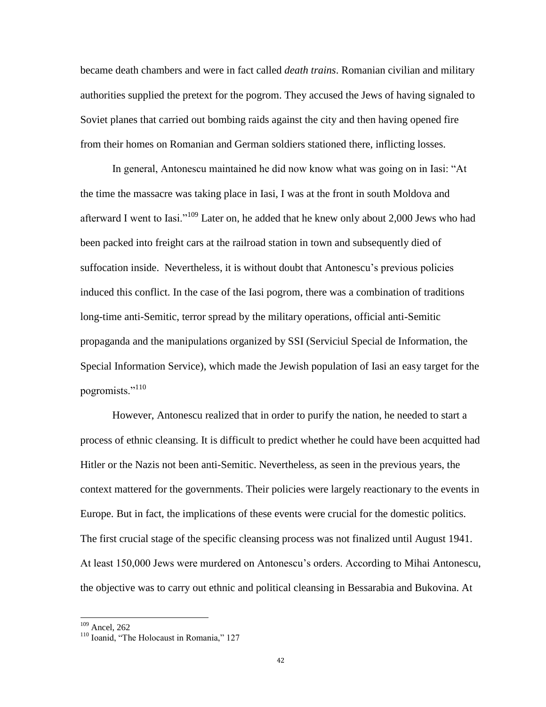became death chambers and were in fact called *death trains*. Romanian civilian and military authorities supplied the pretext for the pogrom. They accused the Jews of having signaled to Soviet planes that carried out bombing raids against the city and then having opened fire from their homes on Romanian and German soldiers stationed there, inflicting losses.

In general, Antonescu maintained he did now know what was going on in Iasi: "At the time the massacre was taking place in Iasi, I was at the front in south Moldova and afterward I went to Iasi."<sup>109</sup> Later on, he added that he knew only about 2,000 Jews who had been packed into freight cars at the railroad station in town and subsequently died of suffocation inside. Nevertheless, it is without doubt that Antonescu"s previous policies induced this conflict. In the case of the Iasi pogrom, there was a combination of traditions long-time anti-Semitic, terror spread by the military operations, official anti-Semitic propaganda and the manipulations organized by SSI (Serviciul Special de Information, the Special Information Service), which made the Jewish population of Iasi an easy target for the pogromists."<sup>110</sup>

However, Antonescu realized that in order to purify the nation, he needed to start a process of ethnic cleansing. It is difficult to predict whether he could have been acquitted had Hitler or the Nazis not been anti-Semitic. Nevertheless, as seen in the previous years, the context mattered for the governments. Their policies were largely reactionary to the events in Europe. But in fact, the implications of these events were crucial for the domestic politics. The first crucial stage of the specific cleansing process was not finalized until August 1941. At least 150,000 Jews were murdered on Antonescu"s orders. According to Mihai Antonescu, the objective was to carry out ethnic and political cleansing in Bessarabia and Bukovina. At

l

<sup>&</sup>lt;sup>109</sup> Ancel, 262

<sup>&</sup>lt;sup>110</sup> Ioanid, "The Holocaust in Romania," 127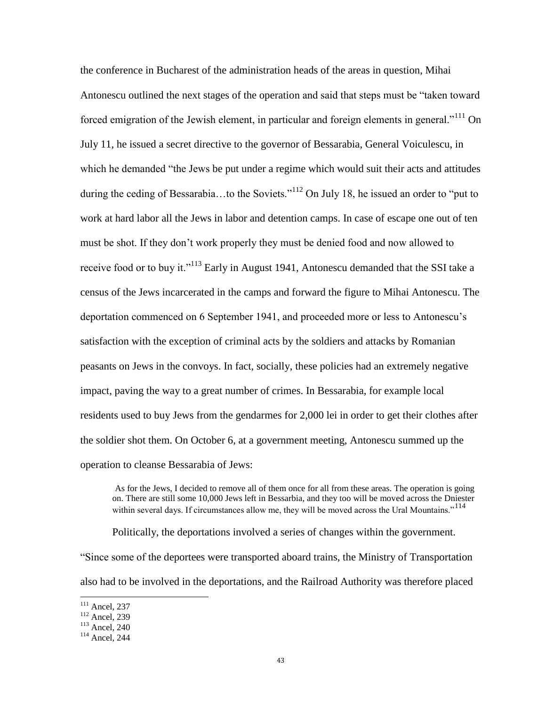the conference in Bucharest of the administration heads of the areas in question, Mihai Antonescu outlined the next stages of the operation and said that steps must be "taken toward forced emigration of the Jewish element, in particular and foreign elements in general."<sup>111</sup> On July 11, he issued a secret directive to the governor of Bessarabia, General Voiculescu, in which he demanded "the Jews be put under a regime which would suit their acts and attitudes during the ceding of Bessarabia...to the Soviets."<sup>112</sup> On July 18, he issued an order to "put to" work at hard labor all the Jews in labor and detention camps. In case of escape one out of ten must be shot. If they don"t work properly they must be denied food and now allowed to receive food or to buy it."<sup>113</sup> Early in August 1941, Antonescu demanded that the SSI take a census of the Jews incarcerated in the camps and forward the figure to Mihai Antonescu. The deportation commenced on 6 September 1941, and proceeded more or less to Antonescu"s satisfaction with the exception of criminal acts by the soldiers and attacks by Romanian peasants on Jews in the convoys. In fact, socially, these policies had an extremely negative impact, paving the way to a great number of crimes. In Bessarabia, for example local residents used to buy Jews from the gendarmes for 2,000 lei in order to get their clothes after the soldier shot them. On October 6, at a government meeting, Antonescu summed up the operation to cleanse Bessarabia of Jews:

As for the Jews, I decided to remove all of them once for all from these areas. The operation is going on. There are still some 10,000 Jews left in Bessarbia, and they too will be moved across the Dniester within several days. If circumstances allow me, they will be moved across the Ural Mountains."<sup>114</sup>

Politically, the deportations involved a series of changes within the government. "Since some of the deportees were transported aboard trains, the Ministry of Transportation also had to be involved in the deportations, and the Railroad Authority was therefore placed

 $111$  Ancel, 237

 $\frac{\text{Area}}{\text{Area}}$ , 239

<sup>113</sup> Ancel, 240

<sup>114</sup> Ancel, 244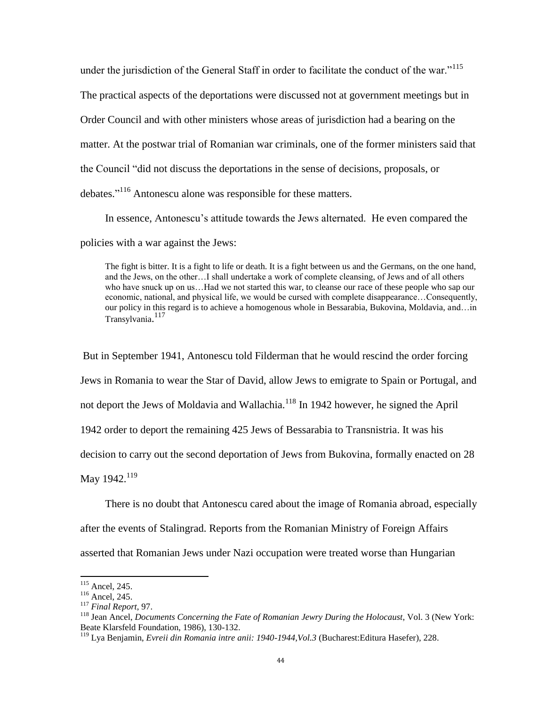under the jurisdiction of the General Staff in order to facilitate the conduct of the war."<sup>115</sup> The practical aspects of the deportations were discussed not at government meetings but in Order Council and with other ministers whose areas of jurisdiction had a bearing on the matter. At the postwar trial of Romanian war criminals, one of the former ministers said that the Council "did not discuss the deportations in the sense of decisions, proposals, or debates."<sup>116</sup> Antonescu alone was responsible for these matters.

In essence, Antonescu"s attitude towards the Jews alternated. He even compared the policies with a war against the Jews:

The fight is bitter. It is a fight to life or death. It is a fight between us and the Germans, on the one hand, and the Jews, on the other…I shall undertake a work of complete cleansing, of Jews and of all others who have snuck up on us…Had we not started this war, to cleanse our race of these people who sap our economic, national, and physical life, we would be cursed with complete disappearance…Consequently, our policy in this regard is to achieve a homogenous whole in Bessarabia, Bukovina, Moldavia, and…in Transylvania. 117

But in September 1941, Antonescu told Filderman that he would rescind the order forcing Jews in Romania to wear the Star of David, allow Jews to emigrate to Spain or Portugal, and not deport the Jews of Moldavia and Wallachia.<sup>118</sup> In 1942 however, he signed the April 1942 order to deport the remaining 425 Jews of Bessarabia to Transnistria. It was his decision to carry out the second deportation of Jews from Bukovina, formally enacted on 28 May  $1942.<sup>119</sup>$ 

There is no doubt that Antonescu cared about the image of Romania abroad, especially

after the events of Stalingrad. Reports from the Romanian Ministry of Foreign Affairs

asserted that Romanian Jews under Nazi occupation were treated worse than Hungarian

 $115$  Ancel, 245.

<sup>116</sup> Ancel, 245.

<sup>117</sup> *Final Report*, 97.

<sup>&</sup>lt;sup>118</sup> Jean Ancel, *Documents Concerning the Fate of Romanian Jewry During the Holocaust*, Vol. 3 (New York: Beate Klarsfeld Foundation, 1986), 130-132.

<sup>119</sup> Lya Benjamin, *Evreii din Romania intre anii: 1940-1944,Vol.3* (Bucharest:Editura Hasefer), 228.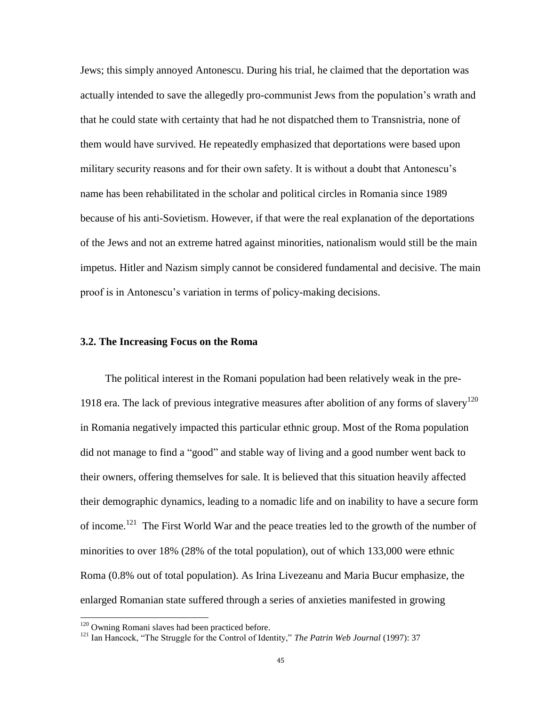Jews; this simply annoyed Antonescu. During his trial, he claimed that the deportation was actually intended to save the allegedly pro-communist Jews from the population"s wrath and that he could state with certainty that had he not dispatched them to Transnistria, none of them would have survived. He repeatedly emphasized that deportations were based upon military security reasons and for their own safety. It is without a doubt that Antonescu"s name has been rehabilitated in the scholar and political circles in Romania since 1989 because of his anti-Sovietism. However, if that were the real explanation of the deportations of the Jews and not an extreme hatred against minorities, nationalism would still be the main impetus. Hitler and Nazism simply cannot be considered fundamental and decisive. The main proof is in Antonescu"s variation in terms of policy-making decisions.

### **3.2. The Increasing Focus on the Roma**

The political interest in the Romani population had been relatively weak in the pre-1918 era. The lack of previous integrative measures after abolition of any forms of slavery<sup>120</sup> in Romania negatively impacted this particular ethnic group. Most of the Roma population did not manage to find a "good" and stable way of living and a good number went back to their owners, offering themselves for sale. It is believed that this situation heavily affected their demographic dynamics, leading to a nomadic life and on inability to have a secure form of income.<sup>121</sup> The First World War and the peace treaties led to the growth of the number of minorities to over 18% (28% of the total population), out of which 133,000 were ethnic Roma (0.8% out of total population). As Irina Livezeanu and Maria Bucur emphasize, the enlarged Romanian state suffered through a series of anxieties manifested in growing

l

 $120$  Owning Romani slaves had been practiced before.

<sup>&</sup>lt;sup>121</sup> Ian Hancock, "The Struggle for the Control of Identity," *The Patrin Web Journal* (1997): 37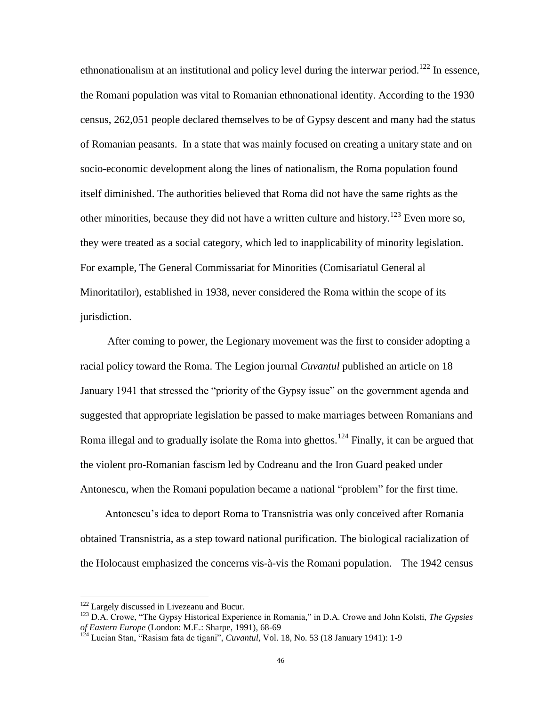ethnonationalism at an institutional and policy level during the interwar period.<sup>122</sup> In essence, the Romani population was vital to Romanian ethnonational identity. According to the 1930 census, 262,051 people declared themselves to be of Gypsy descent and many had the status of Romanian peasants. In a state that was mainly focused on creating a unitary state and on socio-economic development along the lines of nationalism, the Roma population found itself diminished. The authorities believed that Roma did not have the same rights as the other minorities, because they did not have a written culture and history.<sup>123</sup> Even more so, they were treated as a social category, which led to inapplicability of minority legislation. For example, The General Commissariat for Minorities (Comisariatul General al Minoritatilor), established in 1938, never considered the Roma within the scope of its jurisdiction.

 After coming to power, the Legionary movement was the first to consider adopting a racial policy toward the Roma. The Legion journal *Cuvantul* published an article on 18 January 1941 that stressed the "priority of the Gypsy issue" on the government agenda and suggested that appropriate legislation be passed to make marriages between Romanians and Roma illegal and to gradually isolate the Roma into ghettos.<sup>124</sup> Finally, it can be argued that the violent pro-Romanian fascism led by Codreanu and the Iron Guard peaked under Antonescu, when the Romani population became a national "problem" for the first time.

Antonescu"s idea to deport Roma to Transnistria was only conceived after Romania obtained Transnistria, as a step toward national purification. The biological racialization of the Holocaust emphasized the concerns vis-à-vis the Romani population. The 1942 census

 $122$  Largely discussed in Livezeanu and Bucur.

<sup>123</sup> D.A. Crowe, "The Gypsy Historical Experience in Romania," in D.A. Crowe and John Kolsti, *The Gypsies of Eastern Europe* (London: M.E.: Sharpe, 1991), 68-69

<sup>&</sup>lt;sup>124</sup> Lucian Stan, "Rasism fata de tigani", *Cuvantul*, Vol. 18, No. 53 (18 January 1941): 1-9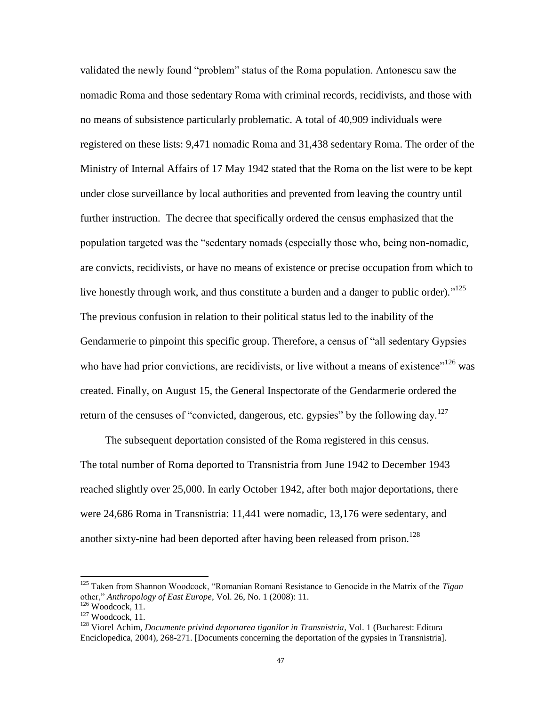validated the newly found "problem" status of the Roma population. Antonescu saw the nomadic Roma and those sedentary Roma with criminal records, recidivists, and those with no means of subsistence particularly problematic. A total of 40,909 individuals were registered on these lists: 9,471 nomadic Roma and 31,438 sedentary Roma. The order of the Ministry of Internal Affairs of 17 May 1942 stated that the Roma on the list were to be kept under close surveillance by local authorities and prevented from leaving the country until further instruction. The decree that specifically ordered the census emphasized that the population targeted was the "sedentary nomads (especially those who, being non-nomadic, are convicts, recidivists, or have no means of existence or precise occupation from which to live honestly through work, and thus constitute a burden and a danger to public order)."<sup>125</sup> The previous confusion in relation to their political status led to the inability of the Gendarmerie to pinpoint this specific group. Therefore, a census of "all sedentary Gypsies who have had prior convictions, are recidivists, or live without a means of existence"<sup>126</sup> was created. Finally, on August 15, the General Inspectorate of the Gendarmerie ordered the return of the censuses of "convicted, dangerous, etc. gypsies" by the following day.<sup>127</sup>

The subsequent deportation consisted of the Roma registered in this census. The total number of Roma deported to Transnistria from June 1942 to December 1943 reached slightly over 25,000. In early October 1942, after both major deportations, there were 24,686 Roma in Transnistria: 11,441 were nomadic, 13,176 were sedentary, and another sixty-nine had been deported after having been released from prison.<sup>128</sup>

<sup>125</sup> Taken from Shannon Woodcock, "Romanian Romani Resistance to Genocide in the Matrix of the *Tigan* other," *Anthropology of East Europe*, Vol. 26, No. 1 (2008): 11.

 $126$  Woodcock, 11.

 $127$  Woodcock, 11.

<sup>128</sup> Viorel Achim, *Documente privind deportarea tiganilor in Transnistria*, Vol. 1 (Bucharest: Editura Enciclopedica, 2004), 268-271. [Documents concerning the deportation of the gypsies in Transnistria].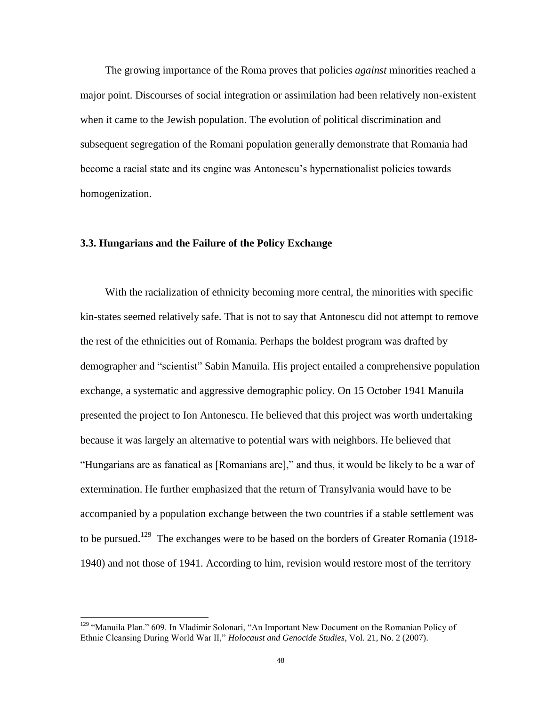The growing importance of the Roma proves that policies *against* minorities reached a major point. Discourses of social integration or assimilation had been relatively non-existent when it came to the Jewish population. The evolution of political discrimination and subsequent segregation of the Romani population generally demonstrate that Romania had become a racial state and its engine was Antonescu"s hypernationalist policies towards homogenization.

## **3.3. Hungarians and the Failure of the Policy Exchange**

With the racialization of ethnicity becoming more central, the minorities with specific kin-states seemed relatively safe. That is not to say that Antonescu did not attempt to remove the rest of the ethnicities out of Romania. Perhaps the boldest program was drafted by demographer and "scientist" Sabin Manuila. His project entailed a comprehensive population exchange, a systematic and aggressive demographic policy. On 15 October 1941 Manuila presented the project to Ion Antonescu. He believed that this project was worth undertaking because it was largely an alternative to potential wars with neighbors. He believed that "Hungarians are as fanatical as [Romanians are]," and thus, it would be likely to be a war of extermination. He further emphasized that the return of Transylvania would have to be accompanied by a population exchange between the two countries if a stable settlement was to be pursued.<sup>129</sup> The exchanges were to be based on the borders of Greater Romania (1918-1940) and not those of 1941. According to him, revision would restore most of the territory

l

<sup>&</sup>lt;sup>129</sup> "Manuila Plan." 609. In Vladimir Solonari, "An Important New Document on the Romanian Policy of Ethnic Cleansing During World War II," *Holocaust and Genocide Studies*, Vol. 21, No. 2 (2007).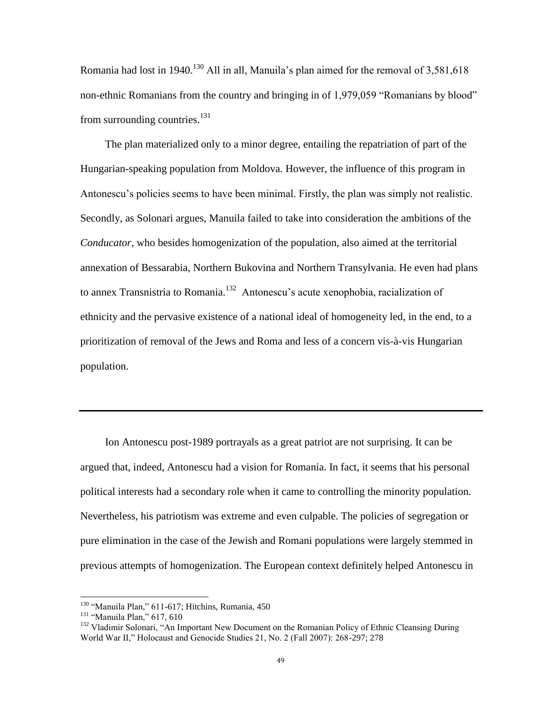Romania had lost in 1940.<sup>130</sup> All in all. Manuila's plan aimed for the removal of  $3.581,618$ non-ethnic Romanians from the country and bringing in of 1,979,059 "Romanians by blood" from surrounding countries.<sup>131</sup>

The plan materialized only to a minor degree, entailing the repatriation of part of the Hungarian-speaking population from Moldova. However, the influence of this program in Antonescu"s policies seems to have been minimal. Firstly, the plan was simply not realistic. Secondly, as Solonari argues, Manuila failed to take into consideration the ambitions of the *Conducator*, who besides homogenization of the population, also aimed at the territorial annexation of Bessarabia, Northern Bukovina and Northern Transylvania. He even had plans to annex Transnistria to Romania.<sup>132</sup> Antonescu's acute xenophobia, racialization of ethnicity and the pervasive existence of a national ideal of homogeneity led, in the end, to a prioritization of removal of the Jews and Roma and less of a concern vis-à-vis Hungarian population.

Ion Antonescu post-1989 portrayals as a great patriot are not surprising. It can be argued that, indeed, Antonescu had a vision for Romania. In fact, it seems that his personal political interests had a secondary role when it came to controlling the minority population. Nevertheless, his patriotism was extreme and even culpable. The policies of segregation or pure elimination in the case of the Jewish and Romani populations were largely stemmed in previous attempts of homogenization. The European context definitely helped Antonescu in

<sup>130</sup> "Manuila Plan," 611-617; Hitchins, Rumania, 450

<sup>131</sup> "Manuila Plan," 617, 610

<sup>&</sup>lt;sup>132</sup> Vladimir Solonari, "An Important New Document on the Romanian Policy of Ethnic Cleansing During World War II," Holocaust and Genocide Studies 21, No. 2 (Fall 2007): 268-297; 278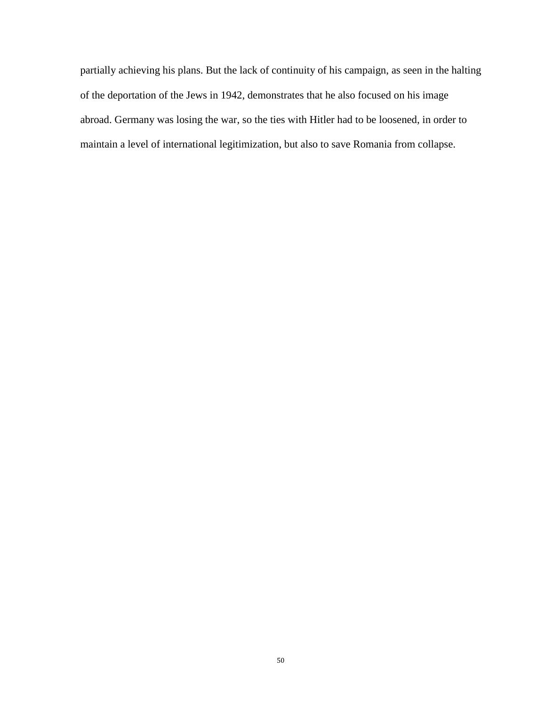partially achieving his plans. But the lack of continuity of his campaign, as seen in the halting of the deportation of the Jews in 1942, demonstrates that he also focused on his image abroad. Germany was losing the war, so the ties with Hitler had to be loosened, in order to maintain a level of international legitimization, but also to save Romania from collapse.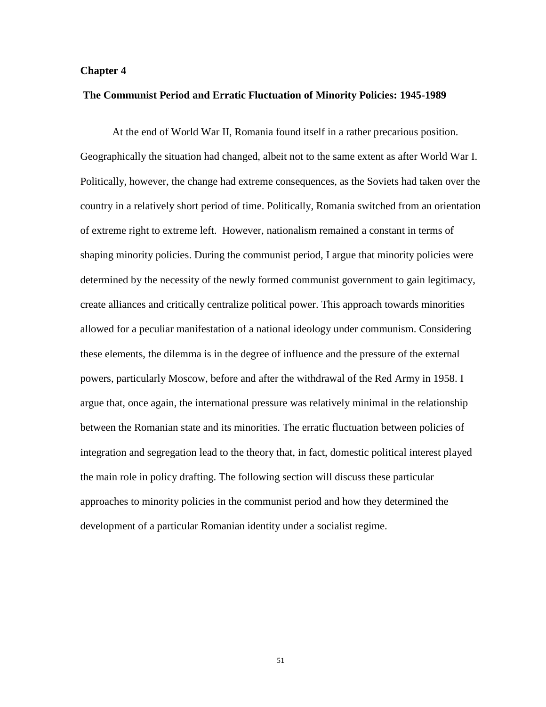### **Chapter 4**

#### **The Communist Period and Erratic Fluctuation of Minority Policies: 1945-1989**

At the end of World War II, Romania found itself in a rather precarious position. Geographically the situation had changed, albeit not to the same extent as after World War I. Politically, however, the change had extreme consequences, as the Soviets had taken over the country in a relatively short period of time. Politically, Romania switched from an orientation of extreme right to extreme left. However, nationalism remained a constant in terms of shaping minority policies. During the communist period, I argue that minority policies were determined by the necessity of the newly formed communist government to gain legitimacy, create alliances and critically centralize political power. This approach towards minorities allowed for a peculiar manifestation of a national ideology under communism. Considering these elements, the dilemma is in the degree of influence and the pressure of the external powers, particularly Moscow, before and after the withdrawal of the Red Army in 1958. I argue that, once again, the international pressure was relatively minimal in the relationship between the Romanian state and its minorities. The erratic fluctuation between policies of integration and segregation lead to the theory that, in fact, domestic political interest played the main role in policy drafting. The following section will discuss these particular approaches to minority policies in the communist period and how they determined the development of a particular Romanian identity under a socialist regime.

51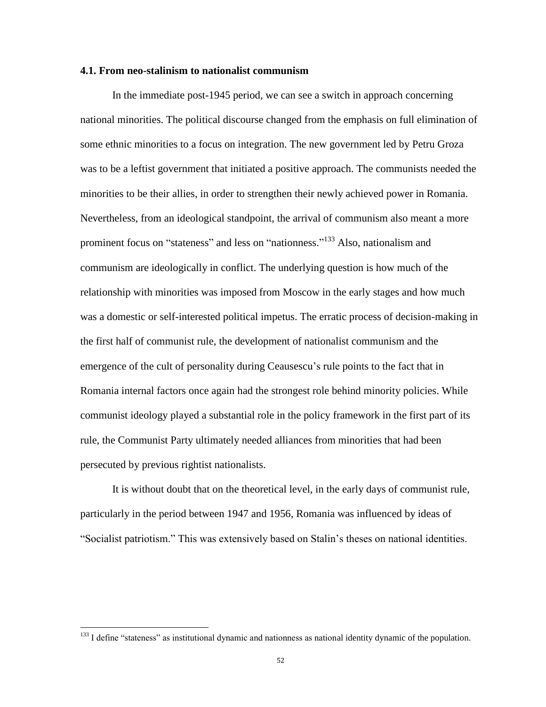#### **4.1. From neo-stalinism to nationalist communism**

In the immediate post-1945 period, we can see a switch in approach concerning national minorities. The political discourse changed from the emphasis on full elimination of some ethnic minorities to a focus on integration. The new government led by Petru Groza was to be a leftist government that initiated a positive approach. The communists needed the minorities to be their allies, in order to strengthen their newly achieved power in Romania. Nevertheless, from an ideological standpoint, the arrival of communism also meant a more prominent focus on "stateness" and less on "nationness."<sup>133</sup> Also, nationalism and communism are ideologically in conflict. The underlying question is how much of the relationship with minorities was imposed from Moscow in the early stages and how much was a domestic or self-interested political impetus. The erratic process of decision-making in the first half of communist rule, the development of nationalist communism and the emergence of the cult of personality during Ceausescu's rule points to the fact that in Romania internal factors once again had the strongest role behind minority policies. While communist ideology played a substantial role in the policy framework in the first part of its rule, the Communist Party ultimately needed alliances from minorities that had been persecuted by previous rightist nationalists.

It is without doubt that on the theoretical level, in the early days of communist rule, particularly in the period between 1947 and 1956, Romania was influenced by ideas of "Socialist patriotism." This was extensively based on Stalin"s theses on national identities.

 $133$  I define "stateness" as institutional dynamic and nationness as national identity dynamic of the population.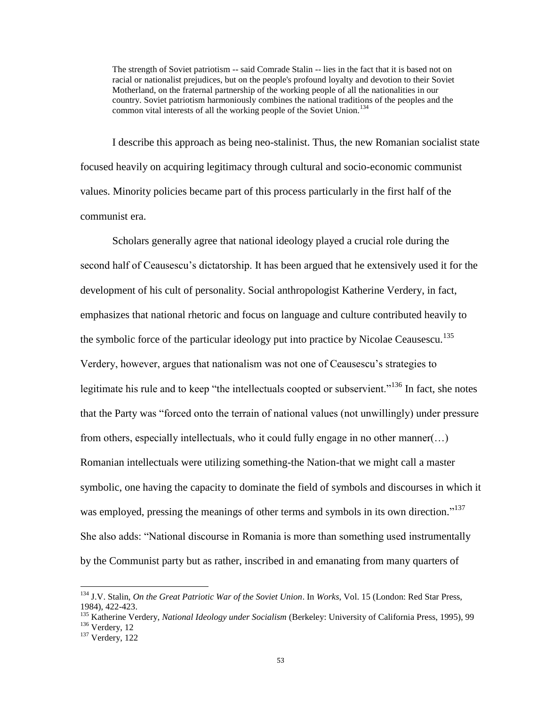The strength of Soviet patriotism -- said Comrade Stalin -- lies in the fact that it is based not on racial or nationalist prejudices, but on the people's profound loyalty and devotion to their Soviet Motherland, on the fraternal partnership of the working people of all the nationalities in our country. Soviet patriotism harmoniously combines the national traditions of the peoples and the common vital interests of all the working people of the Soviet Union.<sup>134</sup>

I describe this approach as being neo-stalinist. Thus, the new Romanian socialist state focused heavily on acquiring legitimacy through cultural and socio-economic communist values. Minority policies became part of this process particularly in the first half of the communist era.

Scholars generally agree that national ideology played a crucial role during the second half of Ceausescu's dictatorship. It has been argued that he extensively used it for the development of his cult of personality. Social anthropologist Katherine Verdery, in fact, emphasizes that national rhetoric and focus on language and culture contributed heavily to the symbolic force of the particular ideology put into practice by Nicolae Ceausescu.<sup>135</sup> Verdery, however, argues that nationalism was not one of Ceausescu"s strategies to legitimate his rule and to keep "the intellectuals coopted or subservient."<sup>136</sup> In fact, she notes that the Party was "forced onto the terrain of national values (not unwillingly) under pressure from others, especially intellectuals, who it could fully engage in no other manner(…) Romanian intellectuals were utilizing something-the Nation-that we might call a master symbolic, one having the capacity to dominate the field of symbols and discourses in which it was employed, pressing the meanings of other terms and symbols in its own direction."<sup>137</sup> She also adds: "National discourse in Romania is more than something used instrumentally by the Communist party but as rather, inscribed in and emanating from many quarters of

<sup>134</sup> J.V. Stalin, *On the Great Patriotic War of the Soviet Union*. In *Works*, Vol. 15 (London: Red Star Press, 1984), 422-423.

<sup>135</sup> Katherine Verdery, *National Ideology under Socialism* (Berkeley: University of California Press, 1995), 99 <sup>136</sup> Verdery, 12

 $137$  Verdery, 122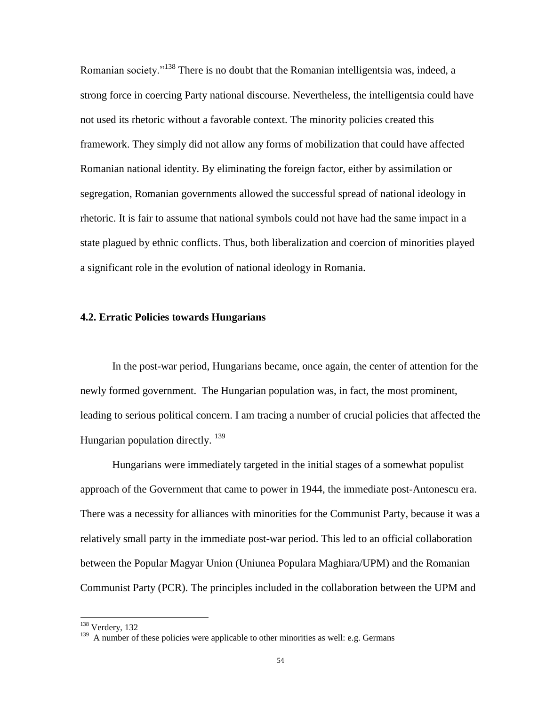Romanian society."<sup>138</sup> There is no doubt that the Romanian intelligentsia was, indeed, a strong force in coercing Party national discourse. Nevertheless, the intelligentsia could have not used its rhetoric without a favorable context. The minority policies created this framework. They simply did not allow any forms of mobilization that could have affected Romanian national identity. By eliminating the foreign factor, either by assimilation or segregation, Romanian governments allowed the successful spread of national ideology in rhetoric. It is fair to assume that national symbols could not have had the same impact in a state plagued by ethnic conflicts. Thus, both liberalization and coercion of minorities played a significant role in the evolution of national ideology in Romania.

### **4.2. Erratic Policies towards Hungarians**

In the post-war period, Hungarians became, once again, the center of attention for the newly formed government. The Hungarian population was, in fact, the most prominent, leading to serious political concern. I am tracing a number of crucial policies that affected the Hungarian population directly.  $^{139}$ 

Hungarians were immediately targeted in the initial stages of a somewhat populist approach of the Government that came to power in 1944, the immediate post-Antonescu era. There was a necessity for alliances with minorities for the Communist Party, because it was a relatively small party in the immediate post-war period. This led to an official collaboration between the Popular Magyar Union (Uniunea Populara Maghiara/UPM) and the Romanian Communist Party (PCR). The principles included in the collaboration between the UPM and

l

<sup>&</sup>lt;sup>138</sup> Verdery, 132

<sup>&</sup>lt;sup>139</sup> A number of these policies were applicable to other minorities as well: e.g. Germans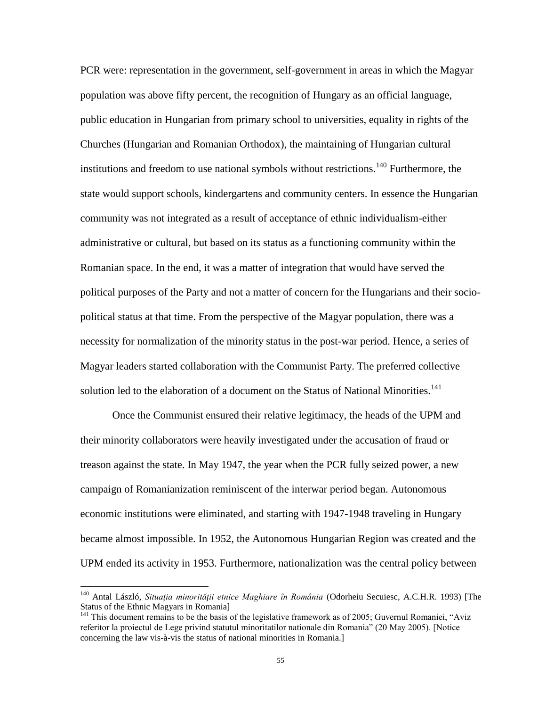PCR were: representation in the government, self-government in areas in which the Magyar population was above fifty percent, the recognition of Hungary as an official language, public education in Hungarian from primary school to universities, equality in rights of the Churches (Hungarian and Romanian Orthodox), the maintaining of Hungarian cultural institutions and freedom to use national symbols without restrictions.<sup>140</sup> Furthermore, the state would support schools, kindergartens and community centers. In essence the Hungarian community was not integrated as a result of acceptance of ethnic individualism-either administrative or cultural, but based on its status as a functioning community within the Romanian space. In the end, it was a matter of integration that would have served the political purposes of the Party and not a matter of concern for the Hungarians and their sociopolitical status at that time. From the perspective of the Magyar population, there was a necessity for normalization of the minority status in the post-war period. Hence, a series of Magyar leaders started collaboration with the Communist Party. The preferred collective solution led to the elaboration of a document on the Status of National Minorities.<sup>141</sup>

Once the Communist ensured their relative legitimacy, the heads of the UPM and their minority collaborators were heavily investigated under the accusation of fraud or treason against the state. In May 1947, the year when the PCR fully seized power, a new campaign of Romanianization reminiscent of the interwar period began. Autonomous economic institutions were eliminated, and starting with 1947-1948 traveling in Hungary became almost impossible. In 1952, the Autonomous Hungarian Region was created and the UPM ended its activity in 1953. Furthermore, nationalization was the central policy between

<sup>140</sup> Antal László, *Situaţia minorităţii etnice Maghiare în România* (Odorheiu Secuiesc, A.C.H.R. 1993) [The Status of the Ethnic Magyars in Romania]

<sup>&</sup>lt;sup>141</sup> This document remains to be the basis of the legislative framework as of 2005; Guvernul Romaniei, "Aviz referitor la proiectul de Lege privind statutul minoritatilor nationale din Romania" (20 May 2005). [Notice concerning the law vis-à-vis the status of national minorities in Romania.]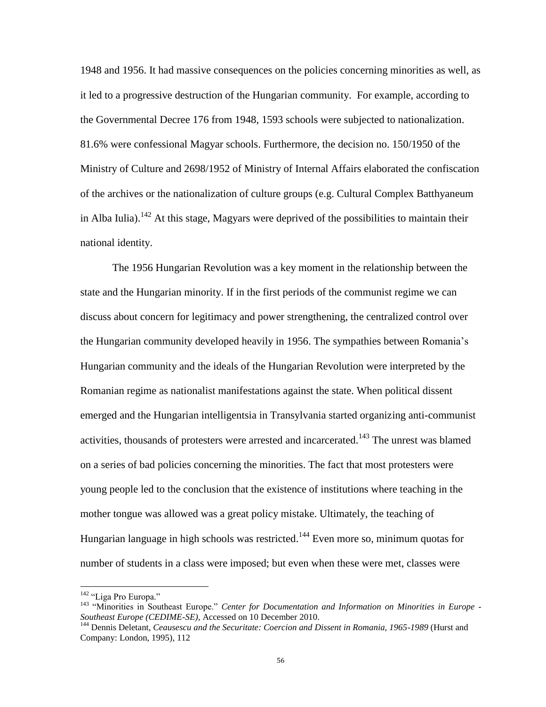1948 and 1956. It had massive consequences on the policies concerning minorities as well, as it led to a progressive destruction of the Hungarian community. For example, according to the Governmental Decree 176 from 1948, 1593 schools were subjected to nationalization. 81.6% were confessional Magyar schools. Furthermore, the decision no. 150/1950 of the Ministry of Culture and 2698/1952 of Ministry of Internal Affairs elaborated the confiscation of the archives or the nationalization of culture groups (e.g. Cultural Complex Batthyaneum in Alba Iulia).<sup>142</sup> At this stage, Magyars were deprived of the possibilities to maintain their national identity.

The 1956 Hungarian Revolution was a key moment in the relationship between the state and the Hungarian minority. If in the first periods of the communist regime we can discuss about concern for legitimacy and power strengthening, the centralized control over the Hungarian community developed heavily in 1956. The sympathies between Romania"s Hungarian community and the ideals of the Hungarian Revolution were interpreted by the Romanian regime as nationalist manifestations against the state. When political dissent emerged and the Hungarian intelligentsia in Transylvania started organizing anti-communist activities, thousands of protesters were arrested and incarcerated.<sup>143</sup> The unrest was blamed on a series of bad policies concerning the minorities. The fact that most protesters were young people led to the conclusion that the existence of institutions where teaching in the mother tongue was allowed was a great policy mistake. Ultimately, the teaching of Hungarian language in high schools was restricted.<sup>144</sup> Even more so, minimum quotas for number of students in a class were imposed; but even when these were met, classes were

<sup>&</sup>lt;sup>142</sup> "Liga Pro Europa."

<sup>143</sup> "Minorities in Southeast Europe." *Center for Documentation and Information on Minorities in Europe - Southeast Europe (CEDIME-SE)*, Accessed on 10 December 2010.

<sup>144</sup> Dennis Deletant, *Ceausescu and the Securitate: Coercion and Dissent in Romania, 1965-1989* (Hurst and Company: London, 1995), 112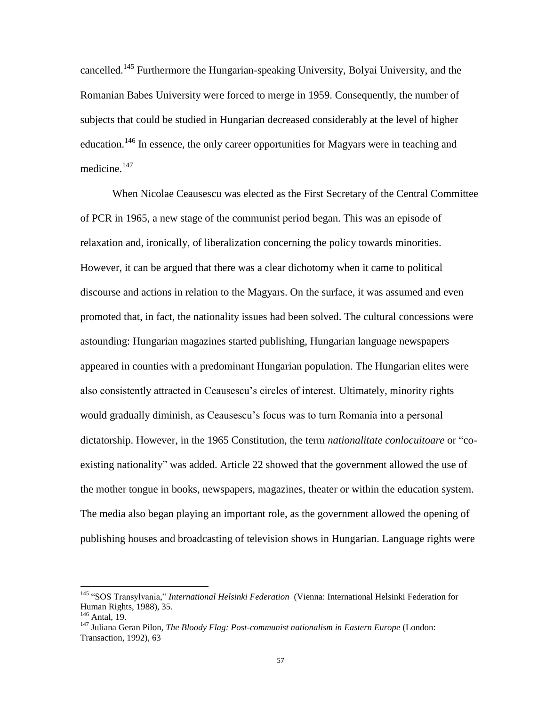cancelled.<sup>145</sup> Furthermore the Hungarian-speaking University, Bolyai University, and the Romanian Babes University were forced to merge in 1959. Consequently, the number of subjects that could be studied in Hungarian decreased considerably at the level of higher education.<sup>146</sup> In essence, the only career opportunities for Magyars were in teaching and medicine.<sup>147</sup>

When Nicolae Ceausescu was elected as the First Secretary of the Central Committee of PCR in 1965, a new stage of the communist period began. This was an episode of relaxation and, ironically, of liberalization concerning the policy towards minorities. However, it can be argued that there was a clear dichotomy when it came to political discourse and actions in relation to the Magyars. On the surface, it was assumed and even promoted that, in fact, the nationality issues had been solved. The cultural concessions were astounding: Hungarian magazines started publishing, Hungarian language newspapers appeared in counties with a predominant Hungarian population. The Hungarian elites were also consistently attracted in Ceausescu"s circles of interest. Ultimately, minority rights would gradually diminish, as Ceausescu"s focus was to turn Romania into a personal dictatorship. However, in the 1965 Constitution, the term *nationalitate conlocuitoare* or "coexisting nationality" was added. Article 22 showed that the government allowed the use of the mother tongue in books, newspapers, magazines, theater or within the education system. The media also began playing an important role, as the government allowed the opening of publishing houses and broadcasting of television shows in Hungarian. Language rights were

<sup>145</sup> "SOS Transylvania," *International Helsinki Federation* (Vienna: International Helsinki Federation for Human Rights, 1988), 35.

 $146$  Antal, 19.

<sup>&</sup>lt;sup>147</sup> Juliana Geran Pilon, *The Bloody Flag: Post-communist nationalism in Eastern Europe* (London: Transaction, 1992), 63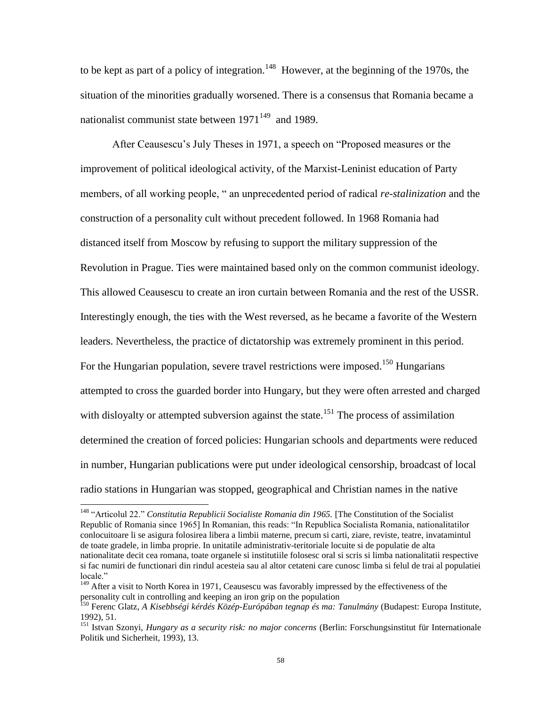to be kept as part of a policy of integration.<sup>148</sup> However, at the beginning of the 1970s, the situation of the minorities gradually worsened. There is a consensus that Romania became a nationalist communist state between  $1971^{149}$  and 1989.

After Ceausescu"s July Theses in 1971, a speech on "Proposed measures or the improvement of political ideological activity, of the Marxist-Leninist education of Party members, of all working people, " an unprecedented period of radical *re-stalinization* and the construction of a personality cult without precedent followed. In 1968 Romania had distanced itself from Moscow by refusing to support the military suppression of the Revolution in Prague. Ties were maintained based only on the common communist ideology. This allowed Ceausescu to create an iron curtain between Romania and the rest of the USSR. Interestingly enough, the ties with the West reversed, as he became a favorite of the Western leaders. Nevertheless, the practice of dictatorship was extremely prominent in this period. For the Hungarian population, severe travel restrictions were imposed.<sup>150</sup> Hungarians attempted to cross the guarded border into Hungary, but they were often arrested and charged with disloyalty or attempted subversion against the state.<sup>151</sup> The process of assimilation determined the creation of forced policies: Hungarian schools and departments were reduced in number, Hungarian publications were put under ideological censorship, broadcast of local radio stations in Hungarian was stopped, geographical and Christian names in the native

<sup>&</sup>lt;sup>148</sup> "Articolul 22." *Constitutia Republicii Socialiste Romania din 1965*. [The Constitution of the Socialist Republic of Romania since 1965] In Romanian, this reads: "In Republica Socialista Romania, nationalitatilor conlocuitoare li se asigura folosirea libera a limbii materne, precum si carti, ziare, reviste, teatre, invatamintul de toate gradele, in limba proprie. In unitatile administrativ-teritoriale locuite si de populatie de alta nationalitate decit cea romana, toate organele si institutiile folosesc oral si scris si limba nationalitatii respective si fac numiri de functionari din rindul acesteia sau al altor cetateni care cunosc limba si felul de trai al populatiei locale."

<sup>&</sup>lt;sup>149</sup> After a visit to North Korea in 1971, Ceausescu was favorably impressed by the effectiveness of the personality cult in controlling and keeping an iron grip on the population

<sup>150</sup> Ferenc Glatz, *A Kisebbségi kérdés Közép-Európában tegnap és ma: Tanulmány* (Budapest: Europa Institute, 1992), 51.

<sup>151</sup> Istvan Szonyi, *Hungary as a security risk: no major concerns* (Berlin: Forschungsinstitut für Internationale Politik und Sicherheit, 1993), 13.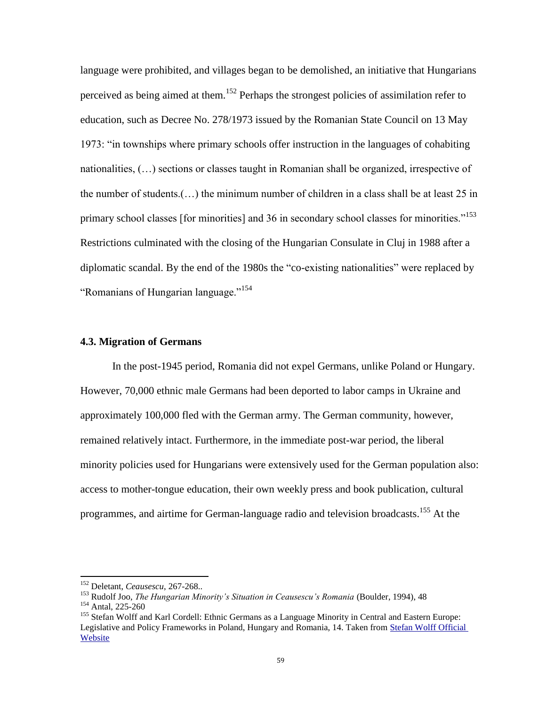language were prohibited, and villages began to be demolished, an initiative that Hungarians perceived as being aimed at them.<sup>152</sup> Perhaps the strongest policies of assimilation refer to education, such as Decree No. 278/1973 issued by the Romanian State Council on 13 May 1973: "in townships where primary schools offer instruction in the languages of cohabiting nationalities, (…) sections or classes taught in Romanian shall be organized, irrespective of the number of students.(…) the minimum number of children in a class shall be at least 25 in primary school classes [for minorities] and 36 in secondary school classes for minorities."<sup>153</sup> Restrictions culminated with the closing of the Hungarian Consulate in Cluj in 1988 after a diplomatic scandal. By the end of the 1980s the "co-existing nationalities" were replaced by "Romanians of Hungarian language."<sup>154</sup>

#### **4.3. Migration of Germans**

In the post-1945 period, Romania did not expel Germans, unlike Poland or Hungary. However, 70,000 ethnic male Germans had been deported to labor camps in Ukraine and approximately 100,000 fled with the German army. The German community, however, remained relatively intact. Furthermore, in the immediate post-war period, the liberal minority policies used for Hungarians were extensively used for the German population also: access to mother-tongue education, their own weekly press and book publication, cultural programmes, and airtime for German-language radio and television broadcasts.<sup>155</sup> At the

<sup>152</sup> Deletant, *Ceausescu*, 267-268..

<sup>153</sup> Rudolf Joo, *The Hungarian Minority's Situation in Ceausescu's Romania* (Boulder, 1994), 48

<sup>154</sup> Antal, 225-260

<sup>&</sup>lt;sup>155</sup> Stefan Wolff and Karl Cordell: Ethnic Germans as a Language Minority in Central and Eastern Europe: Legislative and Policy Frameworks in Poland, Hungary and Romania, 14. Taken from Stefan Wolff Official Website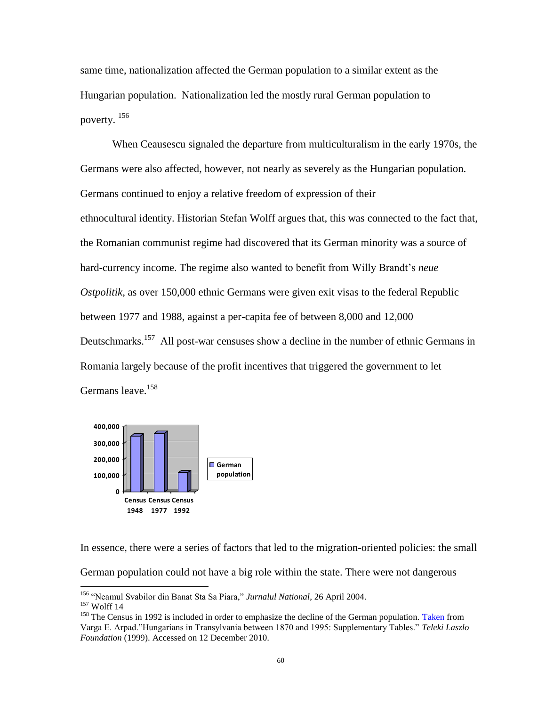same time, nationalization affected the German population to a similar extent as the Hungarian population. Nationalization led the mostly rural German population to poverty. <sup>156</sup>

When Ceausescu signaled the departure from multiculturalism in the early 1970s, the Germans were also affected, however, not nearly as severely as the Hungarian population. Germans continued to enjoy a relative freedom of expression of their ethnocultural identity. Historian Stefan Wolff argues that, this was connected to the fact that, the Romanian communist regime had discovered that its German minority was a source of hard-currency income. The regime also wanted to benefit from Willy Brandt's *neue Ostpolitik*, as over 150,000 ethnic Germans were given exit visas to the federal Republic between 1977 and 1988, against a per-capita fee of between 8,000 and 12,000 Deutschmarks.<sup>157</sup> All post-war censuses show a decline in the number of ethnic Germans in Romania largely because of the profit incentives that triggered the government to let Germans leave.<sup>158</sup>



In essence, there were a series of factors that led to the migration-oriented policies: the small German population could not have a big role within the state. There were not dangerous  $\overline{a}$ 

<sup>156</sup> "Neamul Svabilor din Banat Sta Sa Piara," *Jurnalul National*, 26 April 2004.

 $157$  Wolff 14

<sup>&</sup>lt;sup>158</sup> The Census in 1992 is included in order to emphasize the decline of the German population. [Taken](http://www.kia.hu/konyvtar/erdely/supplem.htm) from Varga E. Arpad."Hungarians in Transylvania between 1870 and 1995: Supplementary Tables." *Teleki Laszlo Foundation* (1999). Accessed on 12 December 2010.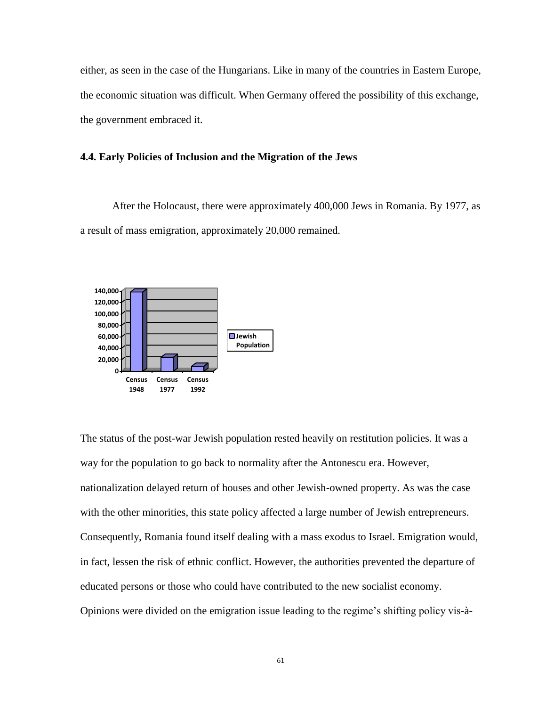either, as seen in the case of the Hungarians. Like in many of the countries in Eastern Europe, the economic situation was difficult. When Germany offered the possibility of this exchange, the government embraced it.

## **4.4. Early Policies of Inclusion and the Migration of the Jews**

After the Holocaust, there were approximately 400,000 Jews in Romania. By 1977, as a result of mass emigration, approximately 20,000 remained.



The status of the post-war Jewish population rested heavily on restitution policies. It was a way for the population to go back to normality after the Antonescu era. However, nationalization delayed return of houses and other Jewish-owned property. As was the case with the other minorities, this state policy affected a large number of Jewish entrepreneurs. Consequently, Romania found itself dealing with a mass exodus to Israel. Emigration would, in fact, lessen the risk of ethnic conflict. However, the authorities prevented the departure of educated persons or those who could have contributed to the new socialist economy. Opinions were divided on the emigration issue leading to the regime"s shifting policy vis-à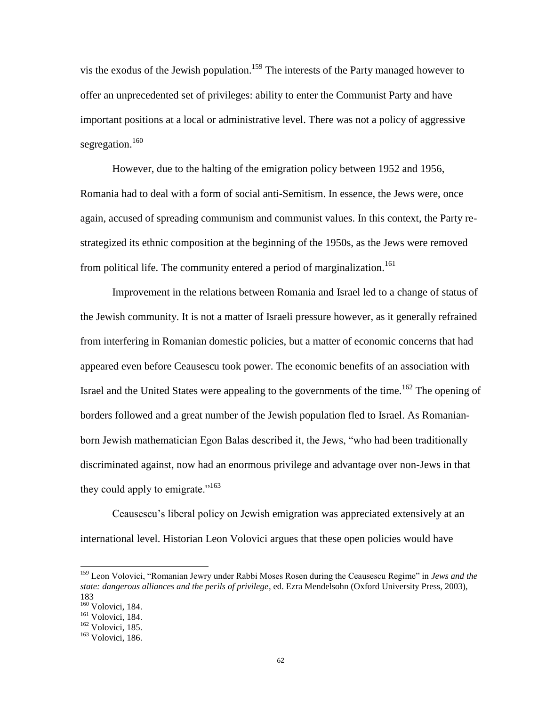vis the exodus of the Jewish population.<sup>159</sup> The interests of the Party managed however to offer an unprecedented set of privileges: ability to enter the Communist Party and have important positions at a local or administrative level. There was not a policy of aggressive segregation.<sup>160</sup>

However, due to the halting of the emigration policy between 1952 and 1956, Romania had to deal with a form of social anti-Semitism. In essence, the Jews were, once again, accused of spreading communism and communist values. In this context, the Party restrategized its ethnic composition at the beginning of the 1950s, as the Jews were removed from political life. The community entered a period of marginalization.<sup>161</sup>

Improvement in the relations between Romania and Israel led to a change of status of the Jewish community. It is not a matter of Israeli pressure however, as it generally refrained from interfering in Romanian domestic policies, but a matter of economic concerns that had appeared even before Ceausescu took power. The economic benefits of an association with Israel and the United States were appealing to the governments of the time.<sup>162</sup> The opening of borders followed and a great number of the Jewish population fled to Israel. As Romanianborn Jewish mathematician Egon Balas described it, the Jews, "who had been traditionally discriminated against, now had an enormous privilege and advantage over non-Jews in that they could apply to emigrate."<sup>163</sup>

Ceausescu"s liberal policy on Jewish emigration was appreciated extensively at an international level. Historian Leon Volovici argues that these open policies would have

<sup>159</sup> Leon Volovici, "Romanian Jewry under Rabbi Moses Rosen during the Ceausescu Regime" in *Jews and the state: dangerous alliances and the perils of privilege*, ed. Ezra Mendelsohn (Oxford University Press, 2003), 183

<sup>160</sup> Volovici, 184.

<sup>&</sup>lt;sup>161</sup> Volovici, 184.

<sup>162</sup> Volovici, 185.

<sup>163</sup> Volovici, 186.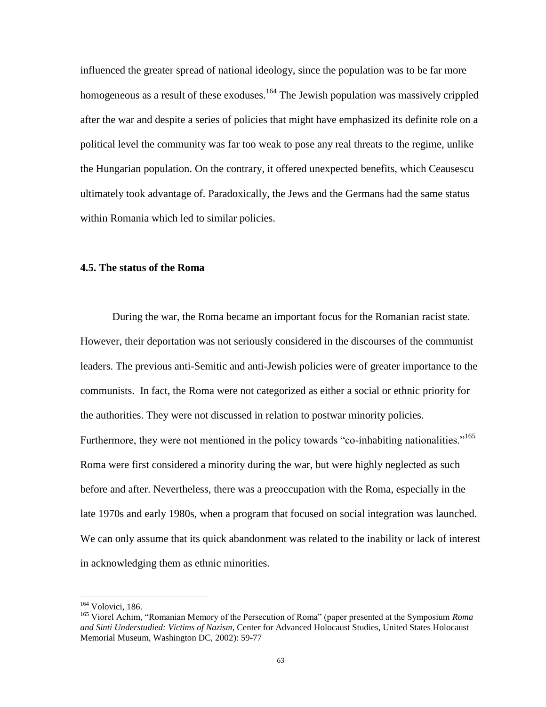influenced the greater spread of national ideology, since the population was to be far more homogeneous as a result of these exoduses.<sup>164</sup> The Jewish population was massively crippled after the war and despite a series of policies that might have emphasized its definite role on a political level the community was far too weak to pose any real threats to the regime, unlike the Hungarian population. On the contrary, it offered unexpected benefits, which Ceausescu ultimately took advantage of. Paradoxically, the Jews and the Germans had the same status within Romania which led to similar policies.

### **4.5. The status of the Roma**

During the war, the Roma became an important focus for the Romanian racist state. However, their deportation was not seriously considered in the discourses of the communist leaders. The previous anti-Semitic and anti-Jewish policies were of greater importance to the communists. In fact, the Roma were not categorized as either a social or ethnic priority for the authorities. They were not discussed in relation to postwar minority policies. Furthermore, they were not mentioned in the policy towards "co-inhabiting nationalities."<sup>165</sup> Roma were first considered a minority during the war, but were highly neglected as such before and after. Nevertheless, there was a preoccupation with the Roma, especially in the late 1970s and early 1980s, when a program that focused on social integration was launched. We can only assume that its quick abandonment was related to the inability or lack of interest in acknowledging them as ethnic minorities.

<sup>164</sup> Volovici, 186.

<sup>165</sup> Viorel Achim, "Romanian Memory of the Persecution of Roma" (paper presented at the Symposium *Roma and Sinti Understudied: Victims of Nazism*, Center for Advanced Holocaust Studies, United States Holocaust Memorial Museum, Washington DC, 2002): 59-77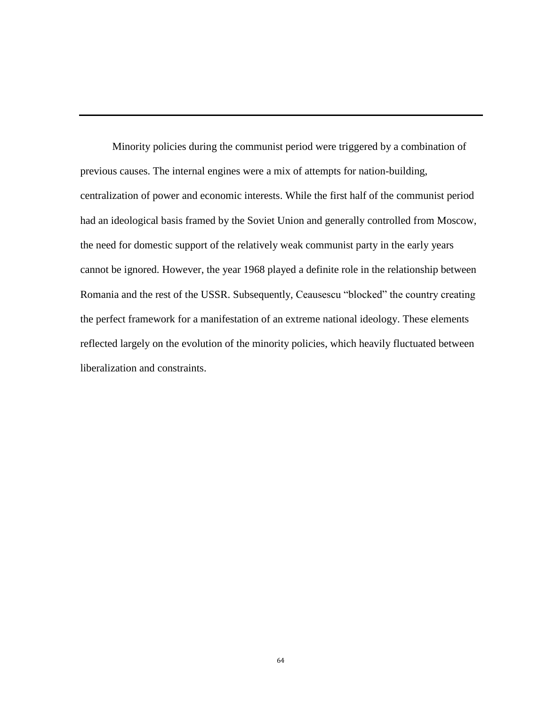Minority policies during the communist period were triggered by a combination of previous causes. The internal engines were a mix of attempts for nation-building, centralization of power and economic interests. While the first half of the communist period had an ideological basis framed by the Soviet Union and generally controlled from Moscow, the need for domestic support of the relatively weak communist party in the early years cannot be ignored. However, the year 1968 played a definite role in the relationship between Romania and the rest of the USSR. Subsequently, Ceausescu "blocked" the country creating the perfect framework for a manifestation of an extreme national ideology. These elements reflected largely on the evolution of the minority policies, which heavily fluctuated between liberalization and constraints.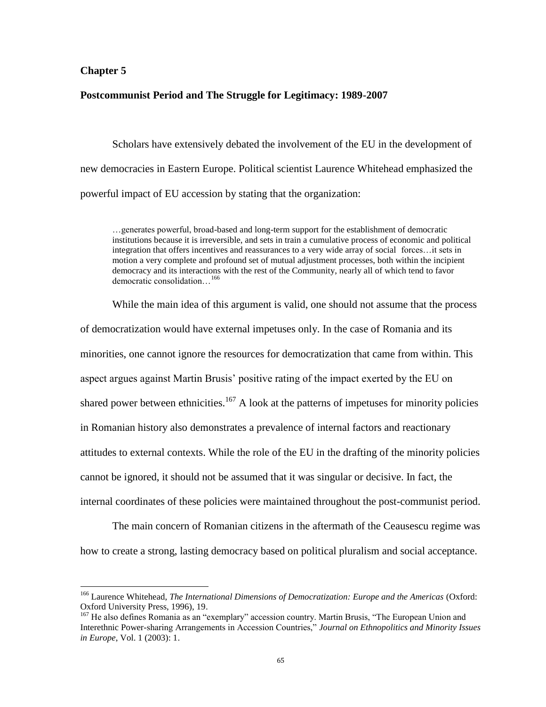## **Chapter 5**

 $\overline{\phantom{a}}$ 

## **Postcommunist Period and The Struggle for Legitimacy: 1989-2007**

Scholars have extensively debated the involvement of the EU in the development of new democracies in Eastern Europe. Political scientist Laurence Whitehead emphasized the powerful impact of EU accession by stating that the organization:

…generates powerful, broad-based and long-term support for the establishment of democratic institutions because it is irreversible, and sets in train a cumulative process of economic and political integration that offers incentives and reassurances to a very wide array of social forces…it sets in motion a very complete and profound set of mutual adjustment processes, both within the incipient democracy and its interactions with the rest of the Community, nearly all of which tend to favor democratic consolidation…<sup>166</sup>

While the main idea of this argument is valid, one should not assume that the process of democratization would have external impetuses only. In the case of Romania and its minorities, one cannot ignore the resources for democratization that came from within. This aspect argues against Martin Brusis" positive rating of the impact exerted by the EU on shared power between ethnicities.<sup>167</sup> A look at the patterns of impetuses for minority policies in Romanian history also demonstrates a prevalence of internal factors and reactionary attitudes to external contexts. While the role of the EU in the drafting of the minority policies cannot be ignored, it should not be assumed that it was singular or decisive. In fact, the internal coordinates of these policies were maintained throughout the post-communist period.

The main concern of Romanian citizens in the aftermath of the Ceausescu regime was how to create a strong, lasting democracy based on political pluralism and social acceptance.

<sup>166</sup> Laurence Whitehead, *The International Dimensions of Democratization: Europe and the Americas* (Oxford: Oxford University Press, 1996), 19.

<sup>&</sup>lt;sup>167</sup> He also defines Romania as an "exemplary" accession country. Martin Brusis, "The European Union and Interethnic Power-sharing Arrangements in Accession Countries," *Journal on Ethnopolitics and Minority Issues in Europe*, Vol. 1 (2003): 1.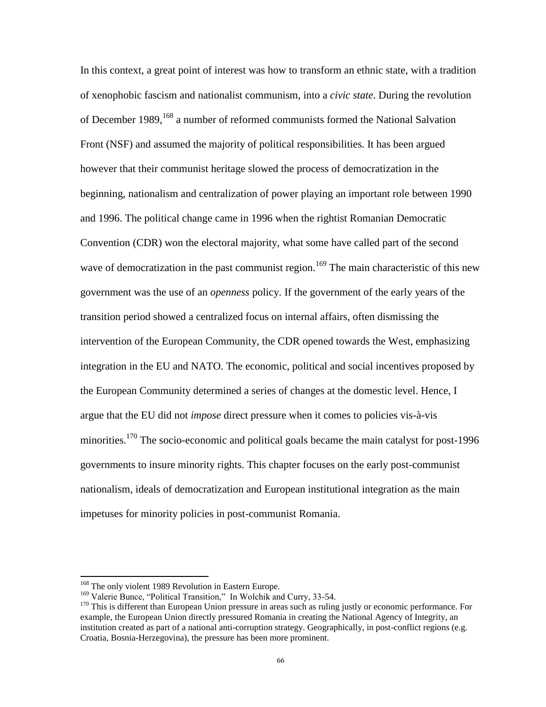In this context, a great point of interest was how to transform an ethnic state, with a tradition of xenophobic fascism and nationalist communism, into a *civic state*. During the revolution of December 1989, <sup>168</sup> a number of reformed communists formed the National Salvation Front (NSF) and assumed the majority of political responsibilities. It has been argued however that their communist heritage slowed the process of democratization in the beginning, nationalism and centralization of power playing an important role between 1990 and 1996. The political change came in 1996 when the rightist Romanian Democratic Convention (CDR) won the electoral majority, what some have called part of the second wave of democratization in the past communist region.<sup>169</sup> The main characteristic of this new government was the use of an *openness* policy. If the government of the early years of the transition period showed a centralized focus on internal affairs, often dismissing the intervention of the European Community, the CDR opened towards the West, emphasizing integration in the EU and NATO. The economic, political and social incentives proposed by the European Community determined a series of changes at the domestic level. Hence, I argue that the EU did not *impose* direct pressure when it comes to policies vis-à-vis minorities.<sup>170</sup> The socio-economic and political goals became the main catalyst for post-1996 governments to insure minority rights. This chapter focuses on the early post-communist nationalism, ideals of democratization and European institutional integration as the main impetuses for minority policies in post-communist Romania.

 $\overline{\phantom{a}}$ 

<sup>&</sup>lt;sup>168</sup> The only violent 1989 Revolution in Eastern Europe.

<sup>&</sup>lt;sup>169</sup> Valerie Bunce, "Political Transition," In Wolchik and Curry, 33-54.

<sup>&</sup>lt;sup>170</sup> This is different than European Union pressure in areas such as ruling justly or economic performance. For example, the European Union directly pressured Romania in creating the National Agency of Integrity, an institution created as part of a national anti-corruption strategy. Geographically, in post-conflict regions (e.g. Croatia, Bosnia-Herzegovina), the pressure has been more prominent.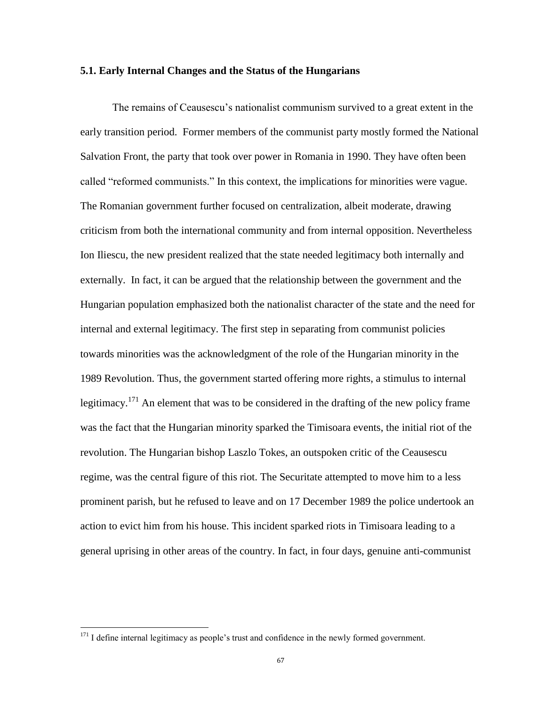#### **5.1. Early Internal Changes and the Status of the Hungarians**

The remains of Ceausescu"s nationalist communism survived to a great extent in the early transition period. Former members of the communist party mostly formed the National Salvation Front, the party that took over power in Romania in 1990. They have often been called "reformed communists." In this context, the implications for minorities were vague. The Romanian government further focused on centralization, albeit moderate, drawing criticism from both the international community and from internal opposition. Nevertheless Ion Iliescu, the new president realized that the state needed legitimacy both internally and externally. In fact, it can be argued that the relationship between the government and the Hungarian population emphasized both the nationalist character of the state and the need for internal and external legitimacy. The first step in separating from communist policies towards minorities was the acknowledgment of the role of the Hungarian minority in the 1989 Revolution. Thus, the government started offering more rights, a stimulus to internal legitimacy.<sup>171</sup> An element that was to be considered in the drafting of the new policy frame was the fact that the Hungarian minority sparked the Timisoara events, the initial riot of the revolution. The Hungarian bishop Laszlo Tokes, an outspoken critic of the Ceausescu regime, was the central figure of this riot. The Securitate attempted to move him to a less prominent parish, but he refused to leave and on 17 December 1989 the police undertook an action to evict him from his house. This incident sparked riots in Timisoara leading to a general uprising in other areas of the country. In fact, in four days, genuine anti-communist

 $\overline{\phantom{a}}$ 

 $171$  I define internal legitimacy as people's trust and confidence in the newly formed government.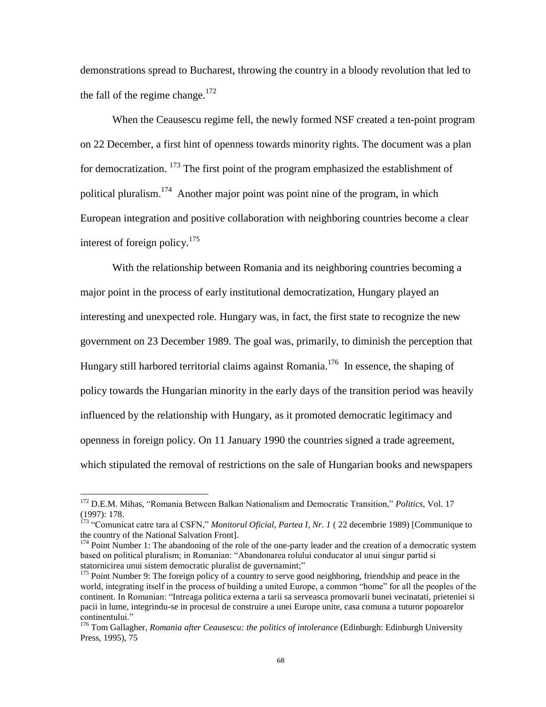demonstrations spread to Bucharest, throwing the country in a bloody revolution that led to the fall of the regime change. $172$ 

When the Ceausescu regime fell, the newly formed NSF created a ten-point program on 22 December, a first hint of openness towards minority rights. The document was a plan for democratization.  $173$  The first point of the program emphasized the establishment of political pluralism.<sup>174</sup> Another major point was point nine of the program, in which European integration and positive collaboration with neighboring countries become a clear interest of foreign policy.<sup>175</sup>

With the relationship between Romania and its neighboring countries becoming a major point in the process of early institutional democratization, Hungary played an interesting and unexpected role. Hungary was, in fact, the first state to recognize the new government on 23 December 1989. The goal was, primarily, to diminish the perception that Hungary still harbored territorial claims against Romania.<sup>176</sup> In essence, the shaping of policy towards the Hungarian minority in the early days of the transition period was heavily influenced by the relationship with Hungary, as it promoted democratic legitimacy and openness in foreign policy. On 11 January 1990 the countries signed a trade agreement, which stipulated the removal of restrictions on the sale of Hungarian books and newspapers

l

<sup>172</sup> D.E.M. Mihas, "Romania Between Balkan Nationalism and Democratic Transition," *Politics,* Vol. 17 (1997): 178.

<sup>173</sup> "Comunicat catre tara al CSFN," *Monitorul Oficial*, *Partea I, Nr. 1* ( 22 decembrie 1989) [Communique to the country of the National Salvation Front].

<sup>&</sup>lt;sup>174</sup> Point Number 1: The abandoning of the role of the one-party leader and the creation of a democratic system based on political pluralism; in Romanian: "Abandonarea rolului conducator al unui singur partid si statornicirea unui sistem democratic pluralist de guvernamint;"

<sup>&</sup>lt;sup>175</sup> Point Number 9: The foreign policy of a country to serve good neighboring, friendship and peace in the world, integrating itself in the process of building a united Europe, a common "home" for all the peoples of the continent. In Romanian: "Intreaga politica externa a tarii sa serveasca promovarii bunei vecinatati, prieteniei si pacii in lume, integrindu-se in procesul de construire a unei Europe unite, casa comuna a tuturor popoarelor continentului."

<sup>176</sup> Tom Gallagher, *Romania after Ceausescu: the politics of intolerance* (Edinburgh: Edinburgh University Press, 1995), 75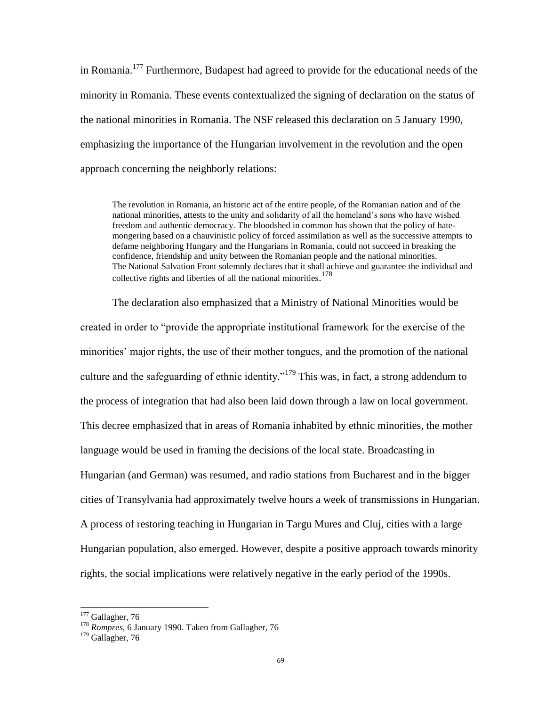in Romania.<sup>177</sup> Furthermore, Budapest had agreed to provide for the educational needs of the minority in Romania. These events contextualized the signing of declaration on the status of the national minorities in Romania. The NSF released this declaration on 5 January 1990, emphasizing the importance of the Hungarian involvement in the revolution and the open approach concerning the neighborly relations:

The revolution in Romania, an historic act of the entire people, of the Romanian nation and of the national minorities, attests to the unity and solidarity of all the homeland"s sons who have wished freedom and authentic democracy. The bloodshed in common has shown that the policy of hatemongering based on a chauvinistic policy of forced assimilation as well as the successive attempts to defame neighboring Hungary and the Hungarians in Romania, could not succeed in breaking the confidence, friendship and unity between the Romanian people and the national minorities. The National Salvation Front solemnly declares that it shall achieve and guarantee the individual and collective rights and liberties of all the national minorities. 178

The declaration also emphasized that a Ministry of National Minorities would be created in order to "provide the appropriate institutional framework for the exercise of the minorities' major rights, the use of their mother tongues, and the promotion of the national culture and the safeguarding of ethnic identity."<sup>179</sup> This was, in fact, a strong addendum to the process of integration that had also been laid down through a law on local government. This decree emphasized that in areas of Romania inhabited by ethnic minorities, the mother language would be used in framing the decisions of the local state. Broadcasting in Hungarian (and German) was resumed, and radio stations from Bucharest and in the bigger cities of Transylvania had approximately twelve hours a week of transmissions in Hungarian. A process of restoring teaching in Hungarian in Targu Mures and Cluj, cities with a large Hungarian population, also emerged. However, despite a positive approach towards minority rights, the social implications were relatively negative in the early period of the 1990s.

 $\overline{\phantom{a}}$ 

<sup>&</sup>lt;sup>177</sup> Gallagher, 76

<sup>178</sup> *Rompres*, 6 January 1990. Taken from Gallagher, 76

 $179$  Gallagher, 76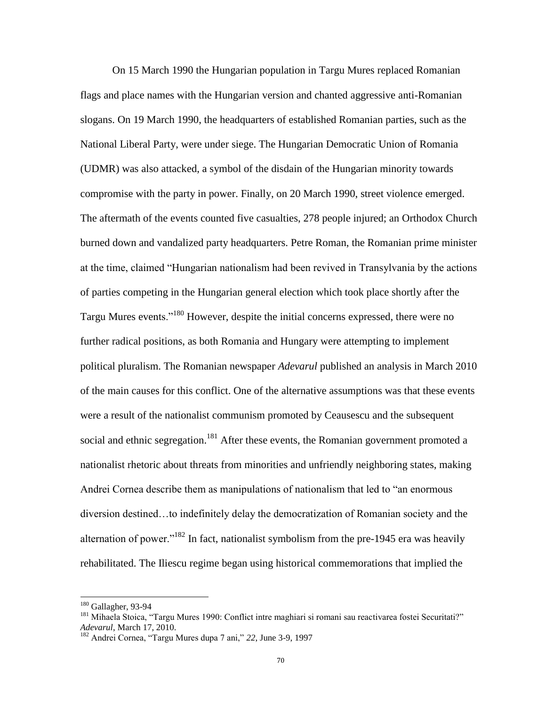On 15 March 1990 the Hungarian population in Targu Mures replaced Romanian flags and place names with the Hungarian version and chanted aggressive anti-Romanian slogans. On 19 March 1990, the headquarters of established Romanian parties, such as the National Liberal Party, were under siege. The Hungarian Democratic Union of Romania (UDMR) was also attacked, a symbol of the disdain of the Hungarian minority towards compromise with the party in power. Finally, on 20 March 1990, street violence emerged. The aftermath of the events counted five casualties, 278 people injured; an Orthodox Church burned down and vandalized party headquarters. Petre Roman, the Romanian prime minister at the time, claimed "Hungarian nationalism had been revived in Transylvania by the actions of parties competing in the Hungarian general election which took place shortly after the Targu Mures events."<sup>180</sup> However, despite the initial concerns expressed, there were no further radical positions, as both Romania and Hungary were attempting to implement political pluralism. The Romanian newspaper *Adevarul* published an analysis in March 2010 of the main causes for this conflict. One of the alternative assumptions was that these events were a result of the nationalist communism promoted by Ceausescu and the subsequent social and ethnic segregation.<sup>181</sup> After these events, the Romanian government promoted a nationalist rhetoric about threats from minorities and unfriendly neighboring states, making Andrei Cornea describe them as manipulations of nationalism that led to "an enormous diversion destined…to indefinitely delay the democratization of Romanian society and the alternation of power."<sup>182</sup> In fact, nationalist symbolism from the pre-1945 era was heavily rehabilitated. The Iliescu regime began using historical commemorations that implied the

 $\overline{\phantom{a}}$ 

<sup>180</sup> Gallagher, 93-94

<sup>&</sup>lt;sup>181</sup> Mihaela Stoica, "Targu Mures 1990: Conflict intre maghiari si romani sau reactivarea fostei Securitati?" *Adevarul*, March 17, 2010.

<sup>182</sup> Andrei Cornea, "Targu Mures dupa 7 ani," *22*, June 3-9, 1997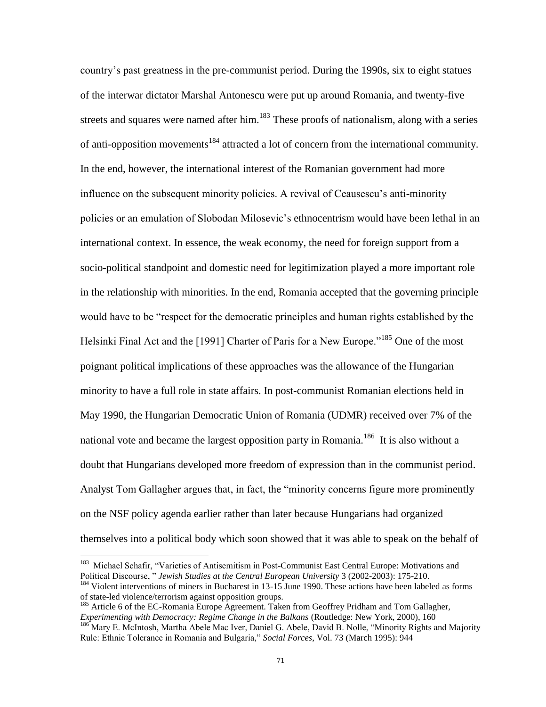country"s past greatness in the pre-communist period. During the 1990s, six to eight statues of the interwar dictator Marshal Antonescu were put up around Romania, and twenty-five streets and squares were named after him.<sup>183</sup> These proofs of nationalism, along with a series of anti-opposition movements<sup>184</sup> attracted a lot of concern from the international community. In the end, however, the international interest of the Romanian government had more influence on the subsequent minority policies. A revival of Ceausescu"s anti-minority policies or an emulation of Slobodan Milosevic"s ethnocentrism would have been lethal in an international context. In essence, the weak economy, the need for foreign support from a socio-political standpoint and domestic need for legitimization played a more important role in the relationship with minorities. In the end, Romania accepted that the governing principle would have to be "respect for the democratic principles and human rights established by the Helsinki Final Act and the [1991] Charter of Paris for a New Europe.<sup>"185</sup> One of the most poignant political implications of these approaches was the allowance of the Hungarian minority to have a full role in state affairs. In post-communist Romanian elections held in May 1990, the Hungarian Democratic Union of Romania (UDMR) received over 7% of the national vote and became the largest opposition party in Romania.<sup>186</sup> It is also without a doubt that Hungarians developed more freedom of expression than in the communist period. Analyst Tom Gallagher argues that, in fact, the "minority concerns figure more prominently on the NSF policy agenda earlier rather than later because Hungarians had organized themselves into a political body which soon showed that it was able to speak on the behalf of

 183 Michael Schafir, "Varieties of Antisemitism in Post-Communist East Central Europe: Motivations and Political Discourse, " *Jewish Studies at the Central European University* 3 (2002-2003): 175-210. <sup>184</sup> Violent interventions of miners in Bucharest in 13-15 June 1990. These actions have been labeled as forms

of state-led violence/terrorism against opposition groups.

<sup>&</sup>lt;sup>185</sup> Article 6 of the EC-Romania Europe Agreement. Taken from Geoffrey Pridham and Tom Gallagher, *Experimenting with Democracy: Regime Change in the Balkans* (Routledge: New York, 2000), 160

<sup>186</sup> Mary E. McIntosh, Martha Abele Mac Iver, Daniel G. Abele, David B. Nolle, "Minority Rights and Majority Rule: Ethnic Tolerance in Romania and Bulgaria," *Social Forces*, Vol. 73 (March 1995): 944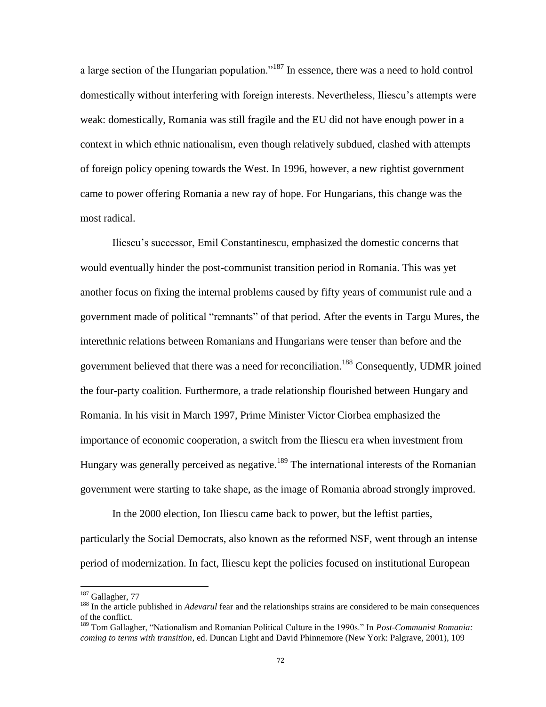a large section of the Hungarian population."<sup>187</sup> In essence, there was a need to hold control domestically without interfering with foreign interests. Nevertheless, Iliescu"s attempts were weak: domestically, Romania was still fragile and the EU did not have enough power in a context in which ethnic nationalism, even though relatively subdued, clashed with attempts of foreign policy opening towards the West. In 1996, however, a new rightist government came to power offering Romania a new ray of hope. For Hungarians, this change was the most radical.

Iliescu"s successor, Emil Constantinescu, emphasized the domestic concerns that would eventually hinder the post-communist transition period in Romania. This was yet another focus on fixing the internal problems caused by fifty years of communist rule and a government made of political "remnants" of that period. After the events in Targu Mures, the interethnic relations between Romanians and Hungarians were tenser than before and the government believed that there was a need for reconciliation.<sup>188</sup> Consequently, UDMR joined the four-party coalition. Furthermore, a trade relationship flourished between Hungary and Romania. In his visit in March 1997, Prime Minister Victor Ciorbea emphasized the importance of economic cooperation, a switch from the Iliescu era when investment from Hungary was generally perceived as negative.<sup>189</sup> The international interests of the Romanian government were starting to take shape, as the image of Romania abroad strongly improved.

In the 2000 election, Ion Iliescu came back to power, but the leftist parties, particularly the Social Democrats, also known as the reformed NSF, went through an intense period of modernization. In fact, Iliescu kept the policies focused on institutional European

 $\overline{\phantom{a}}$ 

<sup>&</sup>lt;sup>187</sup> Gallagher, 77

<sup>188</sup> In the article published in *Adevarul* fear and the relationships strains are considered to be main consequences of the conflict.

<sup>189</sup> Tom Gallagher, "Nationalism and Romanian Political Culture in the 1990s." In *Post-Communist Romania: coming to terms with transition*, ed. Duncan Light and David Phinnemore (New York: Palgrave, 2001), 109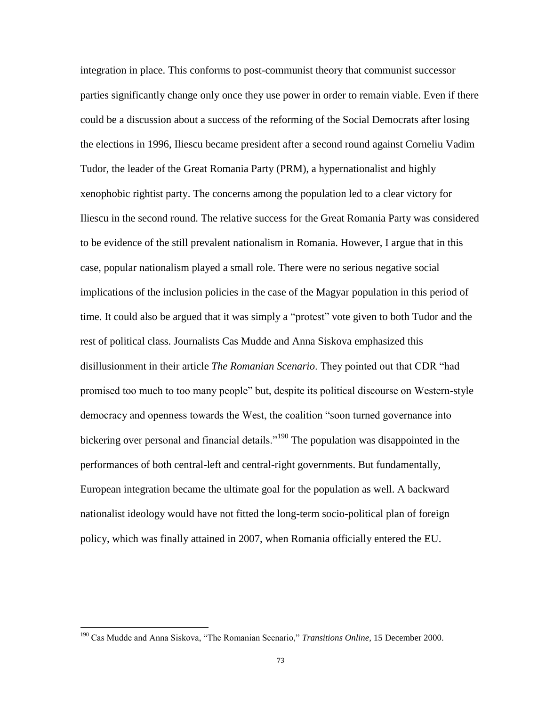integration in place. This conforms to post-communist theory that communist successor parties significantly change only once they use power in order to remain viable. Even if there could be a discussion about a success of the reforming of the Social Democrats after losing the elections in 1996, Iliescu became president after a second round against Corneliu Vadim Tudor, the leader of the Great Romania Party (PRM), a hypernationalist and highly xenophobic rightist party. The concerns among the population led to a clear victory for Iliescu in the second round. The relative success for the Great Romania Party was considered to be evidence of the still prevalent nationalism in Romania. However, I argue that in this case, popular nationalism played a small role. There were no serious negative social implications of the inclusion policies in the case of the Magyar population in this period of time. It could also be argued that it was simply a "protest" vote given to both Tudor and the rest of political class. Journalists Cas Mudde and Anna Siskova emphasized this disillusionment in their article *The Romanian Scenario*. They pointed out that CDR "had promised too much to too many people" but, despite its political discourse on Western-style democracy and openness towards the West, the coalition "soon turned governance into bickering over personal and financial details."<sup>190</sup> The population was disappointed in the performances of both central-left and central-right governments. But fundamentally, European integration became the ultimate goal for the population as well. A backward nationalist ideology would have not fitted the long-term socio-political plan of foreign policy, which was finally attained in 2007, when Romania officially entered the EU.

 $\overline{\phantom{a}}$ 

<sup>190</sup> Cas Mudde and Anna Siskova, "The Romanian Scenario," *Transitions Online*, 15 December 2000.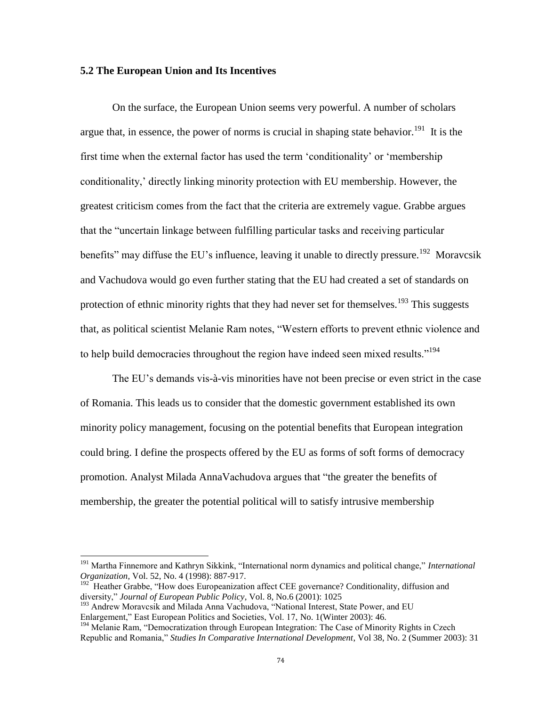## **5.2 The European Union and Its Incentives**

On the surface, the European Union seems very powerful. A number of scholars argue that, in essence, the power of norms is crucial in shaping state behavior.<sup>191</sup> It is the first time when the external factor has used the term "conditionality" or "membership conditionality,' directly linking minority protection with EU membership. However, the greatest criticism comes from the fact that the criteria are extremely vague. Grabbe argues that the "uncertain linkage between fulfilling particular tasks and receiving particular benefits" may diffuse the EU's influence, leaving it unable to directly pressure.<sup>192</sup> Moravcsik and Vachudova would go even further stating that the EU had created a set of standards on protection of ethnic minority rights that they had never set for themselves.<sup>193</sup> This suggests that, as political scientist Melanie Ram notes, "Western efforts to prevent ethnic violence and to help build democracies throughout the region have indeed seen mixed results."<sup>194</sup>

The EU"s demands vis-à-vis minorities have not been precise or even strict in the case of Romania. This leads us to consider that the domestic government established its own minority policy management, focusing on the potential benefits that European integration could bring. I define the prospects offered by the EU as forms of soft forms of democracy promotion. Analyst Milada AnnaVachudova argues that "the greater the benefits of membership, the greater the potential political will to satisfy intrusive membership

<sup>191</sup> Martha Finnemore and Kathryn Sikkink, "International norm dynamics and political change," *International Organization,* Vol. 52, No. 4 (1998): 887-917.

<sup>&</sup>lt;sup>192</sup> Heather Grabbe, "How does Europeanization affect CEE governance? Conditionality, diffusion and diversity," *Journal of European Public Policy*, Vol. 8, No.6 (2001): 1025

<sup>&</sup>lt;sup>193</sup> Andrew Moravcsik and Milada Anna Vachudova, "National Interest, State Power, and EU Enlargement," East European Politics and Societies, Vol. 17, No. 1(Winter 2003): 46.

<sup>&</sup>lt;sup>194</sup> Melanie Ram, "Democratization through European Integration: The Case of Minority Rights in Czech Republic and Romania," *Studies In Comparative International Development*, Vol 38, No. 2 (Summer 2003): 31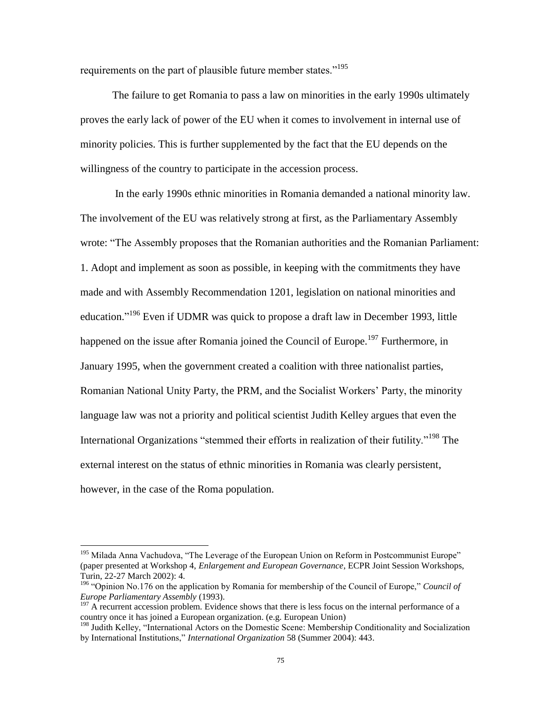requirements on the part of plausible future member states."<sup>195</sup>

The failure to get Romania to pass a law on minorities in the early 1990s ultimately proves the early lack of power of the EU when it comes to involvement in internal use of minority policies. This is further supplemented by the fact that the EU depends on the willingness of the country to participate in the accession process.

In the early 1990s ethnic minorities in Romania demanded a national minority law. The involvement of the EU was relatively strong at first, as the Parliamentary Assembly wrote: "The Assembly proposes that the Romanian authorities and the Romanian Parliament: 1. Adopt and implement as soon as possible, in keeping with the commitments they have made and with Assembly Recommendation 1201, legislation on national minorities and education."<sup>196</sup> Even if UDMR was quick to propose a draft law in December 1993, little happened on the issue after Romania joined the Council of Europe.<sup>197</sup> Furthermore, in January 1995, when the government created a coalition with three nationalist parties, Romanian National Unity Party, the PRM, and the Socialist Workers" Party, the minority language law was not a priority and political scientist Judith Kelley argues that even the International Organizations "stemmed their efforts in realization of their futility."<sup>198</sup> The external interest on the status of ethnic minorities in Romania was clearly persistent, however, in the case of the Roma population.

 $\overline{\phantom{a}}$ 

<sup>&</sup>lt;sup>195</sup> Milada Anna Vachudova, "The Leverage of the European Union on Reform in Postcommunist Europe" (paper presented at Workshop 4, *Enlargement and European Governance*, ECPR Joint Session Workshops, Turin, 22-27 March 2002): 4.

<sup>196</sup> "Opinion No.176 on the application by Romania for membership of the Council of Europe," *Council of Europe Parliamentary Assembly* (1993).

 $197$  A recurrent accession problem. Evidence shows that there is less focus on the internal performance of a country once it has joined a European organization. (e.g. European Union)

<sup>&</sup>lt;sup>198</sup> Judith Kelley, "International Actors on the Domestic Scene: Membership Conditionality and Socialization by International Institutions," *International Organization* 58 (Summer 2004): 443.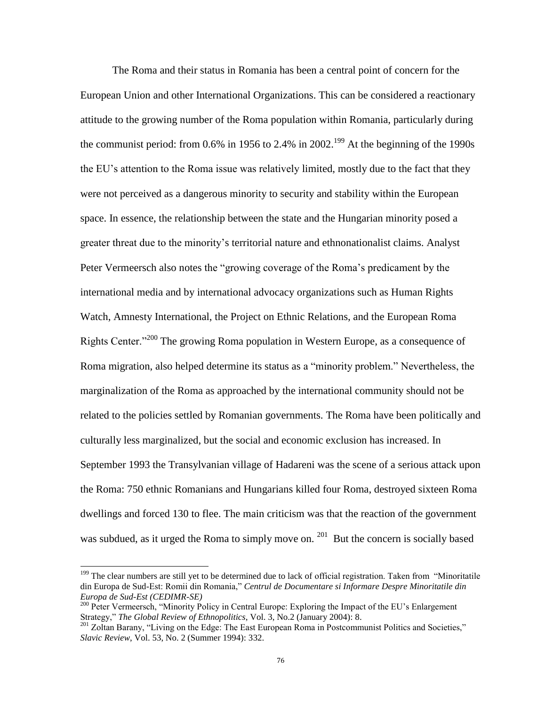The Roma and their status in Romania has been a central point of concern for the European Union and other International Organizations. This can be considered a reactionary attitude to the growing number of the Roma population within Romania, particularly during the communist period: from 0.6% in 1956 to 2.4% in 2002.<sup>199</sup> At the beginning of the 1990s the EU"s attention to the Roma issue was relatively limited, mostly due to the fact that they were not perceived as a dangerous minority to security and stability within the European space. In essence, the relationship between the state and the Hungarian minority posed a greater threat due to the minority's territorial nature and ethnonationalist claims. Analyst Peter Vermeersch also notes the "growing coverage of the Roma"s predicament by the international media and by international advocacy organizations such as Human Rights Watch, Amnesty International, the Project on Ethnic Relations, and the European Roma Rights Center."<sup>200</sup> The growing Roma population in Western Europe, as a consequence of Roma migration, also helped determine its status as a "minority problem." Nevertheless, the marginalization of the Roma as approached by the international community should not be related to the policies settled by Romanian governments. The Roma have been politically and culturally less marginalized, but the social and economic exclusion has increased. In September 1993 the Transylvanian village of Hadareni was the scene of a serious attack upon the Roma: 750 ethnic Romanians and Hungarians killed four Roma, destroyed sixteen Roma dwellings and forced 130 to flee. The main criticism was that the reaction of the government was subdued, as it urged the Roma to simply move on.  $201$  But the concern is socially based

 $\overline{\phantom{a}}$ 

<sup>&</sup>lt;sup>199</sup> The clear numbers are still yet to be determined due to lack of official registration. Taken from "Minoritatile" din Europa de Sud-Est: Romii din Romania," *Centrul de Documentare si Informare Despre Minoritatile din Europa de Sud-Est (CEDIMR-SE)*

<sup>&</sup>lt;sup>200</sup> Peter Vermeersch, "Minority Policy in Central Europe: Exploring the Impact of the EU's Enlargement Strategy," *The Global Review of Ethnopolitics*, Vol. 3, No.2 (January 2004): 8.

<sup>&</sup>lt;sup>201</sup> Zoltan Barany, "Living on the Edge: The East European Roma in Postcommunist Politics and Societies," *Slavic Review*, Vol. 53, No. 2 (Summer 1994): 332.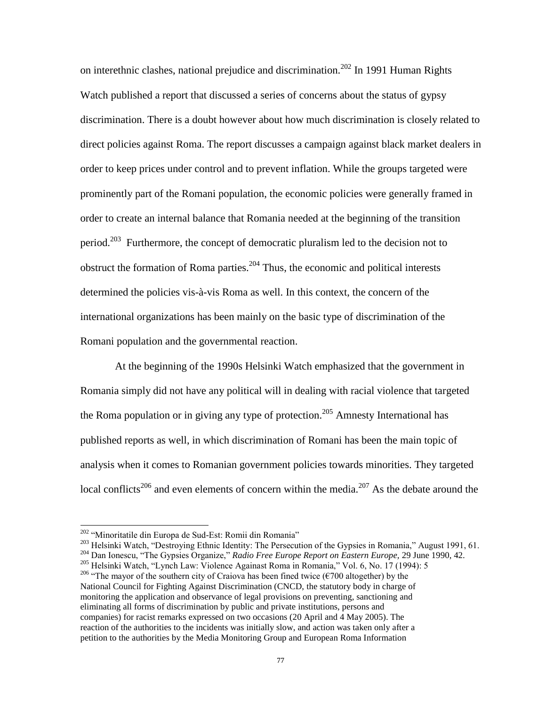on interethnic clashes, national prejudice and discrimination.<sup>202</sup> In 1991 Human Rights Watch published a report that discussed a series of concerns about the status of gypsy discrimination. There is a doubt however about how much discrimination is closely related to direct policies against Roma. The report discusses a campaign against black market dealers in order to keep prices under control and to prevent inflation. While the groups targeted were prominently part of the Romani population, the economic policies were generally framed in order to create an internal balance that Romania needed at the beginning of the transition period.<sup>203</sup> Furthermore, the concept of democratic pluralism led to the decision not to obstruct the formation of Roma parties.<sup>204</sup> Thus, the economic and political interests determined the policies vis-à-vis Roma as well. In this context, the concern of the international organizations has been mainly on the basic type of discrimination of the Romani population and the governmental reaction.

At the beginning of the 1990s Helsinki Watch emphasized that the government in Romania simply did not have any political will in dealing with racial violence that targeted the Roma population or in giving any type of protection.<sup>205</sup> Amnesty International has published reports as well, in which discrimination of Romani has been the main topic of analysis when it comes to Romanian government policies towards minorities. They targeted local conflicts<sup>206</sup> and even elements of concern within the media.<sup>207</sup> As the debate around the

<sup>&</sup>lt;sup>202</sup> "Minoritatile din Europa de Sud-Est: Romii din Romania"

<sup>&</sup>lt;sup>203</sup> Helsinki Watch, "Destroying Ethnic Identity: The Persecution of the Gypsies in Romania," August 1991, 61.

<sup>204</sup> Dan Ionescu, "The Gypsies Organize," *Radio Free Europe Report on Eastern Europe,* 29 June 1990, 42.

<sup>205</sup> Helsinki Watch, "Lynch Law: Violence Againast Roma in Romania," Vol. 6, No. 17 (1994): 5

<sup>&</sup>lt;sup>206</sup> "The mayor of the southern city of Craiova has been fined twice ( $\epsilon$ 700 altogether) by the National Council for Fighting Against Discrimination (CNCD, the statutory body in charge of monitoring the application and observance of legal provisions on preventing, sanctioning and eliminating all forms of discrimination by public and private institutions, persons and companies) for racist remarks expressed on two occasions (20 April and 4 May 2005). The reaction of the authorities to the incidents was initially slow, and action was taken only after a petition to the authorities by the Media Monitoring Group and European Roma Information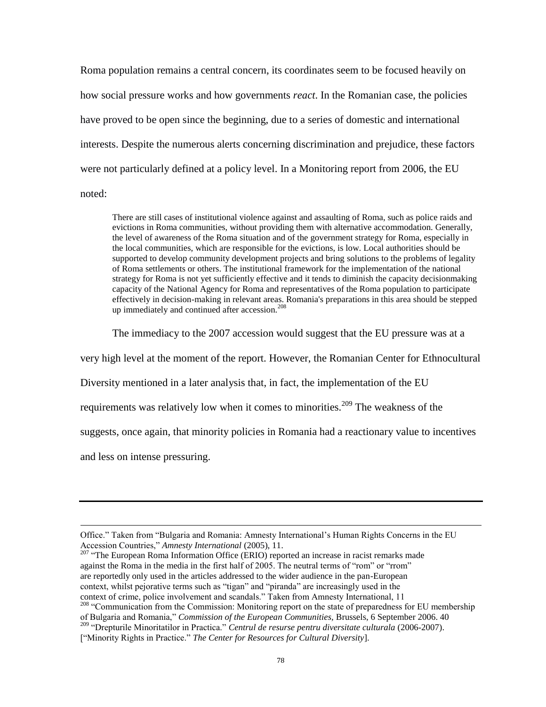Roma population remains a central concern, its coordinates seem to be focused heavily on how social pressure works and how governments *react*. In the Romanian case, the policies have proved to be open since the beginning, due to a series of domestic and international interests. Despite the numerous alerts concerning discrimination and prejudice, these factors were not particularly defined at a policy level. In a Monitoring report from 2006, the EU noted:

There are still cases of institutional violence against and assaulting of Roma, such as police raids and evictions in Roma communities, without providing them with alternative accommodation. Generally, the level of awareness of the Roma situation and of the government strategy for Roma, especially in the local communities, which are responsible for the evictions, is low. Local authorities should be supported to develop community development projects and bring solutions to the problems of legality of Roma settlements or others. The institutional framework for the implementation of the national strategy for Roma is not yet sufficiently effective and it tends to diminish the capacity decisionmaking capacity of the National Agency for Roma and representatives of the Roma population to participate effectively in decision-making in relevant areas. Romania's preparations in this area should be stepped up immediately and continued after accession.<sup>208</sup>

The immediacy to the 2007 accession would suggest that the EU pressure was at a

very high level at the moment of the report. However, the Romanian Center for Ethnocultural

Diversity mentioned in a later analysis that, in fact, the implementation of the EU

requirements was relatively low when it comes to minorities.<sup>209</sup> The weakness of the

suggests, once again, that minority policies in Romania had a reactionary value to incentives

and less on intense pressuring.

Office." Taken from "Bulgaria and Romania: Amnesty International"s Human Rights Concerns in the EU Accession Countries," *Amnesty International* (2005), 11.

<sup>&</sup>lt;sup>207</sup> "The European Roma Information Office (ERIO) reported an increase in racist remarks made against the Roma in the media in the first half of 2005. The neutral terms of "rom" or "rrom" are reportedly only used in the articles addressed to the wider audience in the pan-European context, whilst pejorative terms such as "tigan" and "piranda" are increasingly used in the context of crime, police involvement and scandals." Taken from Amnesty International, 11

<sup>&</sup>lt;sup>208</sup> "Communication from the Commission: Monitoring report on the state of preparedness for EU membership of Bulgaria and Romania," *Commission of the European Communities,* Brussels, 6 September 2006. 40

<sup>209</sup> "Drepturile Minoritatilor in Practica." *Centrul de resurse pentru diversitate culturala* (2006-2007).

<sup>[&</sup>quot;Minority Rights in Practice." *The Center for Resources for Cultural Diversity*].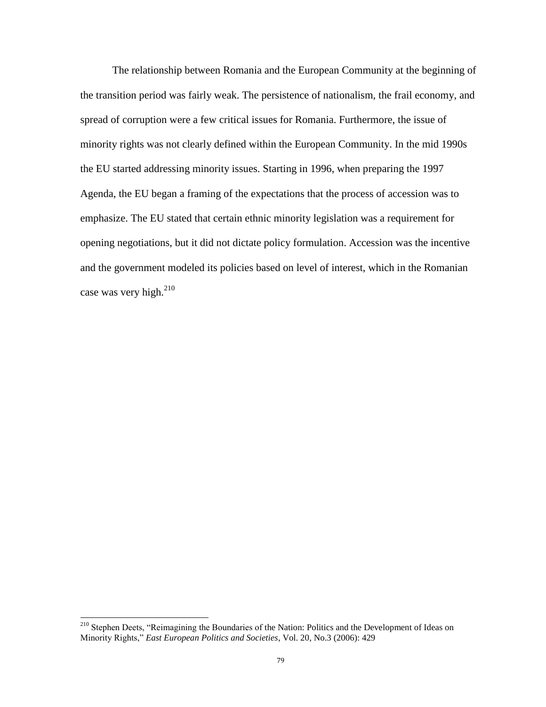The relationship between Romania and the European Community at the beginning of the transition period was fairly weak. The persistence of nationalism, the frail economy, and spread of corruption were a few critical issues for Romania. Furthermore, the issue of minority rights was not clearly defined within the European Community. In the mid 1990s the EU started addressing minority issues. Starting in 1996, when preparing the 1997 Agenda, the EU began a framing of the expectations that the process of accession was to emphasize. The EU stated that certain ethnic minority legislation was a requirement for opening negotiations, but it did not dictate policy formulation. Accession was the incentive and the government modeled its policies based on level of interest, which in the Romanian case was very high.<sup>210</sup>

<sup>&</sup>lt;sup>210</sup> Stephen Deets, "Reimagining the Boundaries of the Nation: Politics and the Development of Ideas on Minority Rights," *East European Politics and Societies*, Vol. 20, No.3 (2006): 429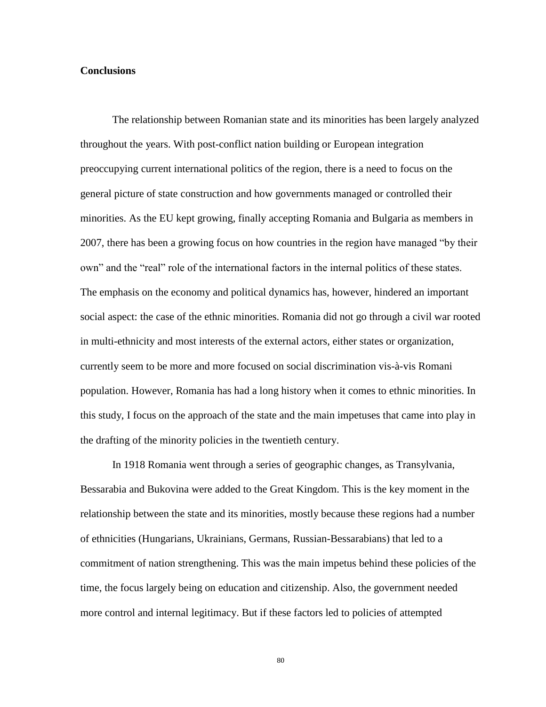## **Conclusions**

The relationship between Romanian state and its minorities has been largely analyzed throughout the years. With post-conflict nation building or European integration preoccupying current international politics of the region, there is a need to focus on the general picture of state construction and how governments managed or controlled their minorities. As the EU kept growing, finally accepting Romania and Bulgaria as members in 2007, there has been a growing focus on how countries in the region have managed "by their own" and the "real" role of the international factors in the internal politics of these states. The emphasis on the economy and political dynamics has, however, hindered an important social aspect: the case of the ethnic minorities. Romania did not go through a civil war rooted in multi-ethnicity and most interests of the external actors, either states or organization, currently seem to be more and more focused on social discrimination vis-à-vis Romani population. However, Romania has had a long history when it comes to ethnic minorities. In this study, I focus on the approach of the state and the main impetuses that came into play in the drafting of the minority policies in the twentieth century.

In 1918 Romania went through a series of geographic changes, as Transylvania, Bessarabia and Bukovina were added to the Great Kingdom. This is the key moment in the relationship between the state and its minorities, mostly because these regions had a number of ethnicities (Hungarians, Ukrainians, Germans, Russian-Bessarabians) that led to a commitment of nation strengthening. This was the main impetus behind these policies of the time, the focus largely being on education and citizenship. Also, the government needed more control and internal legitimacy. But if these factors led to policies of attempted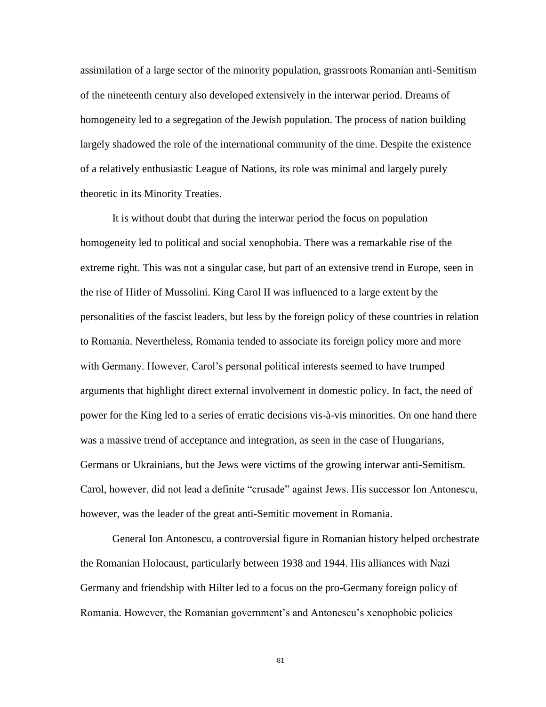assimilation of a large sector of the minority population, grassroots Romanian anti-Semitism of the nineteenth century also developed extensively in the interwar period. Dreams of homogeneity led to a segregation of the Jewish population. The process of nation building largely shadowed the role of the international community of the time. Despite the existence of a relatively enthusiastic League of Nations, its role was minimal and largely purely theoretic in its Minority Treaties.

It is without doubt that during the interwar period the focus on population homogeneity led to political and social xenophobia. There was a remarkable rise of the extreme right. This was not a singular case, but part of an extensive trend in Europe, seen in the rise of Hitler of Mussolini. King Carol II was influenced to a large extent by the personalities of the fascist leaders, but less by the foreign policy of these countries in relation to Romania. Nevertheless, Romania tended to associate its foreign policy more and more with Germany. However, Carol"s personal political interests seemed to have trumped arguments that highlight direct external involvement in domestic policy. In fact, the need of power for the King led to a series of erratic decisions vis-à-vis minorities. On one hand there was a massive trend of acceptance and integration, as seen in the case of Hungarians, Germans or Ukrainians, but the Jews were victims of the growing interwar anti-Semitism. Carol, however, did not lead a definite "crusade" against Jews. His successor Ion Antonescu, however, was the leader of the great anti-Semitic movement in Romania.

General Ion Antonescu, a controversial figure in Romanian history helped orchestrate the Romanian Holocaust, particularly between 1938 and 1944. His alliances with Nazi Germany and friendship with Hilter led to a focus on the pro-Germany foreign policy of Romania. However, the Romanian government"s and Antonescu"s xenophobic policies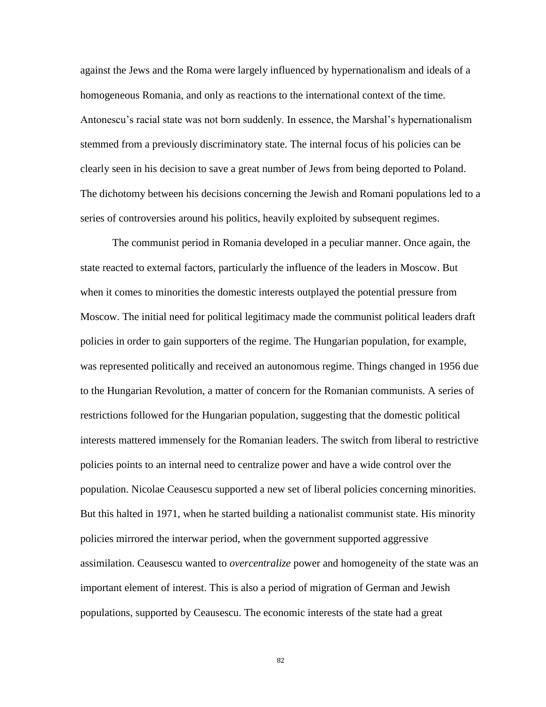against the Jews and the Roma were largely influenced by hypernationalism and ideals of a homogeneous Romania, and only as reactions to the international context of the time. Antonescu"s racial state was not born suddenly. In essence, the Marshal"s hypernationalism stemmed from a previously discriminatory state. The internal focus of his policies can be clearly seen in his decision to save a great number of Jews from being deported to Poland. The dichotomy between his decisions concerning the Jewish and Romani populations led to a series of controversies around his politics, heavily exploited by subsequent regimes.

The communist period in Romania developed in a peculiar manner. Once again, the state reacted to external factors, particularly the influence of the leaders in Moscow. But when it comes to minorities the domestic interests outplayed the potential pressure from Moscow. The initial need for political legitimacy made the communist political leaders draft policies in order to gain supporters of the regime. The Hungarian population, for example, was represented politically and received an autonomous regime. Things changed in 1956 due to the Hungarian Revolution, a matter of concern for the Romanian communists. A series of restrictions followed for the Hungarian population, suggesting that the domestic political interests mattered immensely for the Romanian leaders. The switch from liberal to restrictive policies points to an internal need to centralize power and have a wide control over the population. Nicolae Ceausescu supported a new set of liberal policies concerning minorities. But this halted in 1971, when he started building a nationalist communist state. His minority policies mirrored the interwar period, when the government supported aggressive assimilation. Ceausescu wanted to *overcentralize* power and homogeneity of the state was an important element of interest. This is also a period of migration of German and Jewish populations, supported by Ceausescu. The economic interests of the state had a great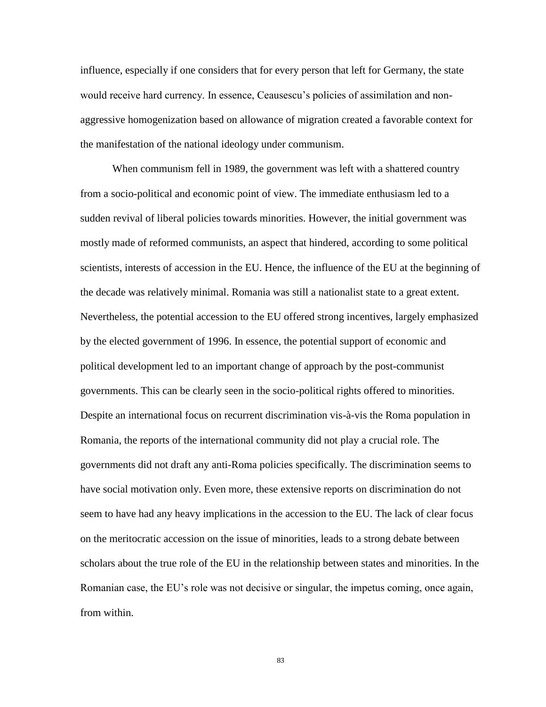influence, especially if one considers that for every person that left for Germany, the state would receive hard currency. In essence, Ceausescu"s policies of assimilation and nonaggressive homogenization based on allowance of migration created a favorable context for the manifestation of the national ideology under communism.

When communism fell in 1989, the government was left with a shattered country from a socio-political and economic point of view. The immediate enthusiasm led to a sudden revival of liberal policies towards minorities. However, the initial government was mostly made of reformed communists, an aspect that hindered, according to some political scientists, interests of accession in the EU. Hence, the influence of the EU at the beginning of the decade was relatively minimal. Romania was still a nationalist state to a great extent. Nevertheless, the potential accession to the EU offered strong incentives, largely emphasized by the elected government of 1996. In essence, the potential support of economic and political development led to an important change of approach by the post-communist governments. This can be clearly seen in the socio-political rights offered to minorities. Despite an international focus on recurrent discrimination vis-à-vis the Roma population in Romania, the reports of the international community did not play a crucial role. The governments did not draft any anti-Roma policies specifically. The discrimination seems to have social motivation only. Even more, these extensive reports on discrimination do not seem to have had any heavy implications in the accession to the EU. The lack of clear focus on the meritocratic accession on the issue of minorities, leads to a strong debate between scholars about the true role of the EU in the relationship between states and minorities. In the Romanian case, the EU"s role was not decisive or singular, the impetus coming, once again, from within.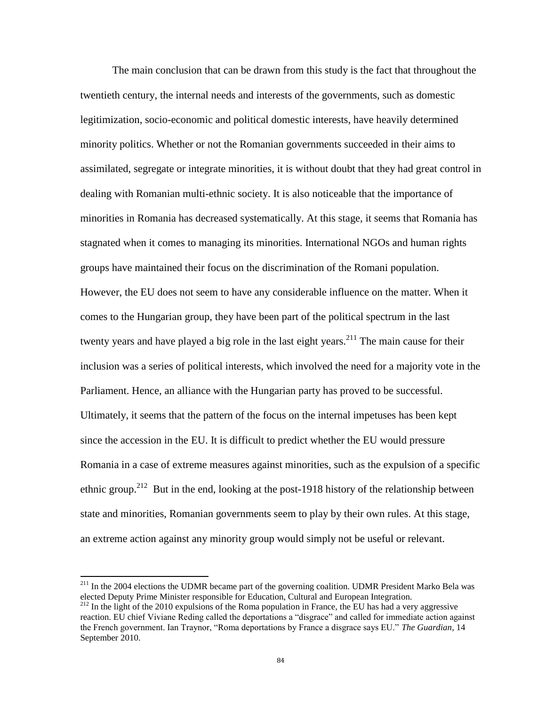The main conclusion that can be drawn from this study is the fact that throughout the twentieth century, the internal needs and interests of the governments, such as domestic legitimization, socio-economic and political domestic interests, have heavily determined minority politics. Whether or not the Romanian governments succeeded in their aims to assimilated, segregate or integrate minorities, it is without doubt that they had great control in dealing with Romanian multi-ethnic society. It is also noticeable that the importance of minorities in Romania has decreased systematically. At this stage, it seems that Romania has stagnated when it comes to managing its minorities. International NGOs and human rights groups have maintained their focus on the discrimination of the Romani population. However, the EU does not seem to have any considerable influence on the matter. When it comes to the Hungarian group, they have been part of the political spectrum in the last twenty years and have played a big role in the last eight years.<sup>211</sup> The main cause for their inclusion was a series of political interests, which involved the need for a majority vote in the Parliament. Hence, an alliance with the Hungarian party has proved to be successful. Ultimately, it seems that the pattern of the focus on the internal impetuses has been kept since the accession in the EU. It is difficult to predict whether the EU would pressure Romania in a case of extreme measures against minorities, such as the expulsion of a specific ethnic group.<sup>212</sup> But in the end, looking at the post-1918 history of the relationship between state and minorities, Romanian governments seem to play by their own rules. At this stage, an extreme action against any minority group would simply not be useful or relevant.

 $\overline{a}$ 

<sup>&</sup>lt;sup>211</sup> In the 2004 elections the UDMR became part of the governing coalition. UDMR President Marko Bela was elected Deputy Prime Minister responsible for Education, Cultural and European Integration.

<sup>&</sup>lt;sup>212</sup> In the light of the 2010 expulsions of the Roma population in France, the EU has had a very aggressive reaction. EU chief Viviane Reding called the deportations a "disgrace" and called for immediate action against the French government. Ian Traynor, "Roma deportations by France a disgrace says EU." *The Guardian*, 14 September 2010.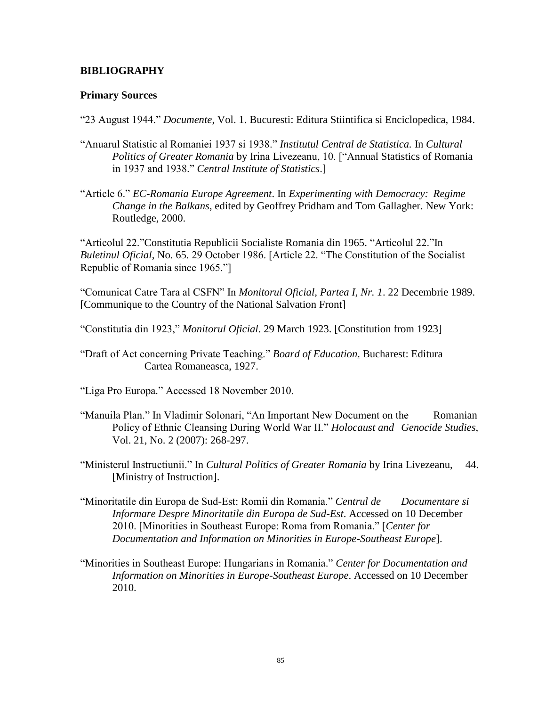# **BIBLIOGRAPHY**

## **Primary Sources**

"23 August 1944." *Documente*, Vol. 1. Bucuresti: Editura Stiintifica si Enciclopedica, 1984.

- "Anuarul Statistic al Romaniei 1937 si 1938." *Institutul Central de Statistica.* In *Cultural Politics of Greater Romania* by Irina Livezeanu, 10. ["Annual Statistics of Romania in 1937 and 1938." *Central Institute of Statistics*.]
- "Article 6." *EC-Romania Europe Agreement*. In *Experimenting with Democracy: Regime Change in the Balkans*, edited by Geoffrey Pridham and Tom Gallagher. New York: Routledge, 2000.

"Articolul 22."Constitutia Republicii Socialiste Romania din 1965. "Articolul 22."In *Buletinul Oficial*, No. 65. 29 October 1986. [Article 22. "The Constitution of the Socialist Republic of Romania since 1965."]

"Comunicat Catre Tara al CSFN" In *Monitorul Oficial, Partea I, Nr. 1*. 22 Decembrie 1989. [Communique to the Country of the National Salvation Front]

- "Constitutia din 1923," *Monitorul Oficial*. 29 March 1923. [Constitution from 1923]
- "Draft of Act concerning Private Teaching." *Board of Education*. Bucharest: Editura Cartea Romaneasca, 1927.
- "Liga Pro Europa." Accessed 18 November 2010.
- "Manuila Plan." In Vladimir Solonari, "An Important New Document on the Romanian Policy of Ethnic Cleansing During World War II." *Holocaust and Genocide Studies*, Vol. 21, No. 2 (2007): 268-297.
- "Ministerul Instructiunii." In *Cultural Politics of Greater Romania* by Irina Livezeanu, 44. [Ministry of Instruction].
- "Minoritatile din Europa de Sud-Est: Romii din Romania." *Centrul de Documentare si Informare Despre Minoritatile din Europa de Sud-Est*. Accessed on 10 December 2010. [Minorities in Southeast Europe: Roma from Romania." [*Center for Documentation and Information on Minorities in Europe-Southeast Europe*].
- "Minorities in Southeast Europe: Hungarians in Romania." *Center for Documentation and Information on Minorities in Europe-Southeast Europe*. Accessed on 10 December 2010.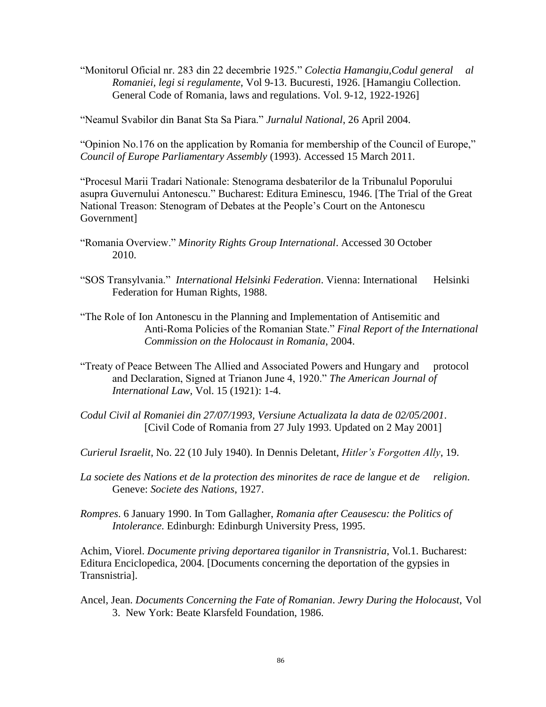"Monitorul Oficial nr. 283 din 22 decembrie 1925." *Colectia Hamangiu,Codul general al Romaniei, legi si regulamente*, Vol 9-13. Bucuresti, 1926. [Hamangiu Collection. General Code of Romania, laws and regulations. Vol. 9-12, 1922-1926]

"Neamul Svabilor din Banat Sta Sa Piara." *Jurnalul National*, 26 April 2004.

"Opinion No.176 on the application by Romania for membership of the Council of Europe," *Council of Europe Parliamentary Assembly* (1993). Accessed 15 March 2011.

"Procesul Marii Tradari Nationale: Stenograma desbaterilor de la Tribunalul Poporului asupra Guvernului Antonescu." Bucharest: Editura Eminescu, 1946. [The Trial of the Great National Treason: Stenogram of Debates at the People"s Court on the Antonescu Government]

"Romania Overview." *Minority Rights Group International*. Accessed 30 October 2010.

"SOS Transylvania." *International Helsinki Federation*. Vienna: International Helsinki Federation for Human Rights, 1988.

"The Role of Ion Antonescu in the Planning and Implementation of Antisemitic and Anti-Roma Policies of the Romanian State." *Final Report of the International Commission on the Holocaust in Romania*, 2004.

- "Treaty of Peace Between The Allied and Associated Powers and Hungary and protocol and Declaration, Signed at Trianon June 4, 1920." *The American Journal of International Law*, Vol. 15 (1921): 1-4.
- *Codul Civil al Romaniei din 27/07/1993, Versiune Actualizata la data de 02/05/2001*. [Civil Code of Romania from 27 July 1993. Updated on 2 May 2001]

*Curierul Israelit*, No. 22 (10 July 1940). In Dennis Deletant, *Hitler's Forgotten Ally*, 19.

*La societe des Nations et de la protection des minorites de race de langue et de religion*. Geneve: *Societe des Nations*, 1927.

*Rompres*. 6 January 1990. In Tom Gallagher, *Romania after Ceausescu: the Politics of Intolerance*. Edinburgh: Edinburgh University Press, 1995.

Achim, Viorel. *Documente priving deportarea tiganilor in Transnistria*, Vol.1. Bucharest: Editura Enciclopedica, 2004. [Documents concerning the deportation of the gypsies in Transnistria].

Ancel, Jean. *Documents Concerning the Fate of Romanian*. *Jewry During the Holocaust*, Vol 3. New York: Beate Klarsfeld Foundation, 1986.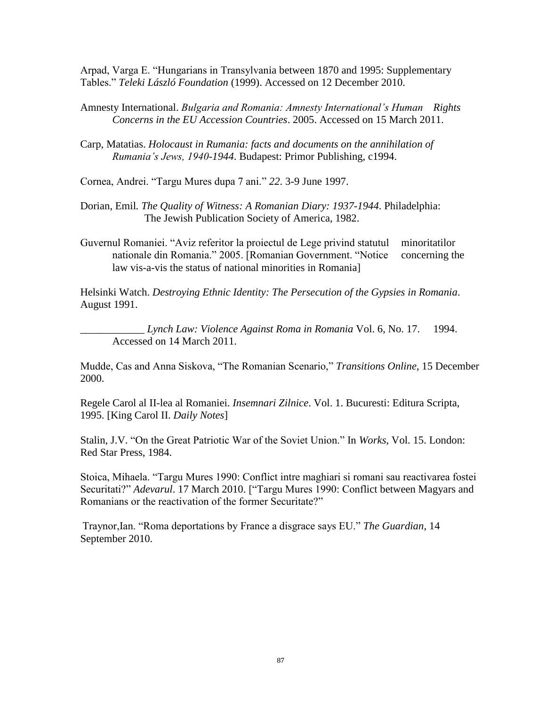Arpad, Varga E. "Hungarians in Transylvania between 1870 and 1995: Supplementary Tables." *Teleki László Foundation* (1999). Accessed on 12 December 2010.

- Amnesty International. *Bulgaria and Romania: Amnesty International's Human Rights Concerns in the EU Accession Countries*. 2005. Accessed on 15 March 2011.
- Carp, Matatias. *Holocaust in Rumania: facts and documents on the annihilation of Rumania's Jews, 1940-1944*. Budapest: Primor Publishing, c1994.

Cornea, Andrei. "Targu Mures dupa 7 ani." *22*. 3-9 June 1997.

- Dorian, Emil*. The Quality of Witness: A Romanian Diary: 1937-1944*. Philadelphia: The Jewish Publication Society of America, 1982.
- Guvernul Romaniei. "Aviz referitor la proiectul de Lege privind statutul minoritatilor nationale din Romania." 2005. [Romanian Government. "Notice concerning the law vis-a-vis the status of national minorities in Romania]

Helsinki Watch. *Destroying Ethnic Identity: The Persecution of the Gypsies in Romania*. August 1991.

\_\_\_\_\_\_\_\_\_\_\_\_ *Lynch Law: Violence Against Roma in Romania* Vol. 6, No. 17. 1994. Accessed on 14 March 2011.

Mudde, Cas and Anna Siskova, "The Romanian Scenario," *Transitions Online*, 15 December 2000.

Regele Carol al II-lea al Romaniei. *Insemnari Zilnice*. Vol. 1. Bucuresti: Editura Scripta, 1995. [King Carol II. *Daily Notes*]

Stalin, J.V. "On the Great Patriotic War of the Soviet Union." In *Works*, Vol. 15. London: Red Star Press, 1984.

Stoica, Mihaela. "Targu Mures 1990: Conflict intre maghiari si romani sau reactivarea fostei Securitati?" *Adevarul*. 17 March 2010. ["Targu Mures 1990: Conflict between Magyars and Romanians or the reactivation of the former Securitate?"

Traynor,Ian. "Roma deportations by France a disgrace says EU." *The Guardian*, 14 September 2010.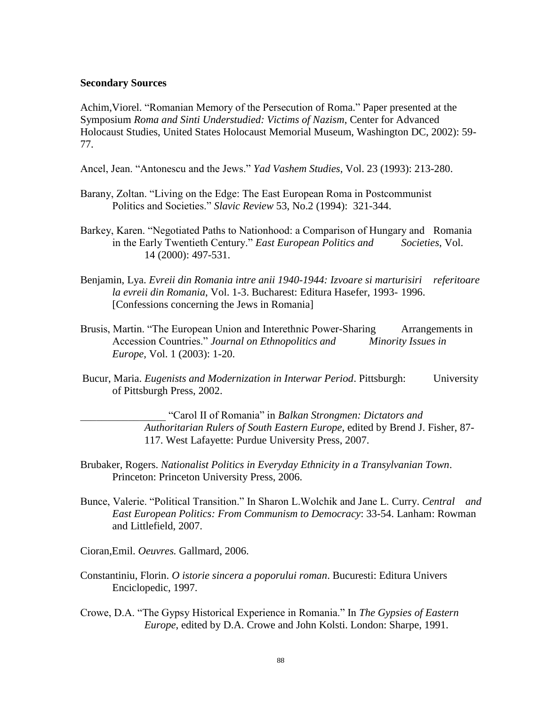#### **Secondary Sources**

Achim,Viorel. "Romanian Memory of the Persecution of Roma." Paper presented at the Symposium *Roma and Sinti Understudied: Victims of Nazism*, Center for Advanced Holocaust Studies, United States Holocaust Memorial Museum, Washington DC, 2002): 59- 77.

- Ancel, Jean. "Antonescu and the Jews." *Yad Vashem Studies*, Vol. 23 (1993): 213-280.
- Barany, Zoltan. "Living on the Edge: The East European Roma in Postcommunist Politics and Societies." *Slavic Review* 53, No.2 (1994): 321-344.
- Barkey, Karen. "Negotiated Paths to Nationhood: a Comparison of Hungary and Romania in the Early Twentieth Century." *East European Politics and Societies*, Vol. 14 (2000): 497-531.
- Benjamin, Lya. *Evreii din Romania intre anii 1940-1944: Izvoare si marturisiri referitoare la evreii din Romania*, Vol. 1-3. Bucharest: Editura Hasefer, 1993- 1996. [Confessions concerning the Jews in Romania]
- Brusis, Martin. "The European Union and Interethnic Power-Sharing Arrangements in Accession Countries." *Journal on Ethnopolitics and Minority Issues in Europe,* Vol. 1 (2003): 1-20.
- Bucur, Maria. *Eugenists and Modernization in Interwar Period*. Pittsburgh: University of Pittsburgh Press, 2002.

\_\_\_\_\_\_\_\_\_\_\_\_\_\_\_\_ "Carol II of Romania" in *Balkan Strongmen: Dictators and Authoritarian Rulers of South Eastern Europe*, edited by Brend J. Fisher, 87- 117. West Lafayette: Purdue University Press, 2007.

- Brubaker, Rogers. *Nationalist Politics in Everyday Ethnicity in a Transylvanian Town*. Princeton: Princeton University Press, 2006.
- Bunce, Valerie. "Political Transition." In Sharon L.Wolchik and Jane L. Curry. *Central and East European Politics: From Communism to Democracy*: 33-54. Lanham: Rowman and Littlefield, 2007.
- Cioran,Emil. *Oeuvres.* Gallmard, 2006.
- Constantiniu, Florin. *O istorie sincera a poporului roman*. Bucuresti: Editura Univers Enciclopedic, 1997.
- Crowe, D.A. "The Gypsy Historical Experience in Romania." In *The Gypsies of Eastern Europe*, edited by D.A. Crowe and John Kolsti. London: Sharpe, 1991.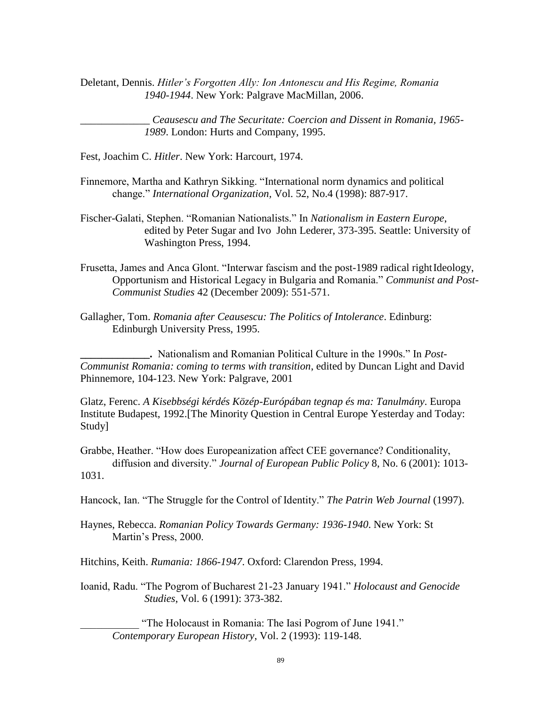Deletant, Dennis. *Hitler's Forgotten Ally: Ion Antonescu and His Regime, Romania 1940-1944*. New York: Palgrave MacMillan, 2006.

\_\_\_\_\_\_\_\_\_\_\_\_\_ *Ceausescu and The Securitate: Coercion and Dissent in Romania, 1965- 1989*. London: Hurts and Company, 1995.

- Fest, Joachim C. *Hitler*. New York: Harcourt, 1974.
- Finnemore, Martha and Kathryn Sikking. "International norm dynamics and political change." *International Organization,* Vol. 52, No.4 (1998): 887-917.
- Fischer-Galati, Stephen. "Romanian Nationalists." In *Nationalism in Eastern Europe*, edited by Peter Sugar and Ivo John Lederer, 373-395. Seattle: University of Washington Press, 1994.
- Frusetta, James and Anca Glont. "Interwar fascism and the post-1989 radical right Ideology, Opportunism and Historical Legacy in Bulgaria and Romania." *Communist and Post-Communist Studies* 42 (December 2009): 551-571.
- Gallagher, Tom. *Romania after Ceausescu: The Politics of Intolerance*. Edinburg: Edinburgh University Press, 1995.

**\_\_\_\_\_\_\_\_\_\_\_\_\_.** Nationalism and Romanian Political Culture in the 1990s." In *Post-Communist Romania: coming to terms with transition*, edited by Duncan Light and David Phinnemore, 104-123. New York: Palgrave, 2001

Glatz, Ferenc. *A Kisebbségi kérdés Közép-Európában tegnap és ma: Tanulmány*. Europa Institute Budapest, 1992.[The Minority Question in Central Europe Yesterday and Today: Study]

Grabbe, Heather. "How does Europeanization affect CEE governance? Conditionality, diffusion and diversity." *Journal of European Public Policy* 8, No. 6 (2001): 1013- 1031.

Hancock, Ian. "The Struggle for the Control of Identity." *The Patrin Web Journal* (1997).

Haynes, Rebecca. *Romanian Policy Towards Germany: 1936-1940*. New York: St Martin"s Press, 2000.

Hitchins, Keith. *Rumania: 1866-1947*. Oxford: Clarendon Press, 1994.

Ioanid, Radu. "The Pogrom of Bucharest 21-23 January 1941." *Holocaust and Genocide Studies*, Vol. 6 (1991): 373-382.

"The Holocaust in Romania: The Iasi Pogrom of June 1941." *Contemporary European History*, Vol. 2 (1993): 119-148.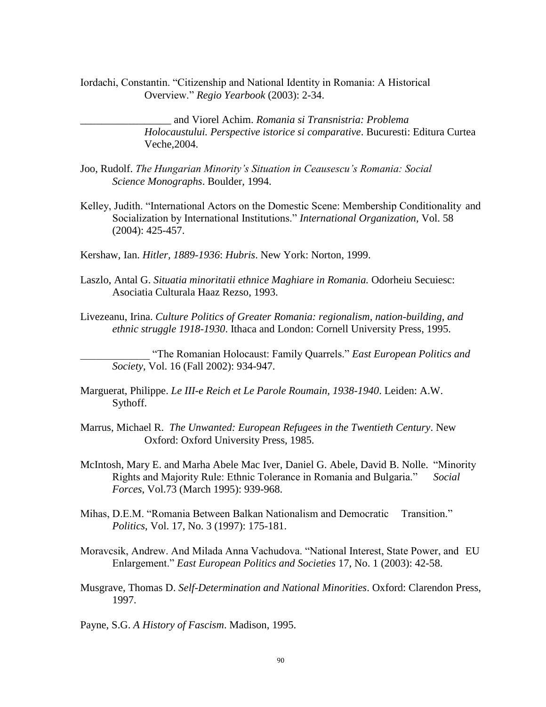Iordachi, Constantin. "Citizenship and National Identity in Romania: A Historical Overview." *Regio Yearbook* (2003): 2-34.

> \_\_\_\_\_\_\_\_\_\_\_\_\_\_\_\_\_ and Viorel Achim. *Romania si Transnistria: Problema Holocaustului. Perspective istorice si comparative*. Bucuresti: Editura Curtea Veche,2004.

- Joo, Rudolf. *The Hungarian Minority's Situation in Ceausescu's Romania: Social Science Monographs*. Boulder, 1994.
- Kelley, Judith. "International Actors on the Domestic Scene: Membership Conditionality and Socialization by International Institutions." *International Organization,* Vol. 58 (2004): 425-457.
- Kershaw, Ian. *Hitler, 1889-1936*: *Hubris*. New York: Norton, 1999.
- Laszlo, Antal G. *Situatia minoritatii ethnice Maghiare in Romania.* Odorheiu Secuiesc: Asociatia Culturala Haaz Rezso, 1993.
- Livezeanu, Irina. *Culture Politics of Greater Romania: regionalism, nation-building, and ethnic struggle 1918-1930*. Ithaca and London: Cornell University Press, 1995.

\_\_\_\_\_\_\_\_\_\_\_\_\_ "The Romanian Holocaust: Family Quarrels." *East European Politics and Society*, Vol. 16 (Fall 2002): 934-947.

- Marguerat, Philippe. *Le III-e Reich et Le Parole Roumain, 1938-1940*. Leiden: A.W. Sythoff.
- Marrus, Michael R. *The Unwanted: European Refugees in the Twentieth Century*. New Oxford: Oxford University Press, 1985.
- McIntosh, Mary E. and Marha Abele Mac Iver, Daniel G. Abele, David B. Nolle. "Minority Rights and Majority Rule: Ethnic Tolerance in Romania and Bulgaria." *Social Forces*, Vol.73 (March 1995): 939-968.
- Mihas, D.E.M. "Romania Between Balkan Nationalism and Democratic Transition." *Politics*, Vol. 17, No. 3 (1997): 175-181.
- Moravcsik, Andrew. And Milada Anna Vachudova. "National Interest, State Power, and EU Enlargement." *East European Politics and Societies* 17, No. 1 (2003): 42-58.
- Musgrave, Thomas D. *Self-Determination and National Minorities*. Oxford: Clarendon Press, 1997.

Payne, S.G. *A History of Fascism*. Madison, 1995.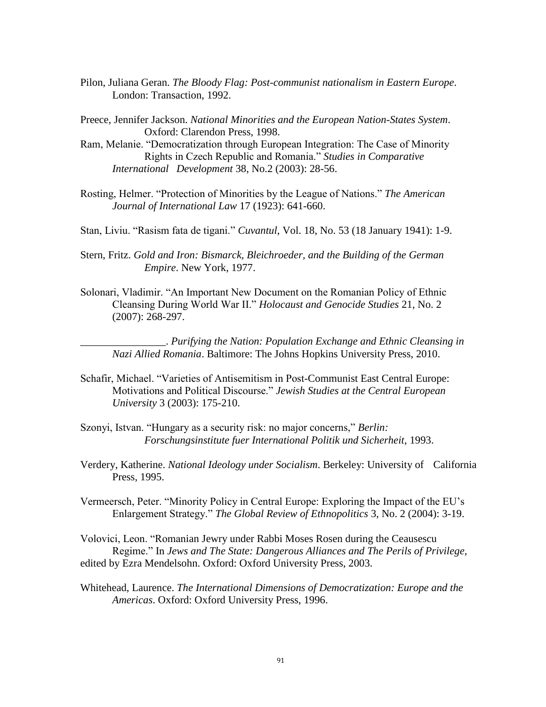- Pilon, Juliana Geran. *The Bloody Flag: Post-communist nationalism in Eastern Europe*. London: Transaction, 1992.
- Preece, Jennifer Jackson. *National Minorities and the European Nation-States System*. Oxford: Clarendon Press, 1998.
- Ram, Melanie. "Democratization through European Integration: The Case of Minority Rights in Czech Republic and Romania." *Studies in Comparative International Development* 38, No.2 (2003): 28-56.
- Rosting, Helmer. "Protection of Minorities by the League of Nations." *The American Journal of International Law* 17 (1923): 641-660.
- Stan, Liviu. "Rasism fata de tigani." *Cuvantul*, Vol. 18, No. 53 (18 January 1941): 1-9.
- Stern, Fritz. *Gold and Iron: Bismarck, Bleichroeder, and the Building of the German Empire*. New York, 1977.
- Solonari, Vladimir. "An Important New Document on the Romanian Policy of Ethnic Cleansing During World War II." *Holocaust and Genocide Studies* 21, No. 2 (2007): 268-297.

\_\_\_\_\_\_\_\_\_\_\_\_\_\_\_\_. *Purifying the Nation: Population Exchange and Ethnic Cleansing in Nazi Allied Romania*. Baltimore: The Johns Hopkins University Press, 2010.

- Schafir, Michael. "Varieties of Antisemitism in Post-Communist East Central Europe: Motivations and Political Discourse." *Jewish Studies at the Central European University* 3 (2003): 175-210.
- Szonyi, Istvan. "Hungary as a security risk: no major concerns," *Berlin: Forschungsinstitute fuer International Politik und Sicherheit*, 1993.
- Verdery, Katherine. *National Ideology under Socialism*. Berkeley: University of California Press, 1995.
- Vermeersch, Peter. "Minority Policy in Central Europe: Exploring the Impact of the EU"s Enlargement Strategy." *The Global Review of Ethnopolitics* 3, No. 2 (2004): 3-19.

Volovici, Leon. "Romanian Jewry under Rabbi Moses Rosen during the Ceausescu Regime." In *Jews and The State: Dangerous Alliances and The Perils of Privilege*, edited by Ezra Mendelsohn. Oxford: Oxford University Press, 2003.

Whitehead, Laurence. *The International Dimensions of Democratization: Europe and the Americas*. Oxford: Oxford University Press, 1996.